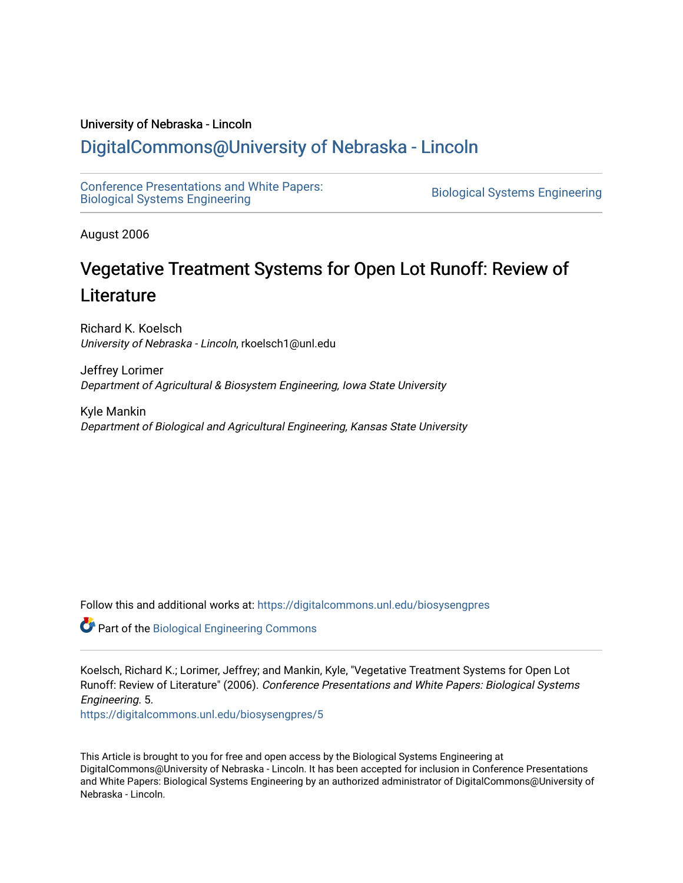#### University of Nebraska - Lincoln

# [DigitalCommons@University of Nebraska - Lincoln](https://digitalcommons.unl.edu/)

[Conference Presentations and White Papers:](https://digitalcommons.unl.edu/biosysengpres)  [Biological Systems Engineering](https://digitalcommons.unl.edu/biosysengpres) [Biological Systems Engineering](https://digitalcommons.unl.edu/agbiosyseng) 

August 2006

# Vegetative Treatment Systems for Open Lot Runoff: Review of **Literature**

Richard K. Koelsch University of Nebraska - Lincoln, rkoelsch1@unl.edu

Jeffrey Lorimer Department of Agricultural & Biosystem Engineering, Iowa State University

Kyle Mankin Department of Biological and Agricultural Engineering, Kansas State University

Follow this and additional works at: [https://digitalcommons.unl.edu/biosysengpres](https://digitalcommons.unl.edu/biosysengpres?utm_source=digitalcommons.unl.edu%2Fbiosysengpres%2F5&utm_medium=PDF&utm_campaign=PDFCoverPages)

Part of the [Biological Engineering Commons](http://network.bepress.com/hgg/discipline/230?utm_source=digitalcommons.unl.edu%2Fbiosysengpres%2F5&utm_medium=PDF&utm_campaign=PDFCoverPages)

Koelsch, Richard K.; Lorimer, Jeffrey; and Mankin, Kyle, "Vegetative Treatment Systems for Open Lot Runoff: Review of Literature" (2006). Conference Presentations and White Papers: Biological Systems Engineering. 5.

[https://digitalcommons.unl.edu/biosysengpres/5](https://digitalcommons.unl.edu/biosysengpres/5?utm_source=digitalcommons.unl.edu%2Fbiosysengpres%2F5&utm_medium=PDF&utm_campaign=PDFCoverPages)

This Article is brought to you for free and open access by the Biological Systems Engineering at DigitalCommons@University of Nebraska - Lincoln. It has been accepted for inclusion in Conference Presentations and White Papers: Biological Systems Engineering by an authorized administrator of DigitalCommons@University of Nebraska - Lincoln.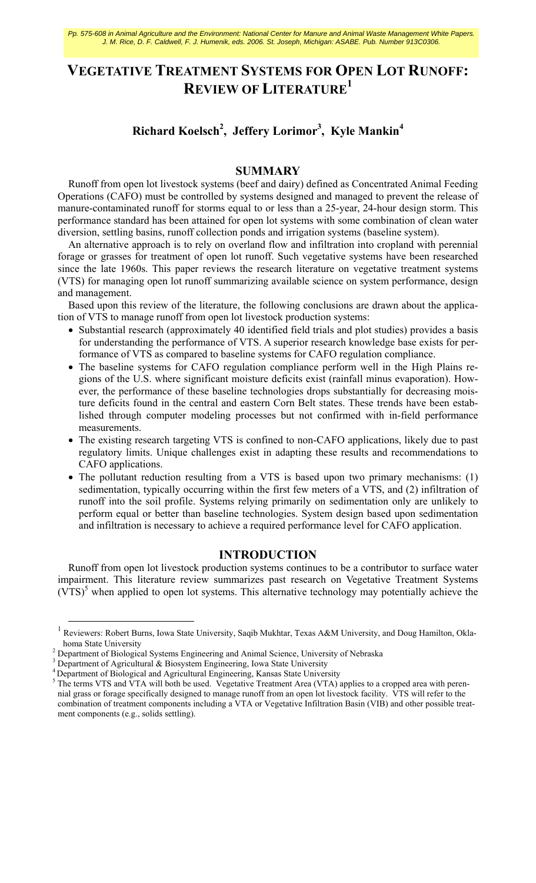Pp. 575-608 in Animal Agriculture and the Environment: National Center for Manure and Animal Waste Management White Papers. J. M. Rice, D. F. Caldwell, F. J. Humenik, eds. 2006. St. Joseph, Michigan: ASABE. Pub. Number 913C0306.

# **VEGETATIVE TREATMENT SYSTEMS FOR OPEN LOT RUNOFF: REVIEW OF LITERATURE1**

# **Richard Koelsch2 , Jeffery Lorimor<sup>3</sup> , Kyle Mankin<sup>4</sup>**

# **SUMMARY**

Runoff from open lot livestock systems (beef and dairy) defined as Concentrated Animal Feeding Operations (CAFO) must be controlled by systems designed and managed to prevent the release of manure-contaminated runoff for storms equal to or less than a 25-year, 24-hour design storm. This performance standard has been attained for open lot systems with some combination of clean water diversion, settling basins, runoff collection ponds and irrigation systems (baseline system).

An alternative approach is to rely on overland flow and infiltration into cropland with perennial forage or grasses for treatment of open lot runoff. Such vegetative systems have been researched since the late 1960s. This paper reviews the research literature on vegetative treatment systems (VTS) for managing open lot runoff summarizing available science on system performance, design and management.

Based upon this review of the literature, the following conclusions are drawn about the application of VTS to manage runoff from open lot livestock production systems:

- Substantial research (approximately 40 identified field trials and plot studies) provides a basis for understanding the performance of VTS. A superior research knowledge base exists for performance of VTS as compared to baseline systems for CAFO regulation compliance.
- The baseline systems for CAFO regulation compliance perform well in the High Plains regions of the U.S. where significant moisture deficits exist (rainfall minus evaporation). However, the performance of these baseline technologies drops substantially for decreasing moisture deficits found in the central and eastern Corn Belt states. These trends have been established through computer modeling processes but not confirmed with in-field performance measurements.
- The existing research targeting VTS is confined to non-CAFO applications, likely due to past regulatory limits. Unique challenges exist in adapting these results and recommendations to CAFO applications.
- The pollutant reduction resulting from a VTS is based upon two primary mechanisms: (1) sedimentation, typically occurring within the first few meters of a VTS, and (2) infiltration of runoff into the soil profile. Systems relying primarily on sedimentation only are unlikely to perform equal or better than baseline technologies. System design based upon sedimentation and infiltration is necessary to achieve a required performance level for CAFO application.

## **INTRODUCTION**

Runoff from open lot livestock production systems continues to be a contributor to surface water impairment. This literature review summarizes past research on Vegetative Treatment Systems  $(VTS)^5$  when applied to open lot systems. This alternative technology may potentially achieve the

<sup>1&</sup>lt;br><sup>1</sup> Reviewers: Robert Burns, Iowa State University, Saqib Mukhtar, Texas A&M University, and Doug Hamilton, Oklahoma State University

<sup>&</sup>lt;sup>2</sup> Department of Biological Systems Engineering and Animal Science, University of Nebraska

 $3$  Department of Agricultural & Biosystem Engineering, Iowa State University

<sup>&</sup>lt;sup>4</sup> Department of Biological and Agricultural Engineering, Kansas State University

<sup>&</sup>lt;sup>5</sup> The terms VTS and VTA will both be used. Vegetative Treatment Area (VTA) applies to a cropped area with perennial grass or forage specifically designed to manage runoff from an open lot livestock facility. VTS will refer to the combination of treatment components including a VTA or Vegetative Infiltration Basin (VIB) and other possible treatment components (e.g., solids settling).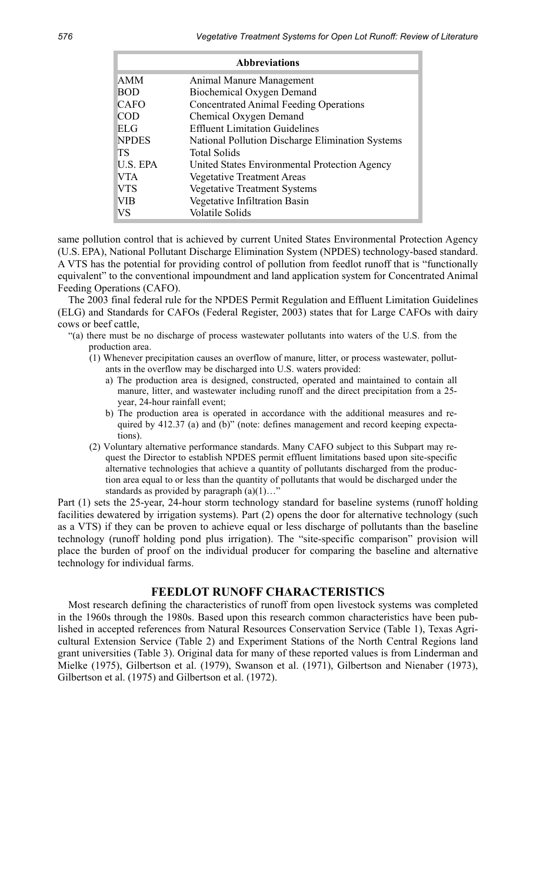|                 | <b>Abbreviations</b>                             |
|-----------------|--------------------------------------------------|
| <b>AMM</b>      | Animal Manure Management                         |
| <b>BOD</b>      | Biochemical Oxygen Demand                        |
| <b>CAFO</b>     | <b>Concentrated Animal Feeding Operations</b>    |
| <b>COD</b>      | Chemical Oxygen Demand                           |
| <b>ELG</b>      | <b>Effluent Limitation Guidelines</b>            |
| <b>NPDES</b>    | National Pollution Discharge Elimination Systems |
| <b>TS</b>       | <b>Total Solids</b>                              |
| <b>U.S. EPA</b> | United States Environmental Protection Agency    |
| <b>VTA</b>      | <b>Vegetative Treatment Areas</b>                |
| <b>VTS</b>      | <b>Vegetative Treatment Systems</b>              |
| <b>VIB</b>      | Vegetative Infiltration Basin                    |
| VS              | <b>Volatile Solids</b>                           |

same pollution control that is achieved by current United States Environmental Protection Agency (U.S. EPA), National Pollutant Discharge Elimination System (NPDES) technology-based standard. A VTS has the potential for providing control of pollution from feedlot runoff that is "functionally equivalent" to the conventional impoundment and land application system for Concentrated Animal Feeding Operations (CAFO).

The 2003 final federal rule for the NPDES Permit Regulation and Effluent Limitation Guidelines (ELG) and Standards for CAFOs (Federal Register, 2003) states that for Large CAFOs with dairy cows or beef cattle,

- "(a) there must be no discharge of process wastewater pollutants into waters of the U.S. from the production area.
	- (1) Whenever precipitation causes an overflow of manure, litter, or process wastewater, pollutants in the overflow may be discharged into U.S. waters provided:
		- a) The production area is designed, constructed, operated and maintained to contain all manure, litter, and wastewater including runoff and the direct precipitation from a 25 year, 24-hour rainfall event;
		- b) The production area is operated in accordance with the additional measures and required by 412.37 (a) and (b)" (note: defines management and record keeping expectations).
	- (2) Voluntary alternative performance standards. Many CAFO subject to this Subpart may request the Director to establish NPDES permit effluent limitations based upon site-specific alternative technologies that achieve a quantity of pollutants discharged from the production area equal to or less than the quantity of pollutants that would be discharged under the standards as provided by paragraph  $(a)(1)...$ "

Part (1) sets the 25-year, 24-hour storm technology standard for baseline systems (runoff holding facilities dewatered by irrigation systems). Part (2) opens the door for alternative technology (such as a VTS) if they can be proven to achieve equal or less discharge of pollutants than the baseline technology (runoff holding pond plus irrigation). The "site-specific comparison" provision will place the burden of proof on the individual producer for comparing the baseline and alternative technology for individual farms.

# **FEEDLOT RUNOFF CHARACTERISTICS**

Most research defining the characteristics of runoff from open livestock systems was completed in the 1960s through the 1980s. Based upon this research common characteristics have been published in accepted references from Natural Resources Conservation Service (Table 1), Texas Agricultural Extension Service (Table 2) and Experiment Stations of the North Central Regions land grant universities (Table 3). Original data for many of these reported values is from Linderman and Mielke (1975), Gilbertson et al. (1979), Swanson et al. (1971), Gilbertson and Nienaber (1973), Gilbertson et al. (1975) and Gilbertson et al. (1972).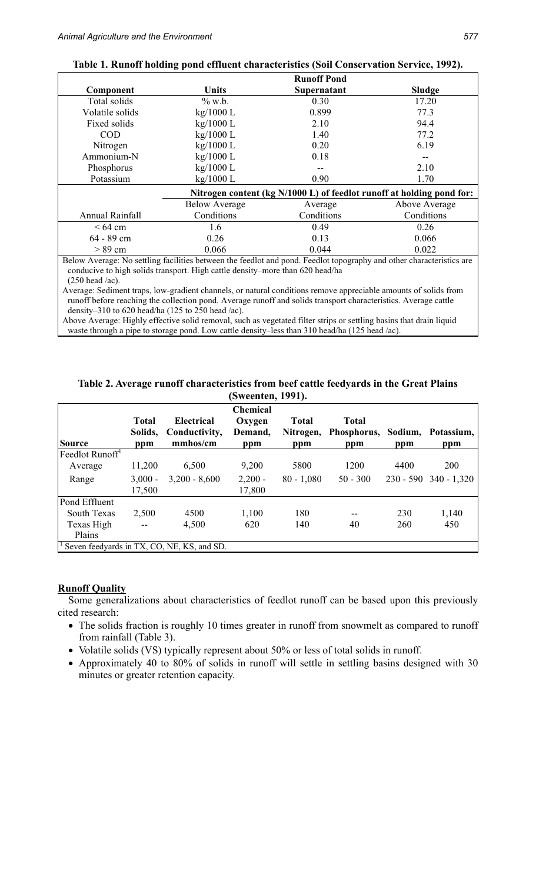|                    |                                                                                                                      | <b>Runoff Pond</b> |                                                                       |
|--------------------|----------------------------------------------------------------------------------------------------------------------|--------------------|-----------------------------------------------------------------------|
| Component          | <b>Units</b>                                                                                                         | Supernatant        | <b>Sludge</b>                                                         |
| Total solids       | $\%$ w.b.                                                                                                            | 0.30               | 17.20                                                                 |
| Volatile solids    | $kg/1000$ L                                                                                                          | 0.899              | 77.3                                                                  |
| Fixed solids       | $kg/1000$ L                                                                                                          | 2.10               | 94.4                                                                  |
| <b>COD</b>         | kg/1000 L                                                                                                            | 1.40               | 77.2                                                                  |
| Nitrogen           | $kg/1000$ L                                                                                                          | 0.20               | 6.19                                                                  |
| Ammonium-N         | kg/1000 L                                                                                                            | 0.18               | --                                                                    |
| Phosphorus         | $kg/1000$ L                                                                                                          |                    | 2.10                                                                  |
| Potassium          | $kg/1000$ L                                                                                                          | 0.90               | 1.70                                                                  |
|                    |                                                                                                                      |                    | Nitrogen content (kg N/1000 L) of feedlot runoff at holding pond for: |
|                    | <b>Below Average</b>                                                                                                 | Average            | Above Average                                                         |
| Annual Rainfall    | Conditions                                                                                                           | Conditions         | Conditions                                                            |
| $\leq 64$ cm       | 1.6                                                                                                                  | 0.49               | 0.26                                                                  |
| 64 - 89 cm         | 0.26                                                                                                                 | 0.13               | 0.066                                                                 |
| $> 89$ cm          | 0.066                                                                                                                | 0.044              | 0.022                                                                 |
|                    | Below Average: No settling facilities between the feedlot and pond. Feedlot topography and other characteristics are |                    |                                                                       |
|                    | conducive to high solids transport. High cattle density–more than 620 head/ha                                        |                    |                                                                       |
| $(250 \text{ kg})$ |                                                                                                                      |                    |                                                                       |

(250 head /ac). Average: Sediment traps, low-gradient channels, or natural conditions remove appreciable amounts of solids from runoff before reaching the collection pond. Average runoff and solids transport characteristics. Average cattle

density–310 to 620 head/ha (125 to 250 head /ac). Above Average: Highly effective solid removal, such as vegetated filter strips or settling basins that drain liquid waste through a pipe to storage pond. Low cattle density–less than 310 head/ha (125 head /ac).

|                             |                                |                                                | (Sweenten, 1991).                           |                                  |                                    |      |                           |
|-----------------------------|--------------------------------|------------------------------------------------|---------------------------------------------|----------------------------------|------------------------------------|------|---------------------------|
| <b>Source</b>               | <b>Total</b><br>Solids,<br>ppm | <b>Electrical</b><br>Conductivity,<br>mmhos/cm | <b>Chemical</b><br>Oxygen<br>Demand,<br>ppm | <b>Total</b><br>Nitrogen,<br>ppm | <b>Total</b><br>Phosphorus,<br>ppm | ppm  | Sodium, Potassium,<br>ppm |
| Feedlot Runoff <sup>1</sup> |                                |                                                |                                             |                                  |                                    |      |                           |
| Average                     | 11,200                         | 6,500                                          | 9,200                                       | 5800                             | 1200                               | 4400 | 200                       |
| Range                       | $3,000 -$                      | $3,200 - 8,600$                                | $2,200 -$                                   | $80 - 1,080$                     | $50 - 300$                         |      | $230 - 590$ 340 - 1,320   |
|                             | 17,500                         |                                                | 17,800                                      |                                  |                                    |      |                           |
| Pond Effluent               |                                |                                                |                                             |                                  |                                    |      |                           |
| <b>South Texas</b>          | 2,500                          | 4500                                           | 1,100                                       | 180                              |                                    | 230  | 1,140                     |
| Texas High                  | --                             | 4,500                                          | 620                                         | 140                              | 40                                 | 260  | 450                       |
| Plains                      |                                |                                                |                                             |                                  |                                    |      |                           |
|                             |                                | Seven feedyards in TX, CO, NE, KS, and SD.     |                                             |                                  |                                    |      |                           |

**Table 2. Average runoff characteristics from beef cattle feedyards in the Great Plains (Sweenten, 1991).** 

### **Runoff Quality**

Some generalizations about characteristics of feedlot runoff can be based upon this previously cited research:

- The solids fraction is roughly 10 times greater in runoff from snowmelt as compared to runoff from rainfall (Table 3).
- Volatile solids (VS) typically represent about 50% or less of total solids in runoff.
- Approximately 40 to 80% of solids in runoff will settle in settling basins designed with 30 minutes or greater retention capacity.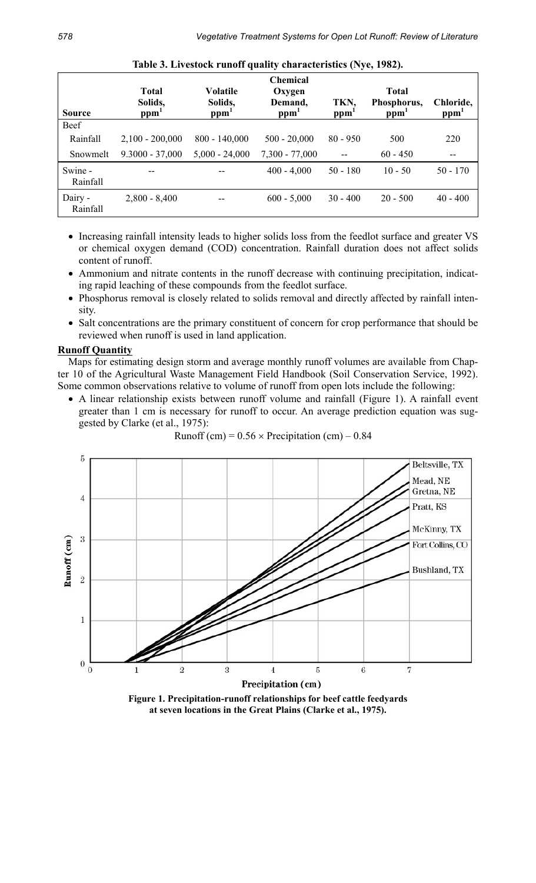| <b>Source</b>       | <b>Total</b><br>Solids,<br>ppm | <b>Volatile</b><br>Solids,<br>ppm <sup>-</sup> | <b>Chemical</b><br>Oxygen<br>Demand,<br>ppm <sup>1</sup> | TKN,<br>ppm | <b>Total</b><br>Phosphorus,<br>ppm <sup>1</sup> | Chloride,<br>ppm <sup>-</sup> |
|---------------------|--------------------------------|------------------------------------------------|----------------------------------------------------------|-------------|-------------------------------------------------|-------------------------------|
| Beef                |                                |                                                |                                                          |             |                                                 |                               |
| Rainfall            | $2,100 - 200,000$              | $800 - 140,000$                                | $500 - 20,000$                                           | $80 - 950$  | 500                                             | 220                           |
| Snowmelt            | $9.3000 - 37,000$              | $5,000 - 24,000$                               | $7,300 - 77,000$                                         |             | $60 - 450$                                      | --                            |
| Swine -<br>Rainfall |                                |                                                | $400 - 4,000$                                            | $50 - 180$  | $10 - 50$                                       | $50 - 170$                    |
| Dairy -<br>Rainfall | $2,800 - 8,400$                |                                                | $600 - 5,000$                                            | $30 - 400$  | $20 - 500$                                      | $40 - 400$                    |

**Table 3. Livestock runoff quality characteristics (Nye, 1982).** 

- Increasing rainfall intensity leads to higher solids loss from the feedlot surface and greater VS or chemical oxygen demand (COD) concentration. Rainfall duration does not affect solids content of runoff.
- Ammonium and nitrate contents in the runoff decrease with continuing precipitation, indicating rapid leaching of these compounds from the feedlot surface.
- Phosphorus removal is closely related to solids removal and directly affected by rainfall intensity.
- Salt concentrations are the primary constituent of concern for crop performance that should be reviewed when runoff is used in land application.

## **Runoff Quantity**

Maps for estimating design storm and average monthly runoff volumes are available from Chapter 10 of the Agricultural Waste Management Field Handbook (Soil Conservation Service, 1992). Some common observations relative to volume of runoff from open lots include the following:

• A linear relationship exists between runoff volume and rainfall (Figure 1). A rainfall event greater than 1 cm is necessary for runoff to occur. An average prediction equation was suggested by Clarke (et al., 1975):

Runoff (cm) = 
$$
0.56 \times
$$
 Precription (cm) – 0.84



**Figure 1. Precipitation-runoff relationships for beef cattle feedyards at seven locations in the Great Plains (Clarke et al., 1975).**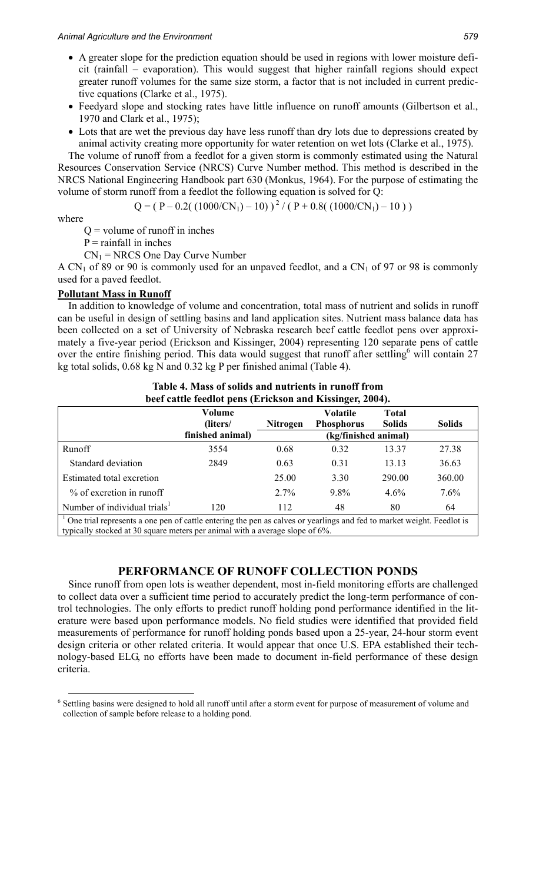- A greater slope for the prediction equation should be used in regions with lower moisture deficit (rainfall – evaporation). This would suggest that higher rainfall regions should expect greater runoff volumes for the same size storm, a factor that is not included in current predictive equations (Clarke et al., 1975).
- Feedyard slope and stocking rates have little influence on runoff amounts (Gilbertson et al., 1970 and Clark et al., 1975);
- Lots that are wet the previous day have less runoff than dry lots due to depressions created by animal activity creating more opportunity for water retention on wet lots (Clarke et al., 1975).

The volume of runoff from a feedlot for a given storm is commonly estimated using the Natural Resources Conservation Service (NRCS) Curve Number method. This method is described in the NRCS National Engineering Handbook part 630 (Monkus, 1964). For the purpose of estimating the volume of storm runoff from a feedlot the following equation is solved for Q:

 $Q = (P - 0.2((1000/CN_1) - 10))^{2} / (P + 0.8((1000/CN_1) - 10))$ 

where

 $Q =$  volume of runoff in inches

 $P =$  rainfall in inches

 $CN_1$  = NRCS One Day Curve Number

A CN<sub>1</sub> of 89 or 90 is commonly used for an unpaved feedlot, and a CN<sub>1</sub> of 97 or 98 is commonly used for a paved feedlot.

## **Pollutant Mass in Runoff**

In addition to knowledge of volume and concentration, total mass of nutrient and solids in runoff can be useful in design of settling basins and land application sites. Nutrient mass balance data has been collected on a set of University of Nebraska research beef cattle feedlot pens over approximately a five-year period (Erickson and Kissinger, 2004) representing 120 separate pens of cattle over the entire finishing period. This data would suggest that runoff after settling<sup>6</sup> will contain 27 kg total solids, 0.68 kg N and 0.32 kg P per finished animal (Table 4).

|                                                                                                                                                                                                       |                    |                 | beer cattle recurse pens (Errenson and Inssinger, 200 i). |                               |               |  |  |  |
|-------------------------------------------------------------------------------------------------------------------------------------------------------------------------------------------------------|--------------------|-----------------|-----------------------------------------------------------|-------------------------------|---------------|--|--|--|
|                                                                                                                                                                                                       | Volume<br>(liters/ | <b>Nitrogen</b> | <b>Volatile</b><br><b>Phosphorus</b>                      | <b>Total</b><br><b>Solids</b> | <b>Solids</b> |  |  |  |
|                                                                                                                                                                                                       | finished animal)   |                 | (kg/finished animal)                                      |                               |               |  |  |  |
| Runoff                                                                                                                                                                                                | 3554               | 0.68            | 0.32                                                      | 13.37                         | 27.38         |  |  |  |
| Standard deviation                                                                                                                                                                                    | 2849               | 0.63            | 0.31                                                      | 13.13                         | 36.63         |  |  |  |
| Estimated total excretion                                                                                                                                                                             |                    | 25.00           | 3.30                                                      | 290.00                        | 360.00        |  |  |  |
| % of excretion in runoff                                                                                                                                                                              |                    | $2.7\%$         | $9.8\%$                                                   | $4.6\%$                       | $7.6\%$       |  |  |  |
| Number of individual trials <sup>1</sup>                                                                                                                                                              | 120                | 112             | 48                                                        | 80                            | 64            |  |  |  |
| One trial represents a one pen of cattle entering the pen as calves or yearlings and fed to market weight. Feedlot is<br>typically stocked at 30 square meters per animal with a average slope of 6%. |                    |                 |                                                           |                               |               |  |  |  |

# **Table 4. Mass of solids and nutrients in runoff from beef cattle feedlot pens (Erickson and Kissinger, 2004).**

# **PERFORMANCE OF RUNOFF COLLECTION PONDS**

Since runoff from open lots is weather dependent, most in-field monitoring efforts are challenged to collect data over a sufficient time period to accurately predict the long-term performance of control technologies. The only efforts to predict runoff holding pond performance identified in the literature were based upon performance models. No field studies were identified that provided field measurements of performance for runoff holding ponds based upon a 25-year, 24-hour storm event design criteria or other related criteria. It would appear that once U.S. EPA established their technology-based ELG, no efforts have been made to document in-field performance of these design criteria.

 <sup>6</sup> Settling basins were designed to hold all runoff until after a storm event for purpose of measurement of volume and collection of sample before release to a holding pond.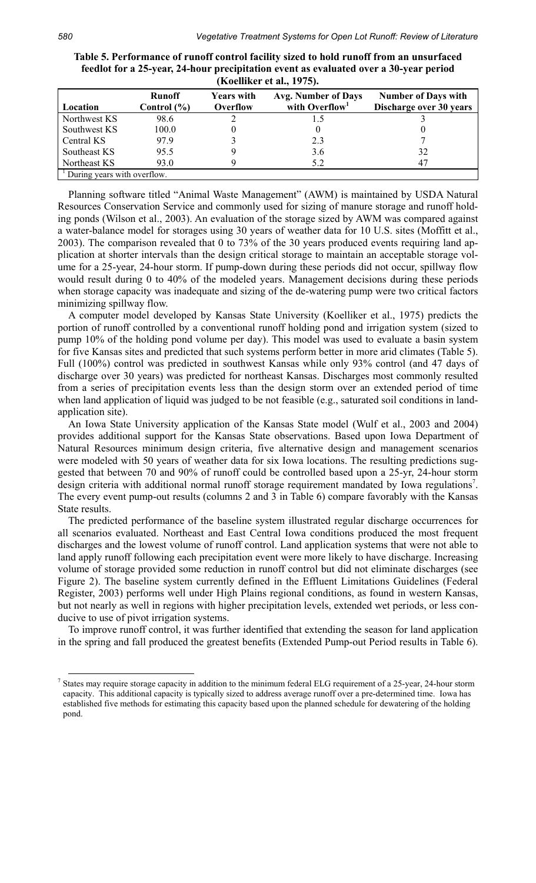|                             | <b>IXOCHIKE</b> CU and $I\prime\prime\prime$ |                               |                                                          |                                                       |  |
|-----------------------------|----------------------------------------------|-------------------------------|----------------------------------------------------------|-------------------------------------------------------|--|
| Location                    | <b>Runoff</b><br>Control $(\% )$             | <b>Years with</b><br>Overflow | <b>Avg. Number of Days</b><br>with Overflow <sup>1</sup> | <b>Number of Days with</b><br>Discharge over 30 years |  |
| Northwest KS                | 98.6                                         |                               |                                                          |                                                       |  |
| Southwest KS                | 100.0                                        |                               |                                                          |                                                       |  |
| Central KS                  | 979                                          |                               | 2.3                                                      |                                                       |  |
| Southeast KS                | 95.5                                         |                               | 3.6                                                      | 32                                                    |  |
| Northeast KS                | 93.0                                         |                               | 5.2                                                      | $4^{\circ}$                                           |  |
| During years with overflow. |                                              |                               |                                                          |                                                       |  |

**Table 5. Performance of runoff control facility sized to hold runoff from an unsurfaced feedlot for a 25-year, 24-hour precipitation event as evaluated over a 30-year period (Koelliker et al., 1975).** 

Planning software titled "Animal Waste Management" (AWM) is maintained by USDA Natural Resources Conservation Service and commonly used for sizing of manure storage and runoff holding ponds (Wilson et al., 2003). An evaluation of the storage sized by AWM was compared against a water-balance model for storages using 30 years of weather data for 10 U.S. sites (Moffitt et al., 2003). The comparison revealed that 0 to 73% of the 30 years produced events requiring land application at shorter intervals than the design critical storage to maintain an acceptable storage volume for a 25-year, 24-hour storm. If pump-down during these periods did not occur, spillway flow would result during 0 to 40% of the modeled years. Management decisions during these periods when storage capacity was inadequate and sizing of the de-watering pump were two critical factors minimizing spillway flow.

A computer model developed by Kansas State University (Koelliker et al., 1975) predicts the portion of runoff controlled by a conventional runoff holding pond and irrigation system (sized to pump 10% of the holding pond volume per day). This model was used to evaluate a basin system for five Kansas sites and predicted that such systems perform better in more arid climates (Table 5). Full (100%) control was predicted in southwest Kansas while only 93% control (and 47 days of discharge over 30 years) was predicted for northeast Kansas. Discharges most commonly resulted from a series of precipitation events less than the design storm over an extended period of time when land application of liquid was judged to be not feasible (e.g., saturated soil conditions in landapplication site).

An Iowa State University application of the Kansas State model (Wulf et al., 2003 and 2004) provides additional support for the Kansas State observations. Based upon Iowa Department of Natural Resources minimum design criteria, five alternative design and management scenarios were modeled with 50 years of weather data for six Iowa locations. The resulting predictions suggested that between 70 and 90% of runoff could be controlled based upon a 25-yr, 24-hour storm design criteria with additional normal runoff storage requirement mandated by Iowa regulations<sup>7</sup>. The every event pump-out results (columns 2 and 3 in Table 6) compare favorably with the Kansas State results.

The predicted performance of the baseline system illustrated regular discharge occurrences for all scenarios evaluated. Northeast and East Central Iowa conditions produced the most frequent discharges and the lowest volume of runoff control. Land application systems that were not able to land apply runoff following each precipitation event were more likely to have discharge. Increasing volume of storage provided some reduction in runoff control but did not eliminate discharges (see Figure 2). The baseline system currently defined in the Effluent Limitations Guidelines (Federal Register, 2003) performs well under High Plains regional conditions, as found in western Kansas, but not nearly as well in regions with higher precipitation levels, extended wet periods, or less conducive to use of pivot irrigation systems.

To improve runoff control, it was further identified that extending the season for land application in the spring and fall produced the greatest benefits (Extended Pump-out Period results in Table 6).

<sup>&</sup>lt;sup>7</sup> States may require storage capacity in addition to the minimum federal ELG requirement of a 25-year, 24-hour storm capacity. This additional capacity is typically sized to address average runoff over a pre-determined time. Iowa has established five methods for estimating this capacity based upon the planned schedule for dewatering of the holding pond.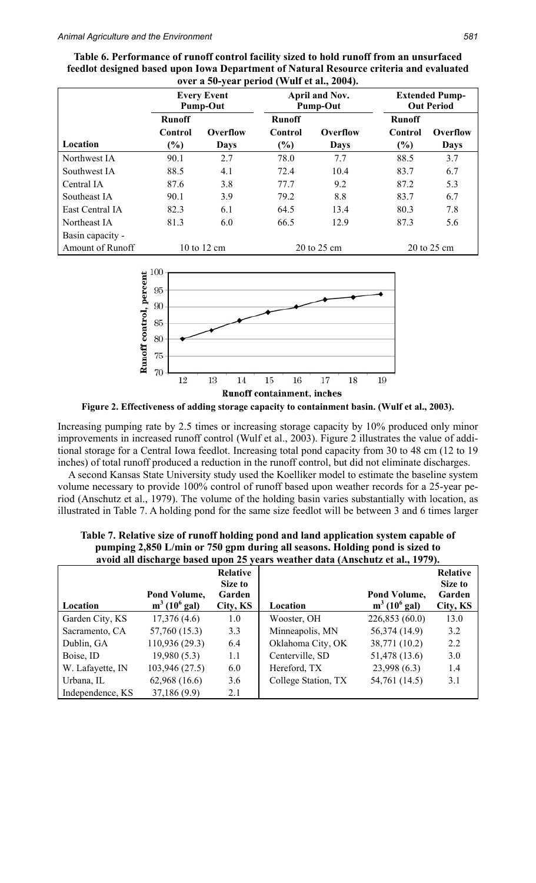|                  | <b>Every Event</b><br><b>Pump-Out</b> |             | April and Nov.<br><b>Pump-Out</b> |             | <b>Extended Pump-</b><br><b>Out Period</b> |             |
|------------------|---------------------------------------|-------------|-----------------------------------|-------------|--------------------------------------------|-------------|
|                  | <b>Runoff</b>                         |             | <b>Runoff</b>                     |             | <b>Runoff</b>                              |             |
|                  | Control                               | Overflow    | Control                           | Overflow    | Control                                    | Overflow    |
| Location         | $(\%)$                                | <b>Days</b> | $\frac{6}{6}$                     | <b>Days</b> | $(\%)$                                     | <b>Days</b> |
| Northwest IA     | 90.1                                  | 2.7         | 78.0                              | 7.7         | 88.5                                       | 3.7         |
| Southwest IA     | 88.5                                  | 4.1         | 72.4                              | 10.4        | 83.7                                       | 6.7         |
| Central IA       | 87.6                                  | 3.8         | 77.7                              | 9.2         | 87.2                                       | 5.3         |
| Southeast IA     | 90.1                                  | 3.9         | 79.2                              | 8.8         | 83.7                                       | 6.7         |
| East Central IA  | 82.3                                  | 6.1         | 64.5                              | 13.4        | 80.3                                       | 7.8         |
| Northeast IA     | 81.3                                  | 6.0         | 66.5                              | 12.9        | 87.3                                       | 5.6         |
| Basin capacity - |                                       |             |                                   |             |                                            |             |
| Amount of Runoff |                                       | 10 to 12 cm |                                   | 20 to 25 cm |                                            | 20 to 25 cm |

| Table 6. Performance of runoff control facility sized to hold runoff from an unsurfaced |
|-----------------------------------------------------------------------------------------|
| feedlot designed based upon Iowa Department of Natural Resource criteria and evaluated  |
| over a 50-year period (Wulf et al., 2004).                                              |



**Figure 2. Effectiveness of adding storage capacity to containment basin. (Wulf et al., 2003).** 

Increasing pumping rate by 2.5 times or increasing storage capacity by 10% produced only minor improvements in increased runoff control (Wulf et al., 2003). Figure 2 illustrates the value of additional storage for a Central Iowa feedlot. Increasing total pond capacity from 30 to 48 cm (12 to 19 inches) of total runoff produced a reduction in the runoff control, but did not eliminate discharges.

A second Kansas State University study used the Koelliker model to estimate the baseline system volume necessary to provide 100% control of runoff based upon weather records for a 25-year period (Anschutz et al., 1979). The volume of the holding basin varies substantially with location, as illustrated in Table 7. A holding pond for the same size feedlot will be between 3 and 6 times larger

| Location         | Pond Volume,<br>$m^3$ (10 <sup>6</sup> gal) | <b>Relative</b><br>Size to<br>Garden<br>City, KS | Location            | Pond Volume,<br>$m^3$ (10 <sup>6</sup> gal) | <b>Relative</b><br>Size to<br>Garden<br>City, KS |
|------------------|---------------------------------------------|--------------------------------------------------|---------------------|---------------------------------------------|--------------------------------------------------|
| Garden City, KS  | 17,376(4.6)                                 | 1.0                                              | Wooster, OH         | 226,853 (60.0)                              | 13.0                                             |
| Sacramento, CA   | 57,760 (15.3)                               | 3.3                                              | Minneapolis, MN     | 56,374 (14.9)                               | 3.2                                              |
| Dublin, GA       | 110,936 (29.3)                              | 6.4                                              | Oklahoma City, OK   | 38,771 (10.2)                               | 2.2                                              |
| Boise, ID        | 19,980(5.3)                                 | 1.1                                              | Centerville, SD     | 51,478 (13.6)                               | 3.0                                              |
| W. Lafayette, IN | 103,946 (27.5)                              | 6.0                                              | Hereford, TX        | 23,998(6.3)                                 | 1.4                                              |
| Urbana, IL       | 62,968(16.6)                                | 3.6                                              | College Station, TX | 54,761 (14.5)                               | 3.1                                              |
| Independence, KS | 37,186 (9.9)                                | 2.1                                              |                     |                                             |                                                  |

**Table 7. Relative size of runoff holding pond and land application system capable of pumping 2,850 L/min or 750 gpm during all seasons. Holding pond is sized to avoid all discharge based upon 25 years weather data (Anschutz et al., 1979).**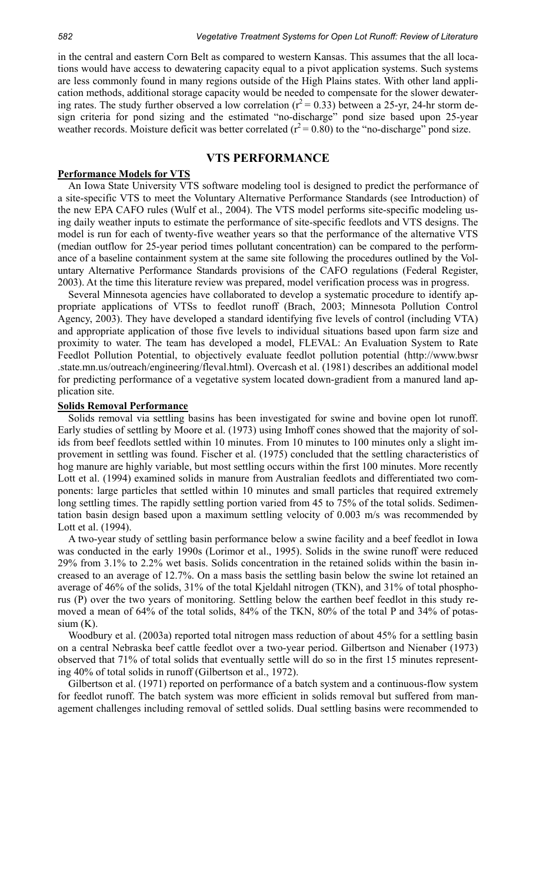in the central and eastern Corn Belt as compared to western Kansas. This assumes that the all locations would have access to dewatering capacity equal to a pivot application systems. Such systems are less commonly found in many regions outside of the High Plains states. With other land application methods, additional storage capacity would be needed to compensate for the slower dewatering rates. The study further observed a low correlation ( $r^2$  = 0.33) between a 25-yr, 24-hr storm design criteria for pond sizing and the estimated "no-discharge" pond size based upon 25-year weather records. Moisture deficit was better correlated  $(r^2 = 0.80)$  to the "no-discharge" pond size.

## **VTS PERFORMANCE**

#### **Performance Models for VTS**

An Iowa State University VTS software modeling tool is designed to predict the performance of a site-specific VTS to meet the Voluntary Alternative Performance Standards (see Introduction) of the new EPA CAFO rules (Wulf et al., 2004). The VTS model performs site-specific modeling using daily weather inputs to estimate the performance of site-specific feedlots and VTS designs. The model is run for each of twenty-five weather years so that the performance of the alternative VTS (median outflow for 25-year period times pollutant concentration) can be compared to the performance of a baseline containment system at the same site following the procedures outlined by the Voluntary Alternative Performance Standards provisions of the CAFO regulations (Federal Register, 2003). At the time this literature review was prepared, model verification process was in progress.

Several Minnesota agencies have collaborated to develop a systematic procedure to identify appropriate applications of VTSs to feedlot runoff (Brach, 2003; Minnesota Pollution Control Agency, 2003). They have developed a standard identifying five levels of control (including VTA) and appropriate application of those five levels to individual situations based upon farm size and proximity to water. The team has developed a model, FLEVAL: An Evaluation System to Rate Feedlot Pollution Potential, to objectively evaluate feedlot pollution potential (http://www.bwsr .state.mn.us/outreach/engineering/fleval.html). Overcash et al. (1981) describes an additional model for predicting performance of a vegetative system located down-gradient from a manured land application site.

#### **Solids Removal Performance**

Solids removal via settling basins has been investigated for swine and bovine open lot runoff. Early studies of settling by Moore et al. (1973) using Imhoff cones showed that the majority of solids from beef feedlots settled within 10 minutes. From 10 minutes to 100 minutes only a slight improvement in settling was found. Fischer et al. (1975) concluded that the settling characteristics of hog manure are highly variable, but most settling occurs within the first 100 minutes. More recently Lott et al. (1994) examined solids in manure from Australian feedlots and differentiated two components: large particles that settled within 10 minutes and small particles that required extremely long settling times. The rapidly settling portion varied from 45 to 75% of the total solids. Sedimentation basin design based upon a maximum settling velocity of 0.003 m/s was recommended by Lott et al. (1994).

A two-year study of settling basin performance below a swine facility and a beef feedlot in Iowa was conducted in the early 1990s (Lorimor et al., 1995). Solids in the swine runoff were reduced 29% from 3.1% to 2.2% wet basis. Solids concentration in the retained solids within the basin increased to an average of 12.7%. On a mass basis the settling basin below the swine lot retained an average of 46% of the solids, 31% of the total Kjeldahl nitrogen (TKN), and 31% of total phosphorus (P) over the two years of monitoring. Settling below the earthen beef feedlot in this study removed a mean of 64% of the total solids, 84% of the TKN, 80% of the total P and 34% of potas $sium(K)$ .

Woodbury et al. (2003a) reported total nitrogen mass reduction of about 45% for a settling basin on a central Nebraska beef cattle feedlot over a two-year period. Gilbertson and Nienaber (1973) observed that 71% of total solids that eventually settle will do so in the first 15 minutes representing 40% of total solids in runoff (Gilbertson et al., 1972).

Gilbertson et al. (1971) reported on performance of a batch system and a continuous-flow system for feedlot runoff. The batch system was more efficient in solids removal but suffered from management challenges including removal of settled solids. Dual settling basins were recommended to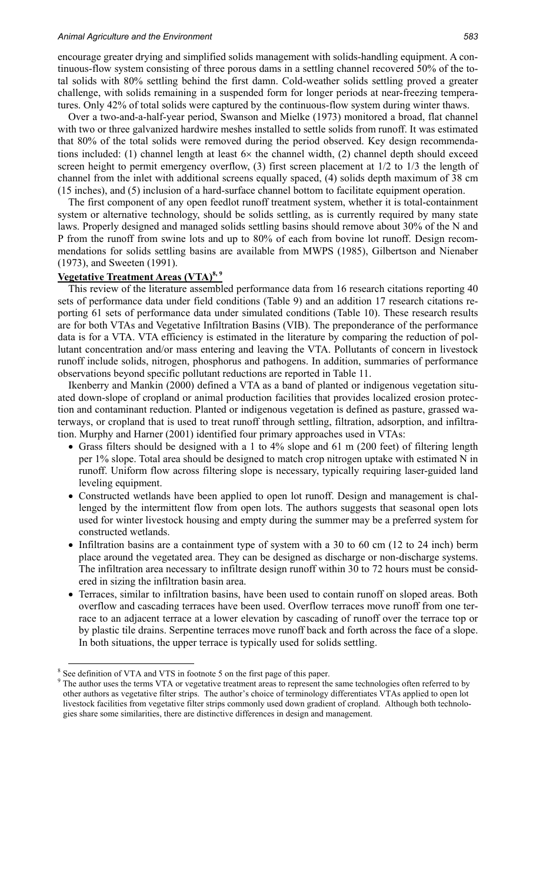#### *Animal Agriculture and the Environment 583*

encourage greater drying and simplified solids management with solids-handling equipment. A continuous-flow system consisting of three porous dams in a settling channel recovered 50% of the total solids with 80% settling behind the first damn. Cold-weather solids settling proved a greater challenge, with solids remaining in a suspended form for longer periods at near-freezing temperatures. Only 42% of total solids were captured by the continuous-flow system during winter thaws.

Over a two-and-a-half-year period, Swanson and Mielke (1973) monitored a broad, flat channel with two or three galvanized hardwire meshes installed to settle solids from runoff. It was estimated that 80% of the total solids were removed during the period observed. Key design recommendations included: (1) channel length at least  $6\times$  the channel width, (2) channel depth should exceed screen height to permit emergency overflow, (3) first screen placement at 1/2 to 1/3 the length of channel from the inlet with additional screens equally spaced, (4) solids depth maximum of 38 cm (15 inches), and (5) inclusion of a hard-surface channel bottom to facilitate equipment operation.

The first component of any open feedlot runoff treatment system, whether it is total-containment system or alternative technology, should be solids settling, as is currently required by many state laws. Properly designed and managed solids settling basins should remove about 30% of the N and P from the runoff from swine lots and up to 80% of each from bovine lot runoff. Design recommendations for solids settling basins are available from MWPS (1985), Gilbertson and Nienaber (1973), and Sweeten (1991).

# **Vegetative Treatment Areas (VTA)8, 9**

This review of the literature assembled performance data from 16 research citations reporting 40 sets of performance data under field conditions (Table 9) and an addition 17 research citations reporting 61 sets of performance data under simulated conditions (Table 10). These research results are for both VTAs and Vegetative Infiltration Basins (VIB). The preponderance of the performance data is for a VTA. VTA efficiency is estimated in the literature by comparing the reduction of pollutant concentration and/or mass entering and leaving the VTA. Pollutants of concern in livestock runoff include solids, nitrogen, phosphorus and pathogens. In addition, summaries of performance observations beyond specific pollutant reductions are reported in Table 11.

Ikenberry and Mankin (2000) defined a VTA as a band of planted or indigenous vegetation situated down-slope of cropland or animal production facilities that provides localized erosion protection and contaminant reduction. Planted or indigenous vegetation is defined as pasture, grassed waterways, or cropland that is used to treat runoff through settling, filtration, adsorption, and infiltration. Murphy and Harner (2001) identified four primary approaches used in VTAs:

- Grass filters should be designed with a 1 to 4% slope and 61 m (200 feet) of filtering length per 1% slope. Total area should be designed to match crop nitrogen uptake with estimated N in runoff. Uniform flow across filtering slope is necessary, typically requiring laser-guided land leveling equipment.
- Constructed wetlands have been applied to open lot runoff. Design and management is challenged by the intermittent flow from open lots. The authors suggests that seasonal open lots used for winter livestock housing and empty during the summer may be a preferred system for constructed wetlands.
- Infiltration basins are a containment type of system with a 30 to 60 cm (12 to 24 inch) berm place around the vegetated area. They can be designed as discharge or non-discharge systems. The infiltration area necessary to infiltrate design runoff within 30 to 72 hours must be considered in sizing the infiltration basin area.
- Terraces, similar to infiltration basins, have been used to contain runoff on sloped areas. Both overflow and cascading terraces have been used. Overflow terraces move runoff from one terrace to an adjacent terrace at a lower elevation by cascading of runoff over the terrace top or by plastic tile drains. Serpentine terraces move runoff back and forth across the face of a slope. In both situations, the upper terrace is typically used for solids settling.

 $\frac{1}{8}$   $\frac{1}{8}$  $\frac{8}{9}$  See definition of VTA and VTS in footnote 5 on the first page of this paper.

 $9$  The author uses the terms VTA or vegetative treatment areas to represent the same technologies often referred to by other authors as vegetative filter strips. The author's choice of terminology differentiates VTAs applied to open lot livestock facilities from vegetative filter strips commonly used down gradient of cropland. Although both technologies share some similarities, there are distinctive differences in design and management.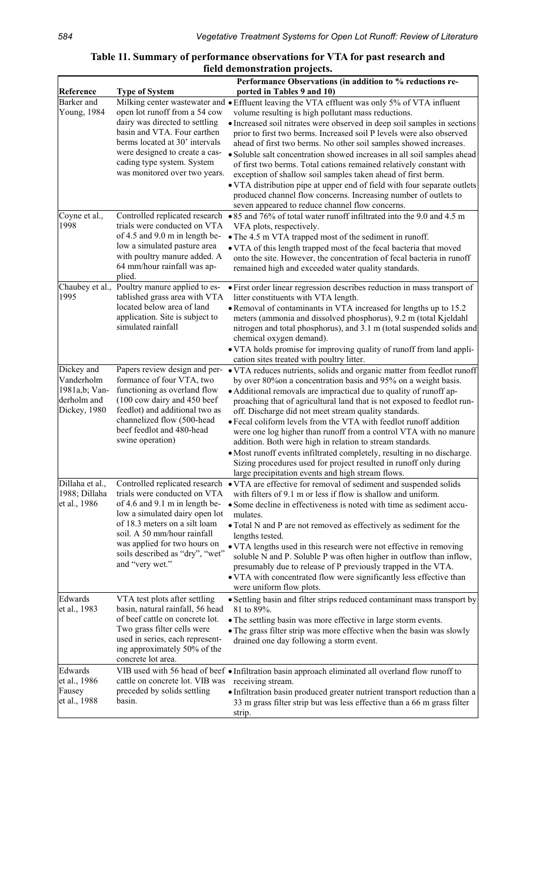# **Table 11. Summary of performance observations for VTA for past research and field demonstration projects.**

|                   |                                                                | Performance Observations (in addition to % reductions re-                                                                                   |
|-------------------|----------------------------------------------------------------|---------------------------------------------------------------------------------------------------------------------------------------------|
| Reference         | <b>Type of System</b>                                          | ported in Tables 9 and 10)                                                                                                                  |
| <b>Barker</b> and |                                                                | Milking center wastewater and • Effluent leaving the VTA effluent was only 5% of VTA influent                                               |
| Young, 1984       | open lot runoff from a 54 cow                                  | volume resulting is high pollutant mass reductions.                                                                                         |
|                   | dairy was directed to settling                                 | • Increased soil nitrates were observed in deep soil samples in sections                                                                    |
|                   | basin and VTA. Four earthen                                    | prior to first two berms. Increased soil P levels were also observed                                                                        |
|                   | berms located at 30' intervals                                 | ahead of first two berms. No other soil samples showed increases.                                                                           |
|                   | were designed to create a cas-<br>cading type system. System   | · Soluble salt concentration showed increases in all soil samples ahead                                                                     |
|                   | was monitored over two years.                                  | of first two berms. Total cations remained relatively constant with                                                                         |
|                   |                                                                | exception of shallow soil samples taken ahead of first berm.                                                                                |
|                   |                                                                | • VTA distribution pipe at upper end of field with four separate outlets<br>produced channel flow concerns. Increasing number of outlets to |
|                   |                                                                | seven appeared to reduce channel flow concerns.                                                                                             |
| Coyne et al.,     | Controlled replicated research                                 | • 85 and 76% of total water runoff infiltrated into the 9.0 and 4.5 m                                                                       |
| 1998              | trials were conducted on VTA                                   | VFA plots, respectively.                                                                                                                    |
|                   | of 4.5 and 9.0 m in length be-                                 | • The 4.5 m VTA trapped most of the sediment in runoff.                                                                                     |
|                   | low a simulated pasture area                                   | • VTA of this length trapped most of the fecal bacteria that moved                                                                          |
|                   | with poultry manure added. A                                   | onto the site. However, the concentration of fecal bacteria in runoff                                                                       |
|                   | 64 mm/hour rainfall was ap-                                    | remained high and exceeded water quality standards.                                                                                         |
|                   | plied.                                                         |                                                                                                                                             |
| Chaubey et al.,   | Poultry manure applied to es-                                  | • First order linear regression describes reduction in mass transport of                                                                    |
| 1995              | tablished grass area with VTA                                  | litter constituents with VTA length.                                                                                                        |
|                   | located below area of land                                     | • Removal of contaminants in VTA increased for lengths up to 15.2                                                                           |
|                   | application. Site is subject to<br>simulated rainfall          | meters (ammonia and dissolved phosphorus), 9.2 m (total Kjeldahl                                                                            |
|                   |                                                                | nitrogen and total phosphorus), and 3.1 m (total suspended solids and                                                                       |
|                   |                                                                | chemical oxygen demand).<br>• VTA holds promise for improving quality of runoff from land appli-                                            |
|                   |                                                                | cation sites treated with poultry litter.                                                                                                   |
| Dickey and        | Papers review design and per-                                  | • VTA reduces nutrients, solids and organic matter from feedlot runoff                                                                      |
| Vanderholm        | formance of four VTA, two                                      | by over 80% on a concentration basis and 95% on a weight basis.                                                                             |
| 1981a,b; Van-     | functioning as overland flow                                   | • Additional removals are impractical due to quality of runoff ap-                                                                          |
| derholm and       | (100 cow dairy and 450 beef                                    | proaching that of agricultural land that is not exposed to feedlot run-                                                                     |
| Dickey, 1980      | feedlot) and additional two as                                 | off. Discharge did not meet stream quality standards.                                                                                       |
|                   | channelized flow (500-head                                     | · Fecal coliform levels from the VTA with feedlot runoff addition                                                                           |
|                   | beef feedlot and 480-head                                      | were one log higher than runoff from a control VTA with no manure                                                                           |
|                   | swine operation)                                               | addition. Both were high in relation to stream standards.                                                                                   |
|                   |                                                                | • Most runoff events infiltrated completely, resulting in no discharge.                                                                     |
|                   |                                                                | Sizing procedures used for project resulted in runoff only during                                                                           |
| Dillaha et al.,   | Controlled replicated research                                 | large precipitation events and high stream flows.                                                                                           |
| 1988; Dillaha     | trials were conducted on VTA                                   | • VTA are effective for removal of sediment and suspended solids<br>with filters of 9.1 m or less if flow is shallow and uniform.           |
| et al., 1986      | of 4.6 and 9.1 m in length be-                                 | • Some decline in effectiveness is noted with time as sediment accu-                                                                        |
|                   | low a simulated dairy open lot                                 | mulates.                                                                                                                                    |
|                   | of 18.3 meters on a silt loam                                  | • Total N and P are not removed as effectively as sediment for the                                                                          |
|                   | soil. A 50 mm/hour rainfall                                    | lengths tested.                                                                                                                             |
|                   | was applied for two hours on                                   | • VTA lengths used in this research were not effective in removing                                                                          |
|                   | soils described as "dry", "wet"                                | soluble N and P. Soluble P was often higher in outflow than inflow,                                                                         |
|                   | and "very wet."                                                | presumably due to release of P previously trapped in the VTA.                                                                               |
|                   |                                                                | • VTA with concentrated flow were significantly less effective than                                                                         |
|                   |                                                                | were uniform flow plots.                                                                                                                    |
| Edwards           | VTA test plots after settling                                  | • Settling basin and filter strips reduced contaminant mass transport by                                                                    |
| et al., 1983      | basin, natural rainfall, 56 head                               | 81 to 89%.                                                                                                                                  |
|                   | of beef cattle on concrete lot.                                | • The settling basin was more effective in large storm events.                                                                              |
|                   | Two grass filter cells were<br>used in series, each represent- | • The grass filter strip was more effective when the basin was slowly                                                                       |
|                   | ing approximately 50% of the                                   | drained one day following a storm event.                                                                                                    |
|                   | concrete lot area.                                             |                                                                                                                                             |
| Edwards           |                                                                | VIB used with 56 head of beef • Infiltration basin approach eliminated all overland flow runoff to                                          |
| et al., 1986      | cattle on concrete lot. VIB was                                | receiving stream.                                                                                                                           |
| Fausey            | preceded by solids settling                                    | · Infiltration basin produced greater nutrient transport reduction than a                                                                   |
| et al., 1988      | basin.                                                         | 33 m grass filter strip but was less effective than a 66 m grass filter                                                                     |
|                   |                                                                | strip.                                                                                                                                      |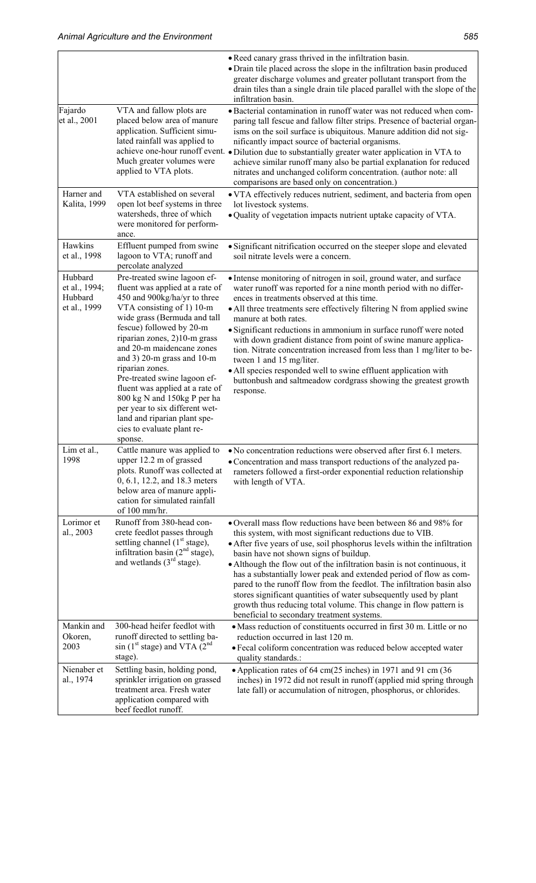|                                                     |                                                                                                                                                                                                                                                                                                                                                                                                                                                                                                                        | • Reed canary grass thrived in the infiltration basin.<br>• Drain tile placed across the slope in the infiltration basin produced<br>greater discharge volumes and greater pollutant transport from the<br>drain tiles than a single drain tile placed parallel with the slope of the<br>infiltration basin.                                                                                                                                                                                                                                                                                                                                                                               |
|-----------------------------------------------------|------------------------------------------------------------------------------------------------------------------------------------------------------------------------------------------------------------------------------------------------------------------------------------------------------------------------------------------------------------------------------------------------------------------------------------------------------------------------------------------------------------------------|--------------------------------------------------------------------------------------------------------------------------------------------------------------------------------------------------------------------------------------------------------------------------------------------------------------------------------------------------------------------------------------------------------------------------------------------------------------------------------------------------------------------------------------------------------------------------------------------------------------------------------------------------------------------------------------------|
| Fajardo<br>et al., 2001                             | VTA and fallow plots are<br>placed below area of manure<br>application. Sufficient simu-<br>lated rainfall was applied to<br>Much greater volumes were<br>applied to VTA plots.                                                                                                                                                                                                                                                                                                                                        | • Bacterial contamination in runoff water was not reduced when com-<br>paring tall fescue and fallow filter strips. Presence of bacterial organ-<br>isms on the soil surface is ubiquitous. Manure addition did not sig-<br>nificantly impact source of bacterial organisms.<br>achieve one-hour runoff event. . Dilution due to substantially greater water application in VTA to<br>achieve similar runoff many also be partial explanation for reduced<br>nitrates and unchanged coliform concentration. (author note: all<br>comparisons are based only on concentration.)                                                                                                             |
| Harner and<br>Kalita, 1999                          | VTA established on several<br>open lot beef systems in three<br>watersheds, three of which<br>were monitored for perform-<br>ance.                                                                                                                                                                                                                                                                                                                                                                                     | • VTA effectively reduces nutrient, sediment, and bacteria from open<br>lot livestock systems.<br>· Quality of vegetation impacts nutrient uptake capacity of VTA.                                                                                                                                                                                                                                                                                                                                                                                                                                                                                                                         |
| Hawkins<br>et al., 1998                             | Effluent pumped from swine<br>lagoon to VTA; runoff and<br>percolate analyzed                                                                                                                                                                                                                                                                                                                                                                                                                                          | • Significant nitrification occurred on the steeper slope and elevated<br>soil nitrate levels were a concern.                                                                                                                                                                                                                                                                                                                                                                                                                                                                                                                                                                              |
| Hubbard<br>et al., 1994;<br>Hubbard<br>et al., 1999 | Pre-treated swine lagoon ef-<br>fluent was applied at a rate of<br>450 and 900kg/ha/yr to three<br>VTA consisting of 1) 10-m<br>wide grass (Bermuda and tall<br>fescue) followed by 20-m<br>riparian zones, 2)10-m grass<br>and 20-m maidencane zones<br>and $3$ ) 20-m grass and 10-m<br>riparian zones.<br>Pre-treated swine lagoon ef-<br>fluent was applied at a rate of<br>800 kg N and 150kg P per ha<br>per year to six different wet-<br>land and riparian plant spe-<br>cies to evaluate plant re-<br>sponse. | • Intense monitoring of nitrogen in soil, ground water, and surface<br>water runoff was reported for a nine month period with no differ-<br>ences in treatments observed at this time.<br>• All three treatments sere effectively filtering N from applied swine<br>manure at both rates.<br>• Significant reductions in ammonium in surface runoff were noted<br>with down gradient distance from point of swine manure applica-<br>tion. Nitrate concentration increased from less than 1 mg/liter to be-<br>tween 1 and 15 mg/liter.<br>• All species responded well to swine effluent application with<br>buttonbush and saltmeadow cordgrass showing the greatest growth<br>response. |
| Lim et al.,<br>1998                                 | Cattle manure was applied to<br>upper 12.2 m of grassed<br>plots. Runoff was collected at<br>0, 6.1, 12.2, and 18.3 meters<br>below area of manure appli-<br>cation for simulated rainfall<br>of 100 mm/hr.                                                                                                                                                                                                                                                                                                            | • No concentration reductions were observed after first 6.1 meters.<br>• Concentration and mass transport reductions of the analyzed pa-<br>rameters followed a first-order exponential reduction relationship<br>with length of VTA.                                                                                                                                                                                                                                                                                                                                                                                                                                                      |
| Lorimor et<br>al., 2003                             | Runoff from 380-head con-<br>crete feedlot passes through<br>settling channel $(1st stage)$ ,<br>infiltration basin $(2nd stage)$ ,<br>and wetlands $(3rd stage)$ .                                                                                                                                                                                                                                                                                                                                                    | • Overall mass flow reductions have been between 86 and 98% for<br>this system, with most significant reductions due to VIB.<br>• After five years of use, soil phosphorus levels within the infiltration<br>basin have not shown signs of buildup.<br>• Although the flow out of the infiltration basin is not continuous, it<br>has a substantially lower peak and extended period of flow as com-<br>pared to the runoff flow from the feedlot. The infiltration basin also<br>stores significant quantities of water subsequently used by plant<br>growth thus reducing total volume. This change in flow pattern is<br>beneficial to secondary treatment systems.                     |
| Mankin and<br>Okoren,<br>2003                       | 300-head heifer feedlot with<br>runoff directed to settling ba-<br>$\sin$ (1 <sup>st</sup> stage) and VTA (2 <sup>nd</sup><br>stage).                                                                                                                                                                                                                                                                                                                                                                                  | • Mass reduction of constituents occurred in first 30 m. Little or no<br>reduction occurred in last 120 m.<br>• Fecal coliform concentration was reduced below accepted water<br>quality standards.:                                                                                                                                                                                                                                                                                                                                                                                                                                                                                       |
| Nienaber et<br>al., 1974                            | Settling basin, holding pond,<br>sprinkler irrigation on grassed<br>treatment area. Fresh water<br>application compared with<br>beef feedlot runoff.                                                                                                                                                                                                                                                                                                                                                                   | • Application rates of 64 cm(25 inches) in 1971 and 91 cm (36<br>inches) in 1972 did not result in runoff (applied mid spring through<br>late fall) or accumulation of nitrogen, phosphorus, or chlorides.                                                                                                                                                                                                                                                                                                                                                                                                                                                                                 |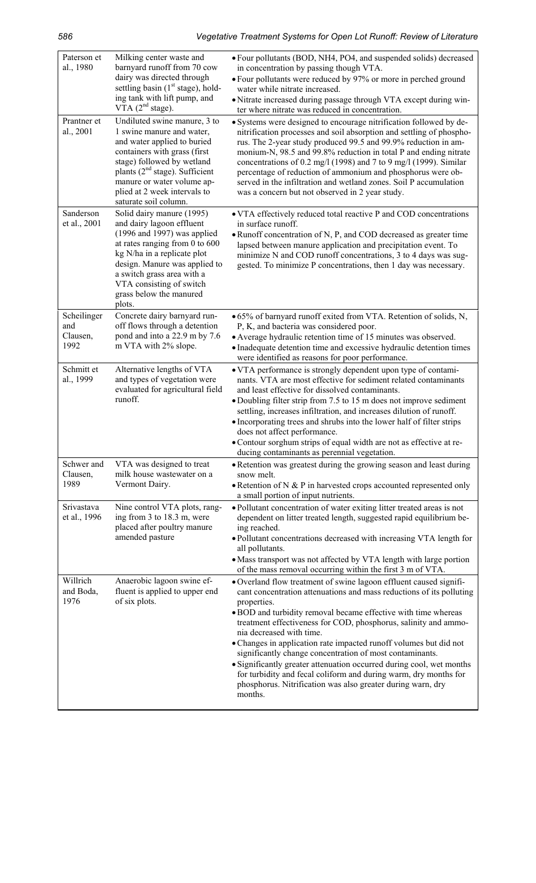| Paterson et<br>al., 1980               | Milking center waste and<br>barnyard runoff from 70 cow<br>dairy was directed through<br>settling basin (1 <sup>st</sup> stage), hold-<br>ing tank with lift pump, and<br>$VTA$ ( $2nd stage$ ).                                                                                             | • Four pollutants (BOD, NH4, PO4, and suspended solids) decreased<br>in concentration by passing though VTA.<br>• Four pollutants were reduced by 97% or more in perched ground<br>water while nitrate increased.<br>· Nitrate increased during passage through VTA except during win-<br>ter where nitrate was reduced in concentration.                                                                                                                                                                                                                                                                                                                                         |
|----------------------------------------|----------------------------------------------------------------------------------------------------------------------------------------------------------------------------------------------------------------------------------------------------------------------------------------------|-----------------------------------------------------------------------------------------------------------------------------------------------------------------------------------------------------------------------------------------------------------------------------------------------------------------------------------------------------------------------------------------------------------------------------------------------------------------------------------------------------------------------------------------------------------------------------------------------------------------------------------------------------------------------------------|
| Prantner et<br>al., 2001               | Undiluted swine manure, 3 to<br>1 swine manure and water,<br>and water applied to buried<br>containers with grass (first<br>stage) followed by wetland<br>plants $(2nd stage)$ . Sufficient<br>manure or water volume ap-<br>plied at 2 week intervals to<br>saturate soil column.           | • Systems were designed to encourage nitrification followed by de-<br>nitrification processes and soil absorption and settling of phospho-<br>rus. The 2-year study produced 99.5 and 99.9% reduction in am-<br>monium-N, 98.5 and 99.8% reduction in total P and ending nitrate<br>concentrations of 0.2 mg/l (1998) and 7 to 9 mg/l (1999). Similar<br>percentage of reduction of ammonium and phosphorus were ob-<br>served in the infiltration and wetland zones. Soil P accumulation<br>was a concern but not observed in 2 year study.                                                                                                                                      |
| Sanderson<br>et al., 2001              | Solid dairy manure (1995)<br>and dairy lagoon effluent<br>$(1996$ and 1997) was applied<br>at rates ranging from $0$ to $600$<br>kg N/ha in a replicate plot<br>design. Manure was applied to<br>a switch grass area with a<br>VTA consisting of switch<br>grass below the manured<br>plots. | • VTA effectively reduced total reactive P and COD concentrations<br>in surface runoff.<br>• Runoff concentration of N, P, and COD decreased as greater time<br>lapsed between manure application and precipitation event. To<br>minimize N and COD runoff concentrations, 3 to 4 days was sug-<br>gested. To minimize P concentrations, then 1 day was necessary.                                                                                                                                                                                                                                                                                                                |
| Scheilinger<br>and<br>Clausen,<br>1992 | Concrete dairy barnyard run-<br>off flows through a detention<br>pond and into a 22.9 m by 7.6<br>m VTA with 2% slope.                                                                                                                                                                       | • 65% of barnyard runoff exited from VTA. Retention of solids, N,<br>P, K, and bacteria was considered poor.<br>• Average hydraulic retention time of 15 minutes was observed.<br>• Inadequate detention time and excessive hydraulic detention times<br>were identified as reasons for poor performance.                                                                                                                                                                                                                                                                                                                                                                         |
| Schmitt et<br>al., 1999                | Alternative lengths of VTA<br>and types of vegetation were<br>evaluated for agricultural field<br>runoff.                                                                                                                                                                                    | • VTA performance is strongly dependent upon type of contami-<br>nants. VTA are most effective for sediment related contaminants<br>and least effective for dissolved contaminants.<br>• Doubling filter strip from 7.5 to 15 m does not improve sediment<br>settling, increases infiltration, and increases dilution of runoff.<br>• Incorporating trees and shrubs into the lower half of filter strips<br>does not affect performance.<br>• Contour sorghum strips of equal width are not as effective at re-<br>ducing contaminants as perennial vegetation.                                                                                                                  |
| Schwer and<br>Clausen,<br>1989         | VTA was designed to treat<br>milk house wastewater on a<br>Vermont Dairy.                                                                                                                                                                                                                    | • Retention was greatest during the growing season and least during<br>snow melt.<br>$\bullet$ Retention of N & P in harvested crops accounted represented only<br>a small portion of input nutrients.                                                                                                                                                                                                                                                                                                                                                                                                                                                                            |
| Srivastava<br>et al., 1996             | Nine control VTA plots, rang-<br>ing from 3 to 18.3 m, were<br>placed after poultry manure<br>amended pasture                                                                                                                                                                                | • Pollutant concentration of water exiting litter treated areas is not<br>dependent on litter treated length, suggested rapid equilibrium be-<br>ing reached.<br>· Pollutant concentrations decreased with increasing VTA length for<br>all pollutants.<br>• Mass transport was not affected by VTA length with large portion<br>of the mass removal occurring within the first 3 m of VTA.                                                                                                                                                                                                                                                                                       |
| Willrich<br>and Boda,<br>1976          | Anaerobic lagoon swine ef-<br>fluent is applied to upper end<br>of six plots.                                                                                                                                                                                                                | • Overland flow treatment of swine lagoon effluent caused signifi-<br>cant concentration attenuations and mass reductions of its polluting<br>properties.<br>• BOD and turbidity removal became effective with time whereas<br>treatment effectiveness for COD, phosphorus, salinity and ammo-<br>nia decreased with time.<br>• Changes in application rate impacted runoff volumes but did not<br>significantly change concentration of most contaminants.<br>· Significantly greater attenuation occurred during cool, wet months<br>for turbidity and fecal coliform and during warm, dry months for<br>phosphorus. Nitrification was also greater during warn, dry<br>months. |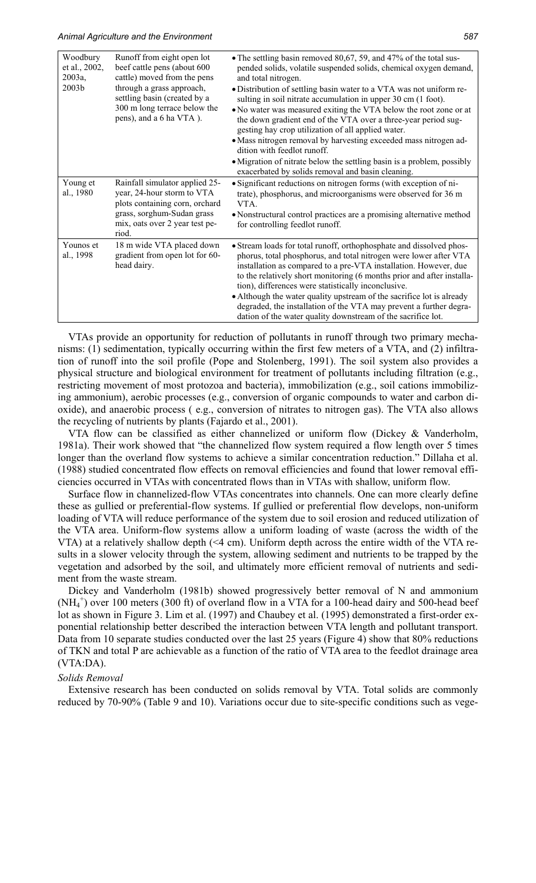| Woodbury<br>et al., 2002,<br>2003a,<br>2003b | Runoff from eight open lot<br>beef cattle pens (about 600<br>cattle) moved from the pens<br>through a grass approach,<br>settling basin (created by a<br>300 m long terrace below the<br>pens), and a 6 ha VTA). | • The settling basin removed 80,67, 59, and 47% of the total sus-<br>pended solids, volatile suspended solids, chemical oxygen demand,<br>and total nitrogen.<br>• Distribution of settling basin water to a VTA was not uniform re-<br>sulting in soil nitrate accumulation in upper 30 cm (1 foot).<br>• No water was measured exiting the VTA below the root zone or at<br>the down gradient end of the VTA over a three-year period sug-<br>gesting hay crop utilization of all applied water.<br>• Mass nitrogen removal by harvesting exceeded mass nitrogen ad-<br>dition with feedlot runoff.<br>• Migration of nitrate below the settling basin is a problem, possibly<br>exacerbated by solids removal and basin cleaning. |
|----------------------------------------------|------------------------------------------------------------------------------------------------------------------------------------------------------------------------------------------------------------------|--------------------------------------------------------------------------------------------------------------------------------------------------------------------------------------------------------------------------------------------------------------------------------------------------------------------------------------------------------------------------------------------------------------------------------------------------------------------------------------------------------------------------------------------------------------------------------------------------------------------------------------------------------------------------------------------------------------------------------------|
| Young et<br>al., 1980                        | Rainfall simulator applied 25-<br>year, 24-hour storm to VTA<br>plots containing corn, orchard<br>grass, sorghum-Sudan grass<br>mix, oats over 2 year test pe-<br>riod.                                          | • Significant reductions on nitrogen forms (with exception of ni-<br>trate), phosphorus, and microorganisms were observed for 36 m<br>VTA.<br>• Nonstructural control practices are a promising alternative method<br>for controlling feedlot runoff.                                                                                                                                                                                                                                                                                                                                                                                                                                                                                |
| Younos et<br>al., 1998                       | 18 m wide VTA placed down<br>gradient from open lot for 60-<br>head dairy.                                                                                                                                       | • Stream loads for total runoff, orthophosphate and dissolved phos-<br>phorus, total phosphorus, and total nitrogen were lower after VTA<br>installation as compared to a pre-VTA installation. However, due<br>to the relatively short monitoring (6 months prior and after installa-<br>tion), differences were statistically inconclusive.<br>• Although the water quality upstream of the sacrifice lot is already<br>degraded, the installation of the VTA may prevent a further degra-<br>dation of the water quality downstream of the sacrifice lot.                                                                                                                                                                         |

VTAs provide an opportunity for reduction of pollutants in runoff through two primary mechanisms: (1) sedimentation, typically occurring within the first few meters of a VTA, and (2) infiltration of runoff into the soil profile (Pope and Stolenberg, 1991). The soil system also provides a physical structure and biological environment for treatment of pollutants including filtration (e.g., restricting movement of most protozoa and bacteria), immobilization (e.g., soil cations immobilizing ammonium), aerobic processes (e.g., conversion of organic compounds to water and carbon dioxide), and anaerobic process ( e.g., conversion of nitrates to nitrogen gas). The VTA also allows the recycling of nutrients by plants (Fajardo et al., 2001).

VTA flow can be classified as either channelized or uniform flow (Dickey  $\&$  Vanderholm, 1981a). Their work showed that "the channelized flow system required a flow length over 5 times longer than the overland flow systems to achieve a similar concentration reduction." Dillaha et al. (1988) studied concentrated flow effects on removal efficiencies and found that lower removal efficiencies occurred in VTAs with concentrated flows than in VTAs with shallow, uniform flow.

Surface flow in channelized-flow VTAs concentrates into channels. One can more clearly define these as gullied or preferential-flow systems. If gullied or preferential flow develops, non-uniform loading of VTA will reduce performance of the system due to soil erosion and reduced utilization of the VTA area. Uniform-flow systems allow a uniform loading of waste (across the width of the VTA) at a relatively shallow depth (<4 cm). Uniform depth across the entire width of the VTA results in a slower velocity through the system, allowing sediment and nutrients to be trapped by the vegetation and adsorbed by the soil, and ultimately more efficient removal of nutrients and sediment from the waste stream.

Dickey and Vanderholm (1981b) showed progressively better removal of N and ammonium (NH<sub>4</sub><sup>+</sup>) over 100 meters (300 ft) of overland flow in a VTA for a 100-head dairy and 500-head beef lot as shown in Figure 3. Lim et al. (1997) and Chaubey et al. (1995) demonstrated a first-order exponential relationship better described the interaction between VTA length and pollutant transport. Data from 10 separate studies conducted over the last 25 years (Figure 4) show that 80% reductions of TKN and total P are achievable as a function of the ratio of VTA area to the feedlot drainage area (VTA:DA).

#### *Solids Removal*

Extensive research has been conducted on solids removal by VTA. Total solids are commonly reduced by 70-90% (Table 9 and 10). Variations occur due to site-specific conditions such as vege-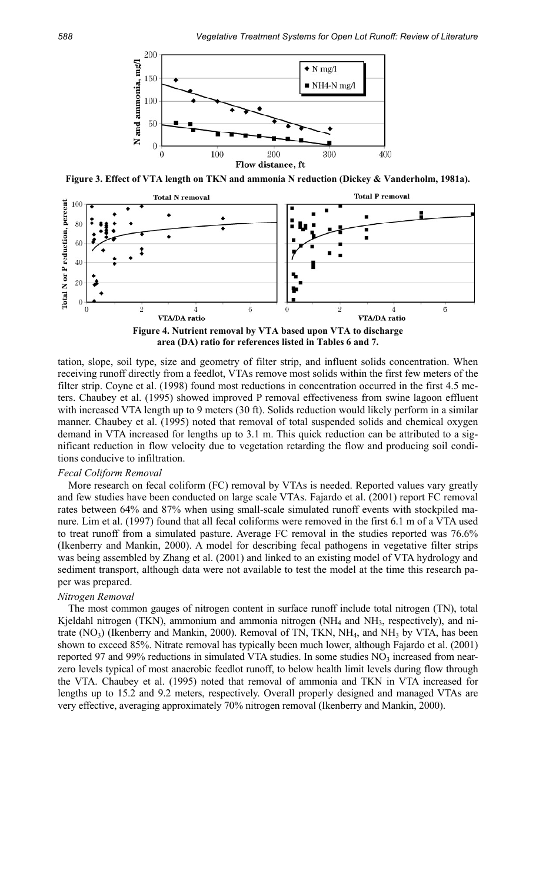

**Figure 3. Effect of VTA length on TKN and ammonia N reduction (Dickey & Vanderholm, 1981a).** 



**area (DA) ratio for references listed in Tables 6 and 7.** 

tation, slope, soil type, size and geometry of filter strip, and influent solids concentration. When receiving runoff directly from a feedlot, VTAs remove most solids within the first few meters of the filter strip. Coyne et al. (1998) found most reductions in concentration occurred in the first 4.5 meters. Chaubey et al. (1995) showed improved P removal effectiveness from swine lagoon effluent with increased VTA length up to 9 meters (30 ft). Solids reduction would likely perform in a similar manner. Chaubey et al. (1995) noted that removal of total suspended solids and chemical oxygen demand in VTA increased for lengths up to 3.1 m. This quick reduction can be attributed to a significant reduction in flow velocity due to vegetation retarding the flow and producing soil conditions conducive to infiltration.

#### *Fecal Coliform Removal*

More research on fecal coliform (FC) removal by VTAs is needed. Reported values vary greatly and few studies have been conducted on large scale VTAs. Fajardo et al. (2001) report FC removal rates between 64% and 87% when using small-scale simulated runoff events with stockpiled manure. Lim et al. (1997) found that all fecal coliforms were removed in the first 6.1 m of a VTA used to treat runoff from a simulated pasture. Average FC removal in the studies reported was 76.6% (Ikenberry and Mankin, 2000). A model for describing fecal pathogens in vegetative filter strips was being assembled by Zhang et al. (2001) and linked to an existing model of VTA hydrology and sediment transport, although data were not available to test the model at the time this research paper was prepared.

#### *Nitrogen Removal*

The most common gauges of nitrogen content in surface runoff include total nitrogen (TN), total Kjeldahl nitrogen (TKN), ammonium and ammonia nitrogen (NH<sub>4</sub> and NH<sub>3</sub>, respectively), and nitrate  $(NO<sub>3</sub>)$  (Ikenberry and Mankin, 2000). Removal of TN, TKN, NH<sub>4</sub>, and NH<sub>3</sub> by VTA, has been shown to exceed 85%. Nitrate removal has typically been much lower, although Fajardo et al. (2001) reported 97 and 99% reductions in simulated VTA studies. In some studies  $NO<sub>3</sub>$  increased from nearzero levels typical of most anaerobic feedlot runoff, to below health limit levels during flow through the VTA. Chaubey et al. (1995) noted that removal of ammonia and TKN in VTA increased for lengths up to 15.2 and 9.2 meters, respectively. Overall properly designed and managed VTAs are very effective, averaging approximately 70% nitrogen removal (Ikenberry and Mankin, 2000).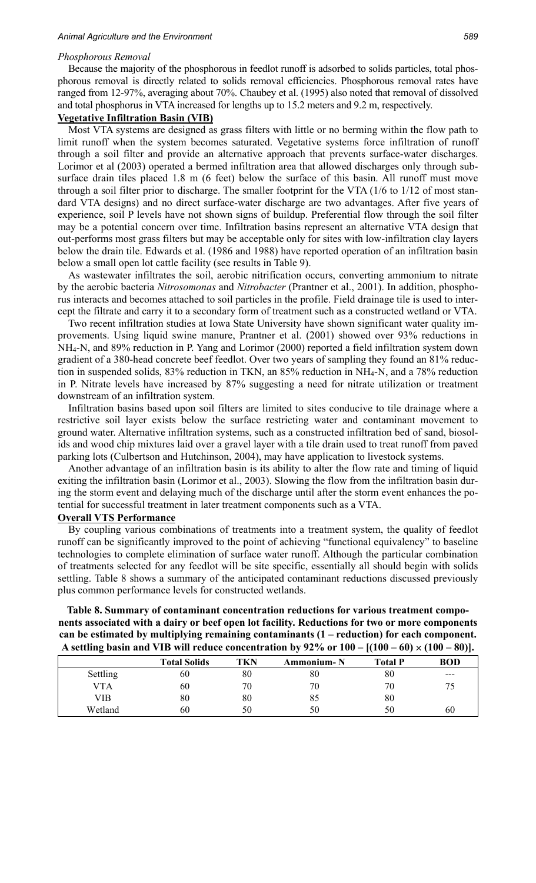#### *Phosphorous Removal*

Because the majority of the phosphorous in feedlot runoff is adsorbed to solids particles, total phosphorous removal is directly related to solids removal efficiencies. Phosphorous removal rates have ranged from 12-97%, averaging about 70%. Chaubey et al. (1995) also noted that removal of dissolved and total phosphorus in VTA increased for lengths up to 15.2 meters and 9.2 m, respectively.

# **Vegetative Infiltration Basin (VIB)**

Most VTA systems are designed as grass filters with little or no berming within the flow path to limit runoff when the system becomes saturated. Vegetative systems force infiltration of runoff through a soil filter and provide an alternative approach that prevents surface-water discharges. Lorimor et al (2003) operated a bermed infiltration area that allowed discharges only through subsurface drain tiles placed 1.8 m (6 feet) below the surface of this basin. All runoff must move through a soil filter prior to discharge. The smaller footprint for the VTA (1/6 to 1/12 of most standard VTA designs) and no direct surface-water discharge are two advantages. After five years of experience, soil P levels have not shown signs of buildup. Preferential flow through the soil filter may be a potential concern over time. Infiltration basins represent an alternative VTA design that out-performs most grass filters but may be acceptable only for sites with low-infiltration clay layers below the drain tile. Edwards et al. (1986 and 1988) have reported operation of an infiltration basin below a small open lot cattle facility (see results in Table 9).

As wastewater infiltrates the soil, aerobic nitrification occurs, converting ammonium to nitrate by the aerobic bacteria *Nitrosomonas* and *Nitrobacter* (Prantner et al., 2001). In addition, phosphorus interacts and becomes attached to soil particles in the profile. Field drainage tile is used to intercept the filtrate and carry it to a secondary form of treatment such as a constructed wetland or VTA.

Two recent infiltration studies at Iowa State University have shown significant water quality improvements. Using liquid swine manure, Prantner et al. (2001) showed over 93% reductions in NH4-N, and 89% reduction in P. Yang and Lorimor (2000) reported a field infiltration system down gradient of a 380-head concrete beef feedlot. Over two years of sampling they found an 81% reduction in suspended solids, 83% reduction in TKN, an 85% reduction in NH4-N, and a 78% reduction in P. Nitrate levels have increased by 87% suggesting a need for nitrate utilization or treatment downstream of an infiltration system.

Infiltration basins based upon soil filters are limited to sites conducive to tile drainage where a restrictive soil layer exists below the surface restricting water and contaminant movement to ground water. Alternative infiltration systems, such as a constructed infiltration bed of sand, biosolids and wood chip mixtures laid over a gravel layer with a tile drain used to treat runoff from paved parking lots (Culbertson and Hutchinson, 2004), may have application to livestock systems.

Another advantage of an infiltration basin is its ability to alter the flow rate and timing of liquid exiting the infiltration basin (Lorimor et al., 2003). Slowing the flow from the infiltration basin during the storm event and delaying much of the discharge until after the storm event enhances the potential for successful treatment in later treatment components such as a VTA.

#### **Overall VTS Performance**

By coupling various combinations of treatments into a treatment system, the quality of feedlot runoff can be significantly improved to the point of achieving "functional equivalency" to baseline technologies to complete elimination of surface water runoff. Although the particular combination of treatments selected for any feedlot will be site specific, essentially all should begin with solids settling. Table 8 shows a summary of the anticipated contaminant reductions discussed previously plus common performance levels for constructed wetlands.

**Table 8. Summary of contaminant concentration reductions for various treatment components associated with a dairy or beef open lot facility. Reductions for two or more components can be estimated by multiplying remaining contaminants (1 – reduction) for each component. A** settling basin and VIB will reduce concentration by  $92\%$  or  $100 - (100 - 60) \times (100 - 80)$ .

| -          |                     |     |                   | . .            | ,,         |
|------------|---------------------|-----|-------------------|----------------|------------|
|            | <b>Total Solids</b> | TKN | <b>Ammonium-N</b> | <b>Total P</b> | <b>BOD</b> |
| Settling   | 60                  | 80  | 80                | 80             | $---$      |
| <b>VTA</b> | 60                  | 70  | 70                | 70             | 75         |
| VIB        | 80                  | 80  | 85                | 80             |            |
| Wetland    | 60                  | 50  | 50                | 50             | 60         |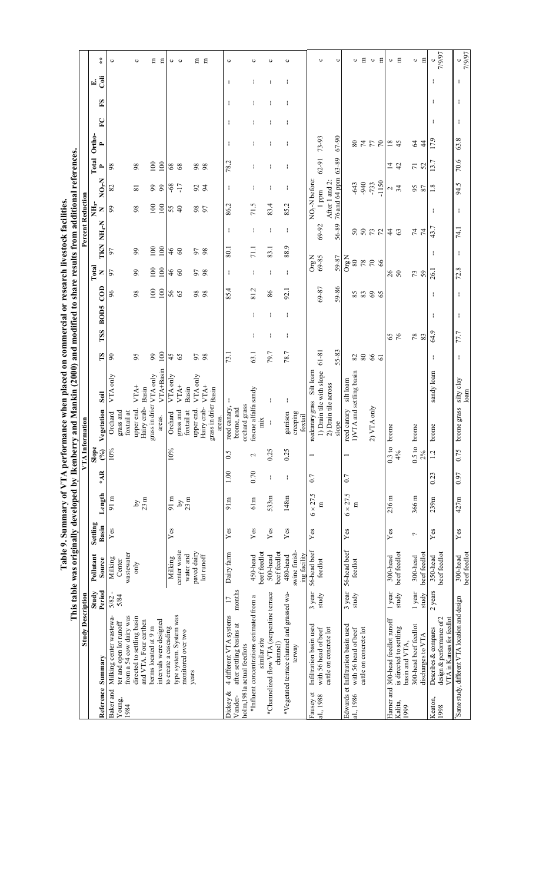|                                                                                                   | <b>Study Description</b> |                 | This table was originally developed by Ikenber: |                |                            |       |                 | ry and Mankin (2000) and modified to share results from additional references.<br>VT <u>A Information</u> |                  |                |            |             |                 |                       |               | Percent Reduction |                                     |                          |               |   |    |      |                   |
|---------------------------------------------------------------------------------------------------|--------------------------|-----------------|-------------------------------------------------|----------------|----------------------------|-------|-----------------|-----------------------------------------------------------------------------------------------------------|------------------|----------------|------------|-------------|-----------------|-----------------------|---------------|-------------------|-------------------------------------|--------------------------|---------------|---|----|------|-------------------|
|                                                                                                   |                          | Study           | Pollutant                                       | Settling       |                            |       | Slope           |                                                                                                           |                  |                |            |             |                 | Total                 |               | NН <sub>3</sub> - |                                     | Total                    | Ortho-        |   |    | E.   |                   |
| Reference Summary                                                                                 |                          | Period          | Source                                          | Basin          | Length                     | $*AR$ | $($ % $)$       | Soil<br>Vegetation                                                                                        |                  | ĽS             | TSS        | <b>BOD5</b> | $\overline{c}$  | Z                     | N-H-N<br>TKN  | z                 | $N_{0x}$                            | $\overline{\phantom{a}}$ | ≏             | P | ES | Coli | $\ast$            |
| Milking center wastewa-<br>Baker and                                                              |                          | $5/82 -$        | Milking                                         | Yes            | 91 m                       |       | 10%             | Orchard                                                                                                   | VTA only         | $\infty$       |            |             | $\delta$        | 57                    | 97            | 99                | $\infty$                            | 98                       |               |   |    |      | ပ                 |
| from a 54 cow dairy was<br>ter and open lot runoff<br>Young,<br>1984                              |                          | 5/84            | wastewater<br>Center                            |                |                            |       |                 | grass and<br>foxtail at                                                                                   |                  |                |            |             |                 |                       |               |                   |                                     |                          |               |   |    |      |                   |
| directed to settling basin                                                                        |                          |                 | only                                            |                | $\mathcal{S}_{\mathbf{q}}$ |       |                 | upper end.                                                                                                | VTA <sup>+</sup> | 95             |            |             | 98              | 99                    | 99            | 98                | 53                                  | 98                       |               |   |    |      | $\circ$           |
| and VTA. Four earthen                                                                             |                          |                 |                                                 |                | $23 \text{ m}$             |       |                 | Basin<br>Hairy crab-                                                                                      |                  |                |            |             |                 |                       |               |                   |                                     |                          |               |   |    |      |                   |
| berms located at 9 m                                                                              |                          |                 |                                                 |                |                            |       |                 | grass in drier VTA only                                                                                   |                  | 99             |            |             | 100             | 100                   | 100           | 100               | 99                                  | 100                      |               |   |    |      | Ξ                 |
| intervals were designed                                                                           |                          |                 |                                                 |                |                            |       |                 | areas.                                                                                                    | VTA+Basin        | 100            |            |             | 100             | 100                   | 100           | 100               | 99                                  | 100                      |               |   |    |      | Е                 |
| to create a cascading                                                                             |                          |                 | Milking                                         | Yes            | $91 \text{ m}$             |       | 10%             | Orchard                                                                                                   | VTA only         | 45             |            |             | 56<br>65        | 46                    | 46            | 55                | $-68$                               | $\sqrt{8}$               |               |   |    |      |                   |
| type system. System was                                                                           |                          |                 | center waste                                    |                | Σq                         |       |                 | grass and                                                                                                 | VTA <sup>+</sup> | 65             |            |             |                 | 60                    | $\infty$      |                   | $-17$                               | 68                       |               |   |    |      | ပေ                |
| monitored over two                                                                                |                          |                 | water and                                       |                | 23 <sub>m</sub>            |       |                 | foxtail at                                                                                                | Basin            |                |            |             |                 |                       |               |                   |                                     |                          |               |   |    |      |                   |
| years                                                                                             |                          |                 | paved dairy                                     |                |                            |       |                 | upper end                                                                                                 | VTA only         | 56             |            |             | 88              | 98                    | 56            | 97<br>97          | $\mathcal{S}$                       | 98                       |               |   |    |      | Ξ                 |
|                                                                                                   |                          |                 | lot runoff                                      |                |                            |       |                 | Hairy crab-                                                                                               | VTA <sup>+</sup> | 98             |            |             |                 |                       | 98            |                   | $\overline{5}$                      | 98                       |               |   |    |      | Е                 |
|                                                                                                   |                          |                 |                                                 |                |                            |       |                 | grass in drier Basin<br>areas.                                                                            |                  |                |            |             |                 |                       |               |                   |                                     |                          |               |   |    |      |                   |
| 4 different VTA systems<br>Dickey &                                                               |                          | 17              | Dairy farm                                      | Yes            | 91m                        | 1.00  | 0.5             | ł<br>reed canary,                                                                                         |                  | 73.1           |            |             | 85.4            | ÷                     | ÷<br>80.1     | 86.2              | ÷                                   | 78.2                     | ł             |   | ł  | ł    | ပ                 |
| after settling basins at<br>Vander-                                                               |                          | months          |                                                 |                |                            |       |                 | brome, and                                                                                                |                  |                |            |             |                 |                       |               |                   |                                     |                          |               |   |    |      |                   |
| holm, 1981a actual feedlots                                                                       |                          |                 |                                                 |                |                            |       |                 | orchard grass                                                                                             |                  |                |            |             |                 |                       |               |                   |                                     |                          |               |   |    |      |                   |
| *Influent concentrations estimated from a                                                         |                          |                 | 450-head                                        | Yes            | 61m                        | 0.70  | $\mathbf{\sim}$ | fescue alfalfa sandy                                                                                      |                  | 63.1           | ł          | ł           | 81.2            | ł                     | ÷<br>71.1     | 71.5              | ł                                   | ł                        |               |   |    | ł    | ω                 |
| similar site                                                                                      |                          |                 | beef feedlot                                    |                |                            |       |                 | mix                                                                                                       |                  |                |            |             |                 |                       |               |                   |                                     |                          |               |   |    |      |                   |
| *Channelized flow VTA (serpentine terrace<br>channel)                                             |                          |                 | beef feedlot<br>500-head                        | Yes            | 533m                       | ł     | 0.25            | ł<br>t                                                                                                    |                  | 79.7           | ÷          | ÷           | 86              | ÷                     | ÷<br>83.1     | 83.4              | ÷                                   | ÷                        | ÷             |   | ÷  | ÷    | ပ                 |
| *Vegetated terrace channel and grassed wa-                                                        |                          |                 | 480-head                                        | Yes            | 148m                       | ł     | 0.25            | ÷<br>garrison                                                                                             |                  | 78.7           | ł          | ł           | 92.1            | ÷                     | ÷<br>88.9     | 85.2              | ÷                                   | t                        | ł             | ł | ł  | t    | ပ                 |
| terway                                                                                            |                          |                 | swine finish-<br>ing facility                   |                |                            |       |                 | creeping<br>foxtail                                                                                       |                  |                |            |             |                 |                       |               |                   |                                     |                          |               |   |    |      |                   |
| Infiltration basin used<br>with 56 head of beef<br>Fausey et<br>al., 1988                         |                          | 3 year<br>study | 56-head beef<br>feedlot                         | Yes            | $6 \times 27.5$<br>Ξ       | 0.7   |                 | 1) Drain tile with slope<br>reedcanary grass                                                              | Silt loam        | 61-81          |            |             | 69-87           | $\rm{Org}$ N<br>69-85 | 69-92         |                   | NO <sub>3</sub> -N before:<br>1 ppm | 62-91                    | 73-93         |   |    |      | ပ                 |
| cattle on concrete lot                                                                            |                          |                 |                                                 |                |                            |       |                 | 2) Drain tile across                                                                                      |                  |                |            |             |                 |                       |               |                   | After 1 and 2:                      |                          |               |   |    |      |                   |
|                                                                                                   |                          |                 |                                                 |                |                            |       |                 | slope                                                                                                     |                  | 55-83          |            |             | 59-86           | 59-87                 | 56-89         |                   | 76 and 64 ppm                       | 63-89                    | 67-90         |   |    |      | ပ                 |
| Edwards et Infiltration basin used                                                                |                          | 3 year          | 56-head beef                                    | $\mathbf{Yes}$ | $6 \times 27.5$            | 0.7   |                 | reed canary                                                                                               | silt loam        |                |            |             |                 | $\mathrm{Org~N}$      |               |                   |                                     |                          |               |   |    |      |                   |
| with 56 head of beef<br>cattle on concrete lot<br>al., 1986                                       |                          | study           | feedlot                                         |                | Ξ                          |       |                 | 1)VTA and settling basin                                                                                  |                  | $\rm 80$<br>82 |            |             | 85<br>83        | $\rm 80$<br>78        | $50\,$<br>50  |                   | .940<br>-643                        |                          | 74<br>$80\,$  |   |    |      | Е<br>ပ            |
|                                                                                                   |                          |                 |                                                 |                |                            |       |                 | 2) VTA only                                                                                               |                  | $66$           |            |             | $\mathcal{C}^9$ | $70\,$                | 73            |                   | $-733$                              |                          | $77\,$        |   |    |      | $\circ$           |
|                                                                                                   |                          |                 |                                                 |                |                            |       |                 |                                                                                                           |                  | 5              |            |             | 65              | 66                    | 72            |                   | $-1150$                             |                          | $\sqrt{2}$    |   |    |      | Ξ                 |
| Harner and 300-head feedlot runoff                                                                |                          | 1 year          | 300-head                                        | $\mathbf{Yes}$ | 236 m                      |       | 0.3 to          | brome                                                                                                     |                  |                |            |             |                 | 26                    | $\frac{4}{3}$ |                   | Z                                   | $\vec{4}$                | 1845          |   |    |      | $\circ$           |
| is directed to settling<br>basin and VTA.<br>Kalita,<br>1999                                      |                          | study           | beef feedlot                                    |                |                            |       | 4%              |                                                                                                           |                  |                | $65$<br>76 |             |                 | 50                    | 63            |                   | 34                                  | $\ddot{c}$               |               |   |    |      | Е                 |
| 300-head beef feedlot                                                                             |                          | 1 year          | 300-head                                        | $\sim$         | 366 m                      |       | 0.5 to          | brome                                                                                                     |                  |                | 783        |             |                 | 73                    | 74<br>74      |                   | SS<br>87                            | 72                       | 64            |   |    |      | $\circ$           |
| discharges to VTA                                                                                 |                          | study           | beef feedlot                                    |                |                            |       | 2%              |                                                                                                           |                  |                |            |             |                 |                       |               |                   |                                     |                          | $\frac{4}{4}$ |   |    |      | Е                 |
| design & performance of 2<br>VTA in Kansas for feedlot<br>Describes & compares<br>Keaton,<br>1998 |                          | 2 years         | beef feedlot<br>350-head                        | Yes            | 239m                       | 0.23  | 1.2             | brome                                                                                                     | sandy loam       | ÷              | 64.9       | ÷           | ÷               | 26.1                  | 43.7<br>÷     | ÷                 | 1.8                                 | 13.7                     | 17.9          | ÷ | ÷  | ł    | 7/9/97<br>ပ       |
| Same study, different VTA location and design                                                     |                          |                 | beef feedlot<br>$300$ -head                     | Yes            | 427m                       | 0.97  | 0.75            | brome grass silty clay<br>loam                                                                            |                  | ÷              | 77.7       | ÷           | ÷               | 72.8                  | 74.1<br>÷     | ÷                 | 94.5                                | 70.6                     | 63.8          | ÷ | ÷  | ÷    | 7/9/97<br>$\circ$ |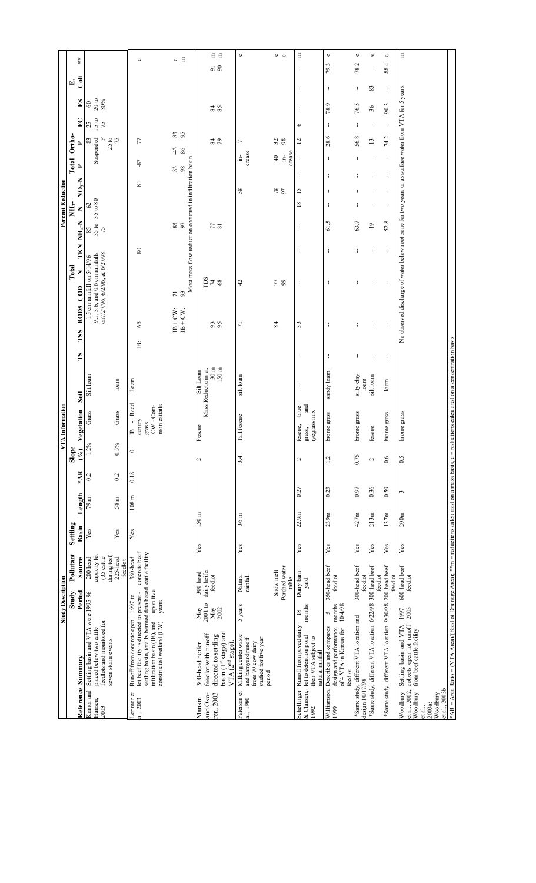|                                    |                                                                                                                                                        | <b>Study Description</b>     |                            |                |                  |          |                    | A Information<br>$\Sigma$            |                                  |              |                        |                                                                                                       |              |                        | <b>Percent Reduction</b>          |          |                                                     |                             |                          |     |                      |
|------------------------------------|--------------------------------------------------------------------------------------------------------------------------------------------------------|------------------------------|----------------------------|----------------|------------------|----------|--------------------|--------------------------------------|----------------------------------|--------------|------------------------|-------------------------------------------------------------------------------------------------------|--------------|------------------------|-----------------------------------|----------|-----------------------------------------------------|-----------------------------|--------------------------|-----|----------------------|
|                                    |                                                                                                                                                        | Study                        | Pollutant                  | Settling       |                  |          | Slope              |                                      |                                  |              |                        | Total                                                                                                 |              | $NH3$ -                |                                   | Total    | Ortho-                                              |                             |                          | E.  |                      |
|                                    | Reference Summary                                                                                                                                      | Period                       | Source                     | Basin          | Length           | AA       | (%)                | Vegetation                           | Soil                             | $\mathbf{S}$ | BOD5 COD<br><b>TSS</b> | z                                                                                                     | TKN          | Z<br>NH <sub>r</sub> N | N-S<br>Q                          | ≏        | $\sim$                                              | $\mathbf{F}$                | $_{\rm F}$ S             | Gii | $\star$              |
| Komor and                          | Settling basin and VTA were 1995-96                                                                                                                    |                              | $200$ head                 | Yes            | 79 m             | $^{0.2}$ | 1.2%               | Grass                                | Silt loam                        |              |                        | 1.5 cm rainfall on $5/14/96$                                                                          |              | 35 to 80               | $\mathcal{S}$                     |          | 83                                                  | 25                          | $\infty$                 |     |                      |
| Hansen,<br>2003                    | feedlots and monitored for<br>placed below two cattle                                                                                                  |                              | capacity lot<br>(35 cattle |                |                  |          |                    |                                      |                                  |              |                        | on7/27/96, 6/2/96, & 6/27/98<br>9.1, 3.6, and 0.6 cm rainfalls                                        |              | $\frac{85}{35}$ to 75  |                                   |          | Suspended                                           | 15 to<br>75<br>$\mathbf{r}$ | $20\,\mathrm{to}$<br>80% |     |                      |
|                                    | seven storm events                                                                                                                                     |                              | during test)<br>225-head   | Yes            | 58 <sub>m</sub>  | 0.2      | 0.5%               | Grass                                | loam                             |              |                        |                                                                                                       |              |                        |                                   |          | $25\,\mathrm{to}$ 75                                |                             |                          |     |                      |
|                                    |                                                                                                                                                        |                              | feedlot                    |                |                  |          |                    |                                      |                                  |              |                        |                                                                                                       |              |                        |                                   |          |                                                     |                             |                          |     |                      |
| Lorimor <sub>et</sub><br>al., 2003 | lot beef facility is directed to present -<br>Runoff from concrete open                                                                                | 1997 to                      | concrete beef<br>380-head  | $\mathbf{Yes}$ | $108~\mathrm{m}$ | 0.18     | $\circ$            | Reed<br>l,<br>canary<br>$\triangleq$ | Loam                             | 兽            | 65                     |                                                                                                       | $\rm 80$     |                        | $\overline{8}$                    | $-87$    | 77                                                  |                             |                          |     | $\circ$              |
|                                    | settling basin, totally bermed data based cattle facility<br>infiltration basin (IB), and                                                              | upon five                    |                            |                |                  |          |                    | grass.<br>CW - Com-                  |                                  |              |                        |                                                                                                       |              |                        |                                   |          |                                                     |                             |                          |     |                      |
|                                    | constructed wetland (CW)                                                                                                                               | years                        |                            |                |                  |          |                    | mon cattails                         |                                  |              |                        |                                                                                                       |              |                        |                                   |          |                                                     |                             |                          |     |                      |
|                                    |                                                                                                                                                        |                              |                            |                |                  |          |                    |                                      |                                  |              | $B + CW$<br>$B + CW$   | 93<br>$\overline{7}$                                                                                  |              | SS 58                  |                                   | 83<br>98 | -43<br>86                                           | <b>33</b>                   |                          |     | $O$ $E$              |
|                                    |                                                                                                                                                        |                              |                            |                |                  |          |                    |                                      |                                  |              |                        | Most mass flow reduction occurred in infiltration basin                                               |              |                        |                                   |          |                                                     |                             |                          |     |                      |
| and Oko-<br>Mankin                 | feedlot with runoff<br>300-head heifer                                                                                                                 | $2001$ to<br>May             | dairy heifer<br>300-head   | ${\bf Yes}$    | $150 \text{ m}$  |          | 2                  | Fescue                               | Mass Reductions at:<br>Silt Loam |              |                        | ms                                                                                                    |              |                        |                                   |          |                                                     |                             |                          |     |                      |
| ren, 2003                          | directed to settling                                                                                                                                   | $May$<br>$2002$              | feedlot                    |                |                  |          |                    |                                      | $30 \text{ m}$                   |              | 95                     | $74$ $88$                                                                                             |              | $\frac{1}{2}$          |                                   |          | $\frac{84}{5}$                                      |                             | $\frac{84}{15}$          |     | 日日<br>$\overline{9}$ |
|                                    | basin (1 <sup>st</sup> stage) and<br>VTA (2 <sup>nd</sup> stage).                                                                                      |                              |                            |                |                  |          |                    |                                      | $150 \text{ m}$                  |              |                        |                                                                                                       |              |                        |                                   |          |                                                     |                             |                          |     | 90                   |
| Paterson et                        | Milking center waste                                                                                                                                   | 5 years                      | Natural                    | Yes            | 36 <sub>m</sub>  |          | 3.4                | Tall fescue                          | silt loam                        |              | $\overline{7}$         | 4                                                                                                     |              |                        | 38                                |          | $\overline{ }$<br>ģ                                 |                             |                          |     | $\circ$              |
| al., 1980                          | and barnyard runoff<br>from 70 cow dairy                                                                                                               |                              | rainfall                   |                |                  |          |                    |                                      |                                  |              |                        |                                                                                                       |              |                        |                                   |          | crease                                              |                             |                          |     |                      |
|                                    | studied for five year                                                                                                                                  |                              |                            |                |                  |          |                    |                                      |                                  |              |                        |                                                                                                       |              |                        |                                   |          |                                                     |                             |                          |     |                      |
|                                    | period                                                                                                                                                 |                              | Snow melt                  |                |                  |          |                    |                                      |                                  |              | 84                     |                                                                                                       |              |                        |                                   |          | $\frac{1}{4}$                                       |                             |                          |     |                      |
|                                    |                                                                                                                                                        |                              | Perched water              |                |                  |          |                    |                                      |                                  |              |                        | 57                                                                                                    |              |                        | 78<br>97                          |          | 32<br>$\frac{1}{\sqrt{2}}$                          |                             |                          |     | $\circ$ $\circ$      |
| Schellinger                        | Runoff from paved dairy                                                                                                                                | $\frac{8}{18}$               | Dairy barn-<br>table       | Yes            | 22.9m            | 0.27     | $\mathbf{\hat{c}}$ | blue-<br>fescue,                     | ł                                | ł            | 33                     | ł                                                                                                     | ł            | ł                      | $\overline{15}$<br>$\frac{8}{10}$ | ÷        | $\overline{\mathbf{c}}$<br>crease<br>$\mathfrak{t}$ | $\circ$                     | ÷                        | ÷   | E<br>ł               |
| $&$ Clausen,                       | lot to detention pond                                                                                                                                  | months                       | yard                       |                |                  |          |                    | and<br>grass,                        |                                  |              |                        |                                                                                                       |              |                        |                                   |          |                                                     |                             |                          |     |                      |
| 1992                               | then VTA subject to<br>natural rainfall                                                                                                                |                              |                            |                |                  |          |                    | ryegrass mix                         |                                  |              |                        |                                                                                                       |              |                        |                                   |          |                                                     |                             |                          |     |                      |
| 1999                               | design and performance<br>Williamson, Describes and compares                                                                                           | months<br>$\mathbf{\hat{z}}$ | 350-head beef<br>feedlot   | $\mathbf{Yes}$ | 239m             | 0.23     | 1.2                | brome grass                          | sandy loam                       | ÷            | ÷                      | $\mathbf{I}$                                                                                          | $\mathbf{I}$ | 61.5                   | ÷<br>J,                           | ÷        | 28.6<br>f,                                          | $\mathbf{I}$                | 78.9                     | f,  | $\circ$<br>79.3      |
|                                    | of 4 VTA in Kansas for<br>feedlot                                                                                                                      | 10/4/98                      |                            |                |                  |          |                    |                                      |                                  |              |                        |                                                                                                       |              |                        |                                   |          |                                                     |                             |                          |     |                      |
| design 10/17/98                    | *Same study, different VTA location and                                                                                                                |                              | 300-head beef<br>feedlot   | Yes            | 427m             | 0.97     | 0.75               | brome grass                          | silty clay<br>loam               | ÷            | ÷                      | ÷                                                                                                     | ł            | 63.7                   |                                   |          | 56.8                                                |                             | 76.5                     | ÷   | $\circ$<br>78.2      |
|                                    | *Same study, different VTA location 6/22/98 300-head beef                                                                                              |                              | feedlot                    | Yes            | 213m             | 0.36     | $\mathbf{c}$       | fescue                               | silt loam                        | ÷            | ÷                      | ÷                                                                                                     | ÷            | $\overline{0}$         | H                                 |          | $\mathbf{r}$<br>÷                                   | ÷                           | 36                       | 83  | $\circ$<br>÷         |
|                                    | *Same study, different VTA location 9/30/98 200-head beef                                                                                              |                              | feedlot                    | Yes            | 137m             | 0.59     | 0.6                | brome grass                          | loam                             | ÷            | ÷                      | ł                                                                                                     | ÷            | 52.8                   | H                                 | ł        | 74.2<br>÷                                           | ÷                           | 90.3                     | ÷   | $\circ$<br>88.4      |
| et al., 2002;<br>Woodbury          | collects open lot runoff<br>Settling basin and VTA                                                                                                     | 1997-<br>2003                | 600-head beef<br>feedlot   | Yes            | 200m             | 3        | 0.5                | brome grass                          |                                  |              |                        | No observed discharge of water below root zone for two years or as surface water from VTA for 5 years |              |                        |                                   |          |                                                     |                             |                          |     | $\Xi$                |
| Woodbury<br>et al.,                | from beef cattle facility                                                                                                                              |                              |                            |                |                  |          |                    |                                      |                                  |              |                        |                                                                                                       |              |                        |                                   |          |                                                     |                             |                          |     |                      |
| 2003a;                             |                                                                                                                                                        |                              |                            |                |                  |          |                    |                                      |                                  |              |                        |                                                                                                       |              |                        |                                   |          |                                                     |                             |                          |     |                      |
| et al., 2003b<br>Woodbury          |                                                                                                                                                        |                              |                            |                |                  |          |                    |                                      |                                  |              |                        |                                                                                                       |              |                        |                                   |          |                                                     |                             |                          |     |                      |
|                                    | *AR = Area Ratio = (VTA Area)/(Feedlot Drainage Area); **m = reductions calculated on a mass basis, c = reductions calculated on a concentration basis |                              |                            |                |                  |          |                    |                                      |                                  |              |                        |                                                                                                       |              |                        |                                   |          |                                                     |                             |                          |     |                      |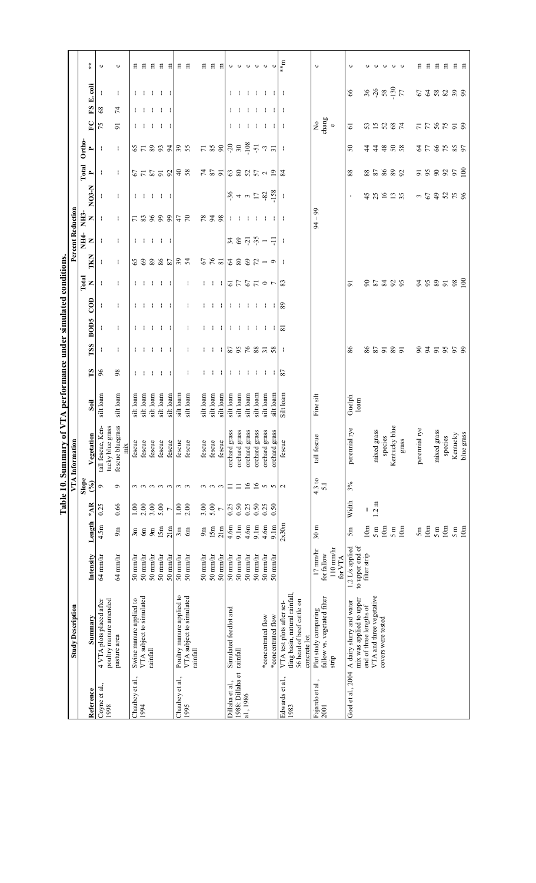|                                                                  |                          |                   |                      | ပ                                                                   | $\circ$          |     | 묩                                          | Ε                        | 日                          |                     | $E$ $E$             |                                              | E E                                  |           | $E$ $E$           | Ξ                              |                                                                                                                                                                                                                                                                                                                     |                              | 0000               |                    | $\circ$                     | $\circ$            | m**                                                                                                                         | $\circ$                                                                |                        | ပ                                             |                          |                         |                                 |                    | ပေ              |                        | Ξ             | Ξ   | Ξ                              | Ε   | 日               | Ξ               |
|------------------------------------------------------------------|--------------------------|-------------------|----------------------|---------------------------------------------------------------------|------------------|-----|--------------------------------------------|--------------------------|----------------------------|---------------------|---------------------|----------------------------------------------|--------------------------------------|-----------|-------------------|--------------------------------|---------------------------------------------------------------------------------------------------------------------------------------------------------------------------------------------------------------------------------------------------------------------------------------------------------------------|------------------------------|--------------------|--------------------|-----------------------------|--------------------|-----------------------------------------------------------------------------------------------------------------------------|------------------------------------------------------------------------|------------------------|-----------------------------------------------|--------------------------|-------------------------|---------------------------------|--------------------|-----------------|------------------------|---------------|-----|--------------------------------|-----|-----------------|-----------------|
|                                                                  |                          |                   | E. coli              |                                                                     | ÷                |     |                                            |                          |                            |                     | $1 - 1 - 1 - 1 - 1$ |                                              |                                      |           |                   |                                | ÷.                                                                                                                                                                                                                                                                                                                  |                              |                    |                    |                             |                    |                                                                                                                             |                                                                        |                        | $99$                                          |                          |                         |                                 |                    |                 | $369$<br>$759$<br>$77$ | 53.883.98     |     |                                |     |                 |                 |
|                                                                  |                          |                   | $\mathbf{E}$         | 68                                                                  | $\mathbf{z}$     |     |                                            |                          |                            | $1 - 1 - 1 - 1 - 1$ |                     |                                              |                                      |           |                   |                                |                                                                                                                                                                                                                                                                                                                     | $\mathbf{1}$                 | -134               |                    | - 1                         | H.                 |                                                                                                                             |                                                                        |                        |                                               |                          |                         |                                 |                    |                 |                        |               |     |                                |     |                 |                 |
|                                                                  |                          |                   | $\mathbf{E}$         | 75                                                                  | 51               |     |                                            |                          |                            |                     | $1 - 1 - 1 - 1 - 1$ |                                              |                                      |           |                   |                                |                                                                                                                                                                                                                                                                                                                     | $\mathbf{1}$                 | -184               |                    | ÷.                          | -114               |                                                                                                                             | $_{\rm change}^{\rm No}$                                               |                        | $\overline{6}$                                |                          |                         |                                 | 32887              |                 |                        |               |     | 7788758                        |     |                 |                 |
|                                                                  |                          | Ortho-            | $\spadesuit$         | J.                                                                  | ÷.               |     |                                            |                          |                            |                     |                     | $8 - 2$ $5 - 3$ $1 - 2$                      |                                      |           |                   |                                |                                                                                                                                                                                                                                                                                                                     |                              |                    |                    |                             |                    |                                                                                                                             |                                                                        |                        | $50^{\circ}$                                  |                          |                         |                                 | 44388              |                 |                        |               |     | 358585                         |     |                 |                 |
|                                                                  |                          | Total             | $\blacktriangle$     | ÷                                                                   | ÷                |     |                                            |                          |                            |                     | 57558               |                                              | $\frac{4}{9}$ %                      |           |                   | $\frac{16}{2}$ & $\frac{2}{2}$ |                                                                                                                                                                                                                                                                                                                     |                              | 3887799            |                    |                             |                    | 84                                                                                                                          |                                                                        |                        | $88\,$                                        |                          |                         |                                 | 82882              |                 |                        |               |     | 588852                         |     |                 |                 |
|                                                                  |                          |                   | NO3-N                |                                                                     | ÷                |     |                                            |                          |                            |                     | $1 - 1 - 1 - 1 - 1$ |                                              |                                      |           |                   |                                | $\frac{36}{7}$ + n $\frac{5}{7}$ $\frac{28}{158}$                                                                                                                                                                                                                                                                   |                              |                    |                    |                             |                    | ÷                                                                                                                           |                                                                        |                        |                                               |                          | 4580                    |                                 |                    | 13 <sub>5</sub> |                        |               |     | $-59858$                       |     |                 |                 |
|                                                                  |                          | NH <sub>3</sub> - | Z                    |                                                                     | ÷                |     |                                            |                          |                            |                     |                     | $7.3888$ $772$                               |                                      |           |                   | 7878                           |                                                                                                                                                                                                                                                                                                                     |                              | .                  |                    |                             |                    |                                                                                                                             | $-99$<br>$\overline{5}$                                                |                        |                                               |                          |                         |                                 |                    |                 |                        |               |     |                                |     |                 |                 |
|                                                                  | Percent Reduction        | NH4-              | $\mathbb{Z}$         | н.                                                                  | ÷.               |     |                                            |                          |                            |                     | $1 - 1 - 1 - 1 - 1$ |                                              |                                      |           |                   |                                | $\frac{1}{2}$ $\frac{1}{2}$ $\frac{1}{2}$ $\frac{1}{2}$ $\frac{1}{2}$ $\frac{1}{2}$ $\frac{1}{2}$ $\frac{1}{2}$ $\frac{1}{2}$ $\frac{1}{2}$ $\frac{1}{2}$ $\frac{1}{2}$ $\frac{1}{2}$ $\frac{1}{2}$ $\frac{1}{2}$ $\frac{1}{2}$ $\frac{1}{2}$ $\frac{1}{2}$ $\frac{1}{2}$ $\frac{1}{2}$ $\frac{1}{2}$ $\frac{1}{2}$ |                              |                    |                    |                             |                    |                                                                                                                             |                                                                        |                        |                                               |                          |                         |                                 |                    |                 |                        |               |     |                                |     |                 |                 |
|                                                                  |                          |                   | TKN                  |                                                                     | ÷.               |     |                                            |                          |                            |                     |                     | 88885777                                     |                                      |           |                   | $67$ $81$                      | $388K - 9$                                                                                                                                                                                                                                                                                                          |                              |                    |                    |                             |                    |                                                                                                                             |                                                                        |                        |                                               |                          |                         |                                 |                    |                 |                        |               |     |                                |     |                 |                 |
|                                                                  |                          |                   | $Total$ $X$          |                                                                     | ÷.               |     |                                            |                          |                            |                     | $1 - 1 - 1 - 1 - 1$ |                                              | ÷                                    |           |                   |                                | 11   55570   3                                                                                                                                                                                                                                                                                                      |                              |                    |                    |                             |                    |                                                                                                                             |                                                                        |                        | $\overline{5}$                                |                          |                         |                                 | 85388              |                 |                        |               |     | 2835                           |     | $\frac{8}{100}$ |                 |
|                                                                  |                          |                   | $\overline{C}$       |                                                                     | ÷                |     | ÷                                          |                          |                            |                     | <b>TELEST</b>       |                                              | ÷                                    |           | $\mathbf{1}$      | - 11                           |                                                                                                                                                                                                                                                                                                                     | <b>TEMP</b>                  | - 100              |                    | $\frac{1}{8}$ $\frac{1}{8}$ |                    |                                                                                                                             |                                                                        |                        |                                               |                          |                         |                                 |                    |                 |                        |               |     |                                |     |                 |                 |
|                                                                  |                          |                   | <b>BOD5</b>          |                                                                     | ÷                |     |                                            |                          |                            |                     | 4 4 4 4 4           |                                              | ÷                                    |           |                   | 4 H 4                          |                                                                                                                                                                                                                                                                                                                     |                              | 111111112          |                    |                             |                    |                                                                                                                             |                                                                        |                        |                                               |                          |                         |                                 |                    |                 |                        |               |     |                                |     |                 |                 |
|                                                                  |                          |                   | TSS                  |                                                                     | ÷                |     |                                            |                          |                            |                     | $1 - 1 - 1 - 1 - 1$ |                                              | ÷                                    |           |                   |                                | 11   288822                                                                                                                                                                                                                                                                                                         |                              |                    |                    |                             |                    | - I                                                                                                                         |                                                                        |                        | 86                                            |                          |                         |                                 | 85787              |                 |                        |               |     | 835858                         |     |                 |                 |
|                                                                  |                          |                   | $\mathbf{S}$         | 96                                                                  | 98               |     |                                            |                          |                            |                     | $1 - 1 - 1 - 1 - 1$ |                                              | ÷                                    |           | $\mathbf{1}$      | - 11                           |                                                                                                                                                                                                                                                                                                                     |                              | $-1$ , $-1$ , $-1$ |                    | $\frac{1}{8}$               |                    |                                                                                                                             |                                                                        |                        |                                               |                          |                         |                                 |                    |                 |                        |               |     |                                |     |                 |                 |
|                                                                  |                          |                   | Soil                 | silt loam                                                           | silt loam        |     | silt loam                                  | silt loam                | silt loam                  | silt loam           | silt loam           | silt loam                                    | silt loam                            | silt loam | silt loam         | silt loam                      | silt loam                                                                                                                                                                                                                                                                                                           | silt loam                    | silt loam          | silt loam          | silt loam                   | silt loam          | Silt loam                                                                                                                   | Fine silt                                                              |                        | ${\rm Gue} {\rm b} {\rm h}$ loam              |                          |                         |                                 |                    |                 |                        |               |     |                                |     |                 |                 |
|                                                                  |                          |                   |                      |                                                                     |                  |     |                                            |                          |                            |                     |                     |                                              |                                      |           |                   |                                |                                                                                                                                                                                                                                                                                                                     |                              |                    |                    |                             |                    |                                                                                                                             |                                                                        |                        |                                               |                          |                         |                                 |                    |                 |                        |               |     |                                |     |                 |                 |
| Table 10. Summary of VTA performance under simulated conditions. | VTA Informati            |                   | Vegetation           | tall fescue, Ken-<br>tucky blue grass                               | fescue bluegrass | mix | fescue                                     | fescue                   | fescue                     | fescue              | fescue              | fescue                                       | fescue                               |           | fescue<br>fescue  | fescue                         | grass<br>orchard                                                                                                                                                                                                                                                                                                    | grass<br>orchard             | grass<br>orchard   | grass<br>orchard   | grass<br>orchard            | grass<br>orchard   | $\mathbf{B}$<br>fesci                                                                                                       | tall fescue                                                            |                        | perennial rye                                 |                          |                         | iixed grass<br>species<br>mixec |                    | Kentucky blue   | grass                  | perennial rye |     | ixed grass<br>species<br>mixed |     | Kentucky        | blue grass      |
|                                                                  |                          | Slope             | $($ %)               | Ó                                                                   | Ó                |     |                                            |                          | $\omega$ $\omega$ $\omega$ |                     | $\frac{1}{2}$       |                                              | $\omega$ $\omega$                    |           | $\omega$ $\omega$ | $\mathbf{c}$                   | $\equiv$                                                                                                                                                                                                                                                                                                            | $\equiv$                     | $\overline{16}$    | 16                 | $\sim$                      | $\sim$             | $\mathbf{\sim}$                                                                                                             | 4.3 to<br>5.1                                                          |                        | 3%                                            |                          |                         |                                 |                    |                 |                        |               |     |                                |     |                 |                 |
|                                                                  |                          |                   | $*AB$                | 0.25                                                                | 0.66             |     | 1.00                                       | 2.00                     | 3.00                       | 5.00                |                     | 1.00                                         | 2.00                                 | 3.00      | 5.00              | $\overline{r}$                 | 0.25                                                                                                                                                                                                                                                                                                                | 0.50                         | 0.25               | 0.50               | 0.25                        | 0.50               |                                                                                                                             |                                                                        |                        | Width                                         |                          | 11                      | 1.2 m                           |                    |                 |                        |               |     |                                |     |                 |                 |
|                                                                  |                          |                   | Length               | 4.5m                                                                | 9m               |     | 3m                                         | 6m                       | 9m                         | 15m                 | 21m                 | 3m                                           | 6m                                   | 9m        | 15m               | 21m                            | 4.6m                                                                                                                                                                                                                                                                                                                | 9.1m                         | 4.6m               | 9.1m               | 4.6m                        | 9.1m               | 2x30m                                                                                                                       | 30 <sub>m</sub>                                                        |                        | 5m                                            |                          | 10m                     | 5 <sub>m</sub>                  | 10m                | 5m              | 10m                    | 5m            | 10m | $5 \text{ m}$                  | 10m | 5 <sub>m</sub>  | 10 <sub>m</sub> |
|                                                                  |                          |                   | Intensity            | 64 mm/hr                                                            | $64$ mm/hr       |     | $50 \text{ mm/hr}$                         | 50 mm/hr                 | $50 \text{ mm/hr}$         | 50 mm/hr            | $50$ mm/hr          | $50 \text{ mm/hr}$                           | 50 mm/hr                             | 50 mm/hr  | 50 mm/hr          | 50 mm/hr                       | 50 mm/hr                                                                                                                                                                                                                                                                                                            | 50 mm/hr                     | 50 mm/hr           | $50 \text{ mm/hr}$ | $50 \text{ mm/hr}$          | $50 \text{ mm/hr}$ |                                                                                                                             | $17 \text{ mm/hr}$<br>for fallow                                       | $110$ mm/hr<br>for VTA | 1.2 L/s applied                               | to upper end of          | filter strip            |                                 |                    |                 |                        |               |     |                                |     |                 |                 |
|                                                                  | <b>Study Description</b> |                   | Summary<br>Reference | 4 VTA plots placed after<br>poultry manure amended<br>Coyne et al., | pasture area     |     | Swine manure applied to<br>Chaubey et al., | VTA subject to simulated | rainfall                   |                     |                     | Poultry manure applied to<br>Chaubey et al., | VTA subject to simulated<br>rainfall |           |                   |                                | Simulated feedlot and<br>Dillaha et al.,                                                                                                                                                                                                                                                                            | rainfall<br>1988: Dillaha et | al., 1986          |                    | *concentrated flow          | *concentrated flow | tling basin, natural rainfall,<br>56 head of beef cattle on<br>VTA test plots after set-<br>concrete lot<br>Edwards et al., | fallow vs. vegetated filter<br>Plot study comparing<br>Fajardo et al., | strip                  | A dairy slurry and water<br>Goel et al., 2004 | mix was applied to upper | end of three lengths of | VTA and three vegetative        | covers were tested |                 |                        |               |     |                                |     |                 |                 |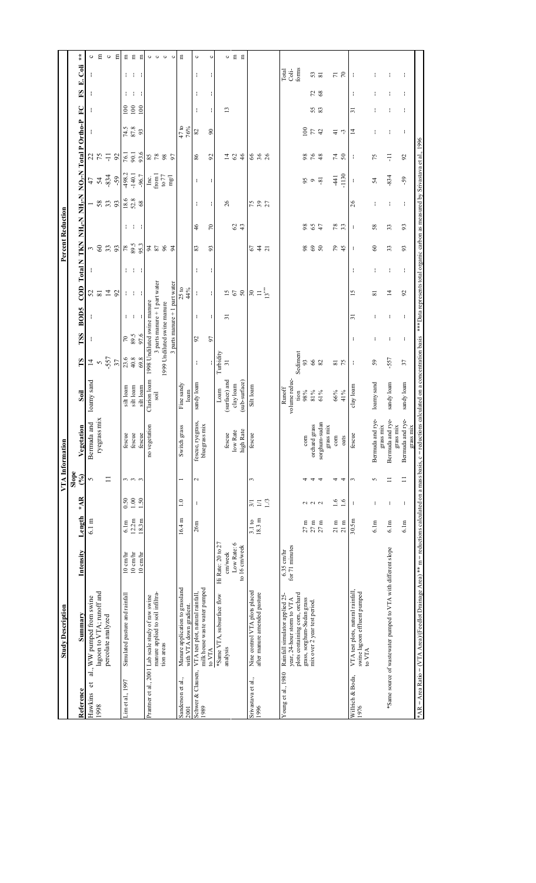|                            | <b>Study Description</b>                                                                                                                                                                                                      |                              |                                      |                  |                        | VTA Information                                               |                         |                             |                                  |                |                         |         | <b>Percent Reduction</b> |                                                            |                                                                           |                |                                                       |                                                              |     |                         |             |
|----------------------------|-------------------------------------------------------------------------------------------------------------------------------------------------------------------------------------------------------------------------------|------------------------------|--------------------------------------|------------------|------------------------|---------------------------------------------------------------|-------------------------|-----------------------------|----------------------------------|----------------|-------------------------|---------|--------------------------|------------------------------------------------------------|---------------------------------------------------------------------------|----------------|-------------------------------------------------------|--------------------------------------------------------------|-----|-------------------------|-------------|
| Reference                  | Summary                                                                                                                                                                                                                       | Intensity                    | Length                               | $*AB$            | Slope<br>$\mathcal{S}$ |                                                               | Soil                    | $\mathbf{r}$                | TSS                              | BOD5           | con                     | Total N | TKN                      | NH <sub>+</sub> N                                          |                                                                           |                | NH <sub>3</sub> -N NO <sub>3</sub> -N Total P Ortho-P | $\mathbf{E}$                                                 | S   | Coli<br>E,              | $\ddot{*}$  |
|                            |                                                                                                                                                                                                                               |                              |                                      |                  |                        | Vegetation                                                    |                         |                             |                                  |                |                         |         |                          |                                                            |                                                                           |                |                                                       |                                                              |     |                         |             |
| đ<br>Hawkins               | al., WW pumped from swine                                                                                                                                                                                                     |                              | $6.1 \text{ m}$                      |                  | 5                      | Bermuda and                                                   | loamy sand              | $\frac{1}{4}$               |                                  |                | 52                      |         | $\frac{3}{6}$            |                                                            |                                                                           |                |                                                       |                                                              |     |                         | $\circ$     |
| 1998                       | lagoon to VTA; runoff and                                                                                                                                                                                                     |                              |                                      |                  |                        | ryegrass mix                                                  |                         |                             |                                  |                |                         |         |                          |                                                            |                                                                           |                |                                                       |                                                              |     |                         | Ξ           |
|                            | percolate analyzed                                                                                                                                                                                                            |                              |                                      |                  | $\equiv$               |                                                               |                         |                             |                                  |                | $\Xi$                   |         |                          |                                                            |                                                                           |                |                                                       |                                                              |     |                         | $\circ$     |
|                            |                                                                                                                                                                                                                               |                              |                                      |                  |                        |                                                               |                         | $-557$<br>37                |                                  |                | 92                      |         | 33                       | $-8.33$                                                    | $47$<br>$54$<br>$-834$<br>$-98.2$<br>$-140.1$                             | $225 - 52$     |                                                       |                                                              |     |                         | Ε           |
| im et al., 1997.           | Simulated pasture and rainfall                                                                                                                                                                                                | $10 \text{ cm/hr}$           | 6.1m                                 | 0.50             | 3                      |                                                               | silt loam               |                             | $\frac{6}{68}$<br>89.5           | ł.             |                         |         |                          |                                                            |                                                                           | 76.1           |                                                       | $\begin{array}{c}\n 0.000 \\  0.000 \\  0.001\n \end{array}$ | ÷.  |                         |             |
|                            |                                                                                                                                                                                                                               | $10 \text{ cm/hr}$           | 12.2m                                |                  | $\frac{1}{2}$          | $\begin{array}{c} \text{fescue} \\ \text{fescue} \end{array}$ | silt loam               |                             |                                  |                | t to                    | t t     |                          | $\begin{array}{l} 18.6 \\ 52.8 \\ 68 \end{array}$<br>1 T T |                                                                           |                | $\frac{74.5}{87.8}$                                   |                                                              | - 1 | t t                     | E E E       |
|                            |                                                                                                                                                                                                                               | 10 cm/hr                     | 18.3m                                | 1.50             |                        | fescue                                                        | silt loam               | $23.8$<br>$40.8$<br>$69.8$  |                                  | - 1 - 1        |                         |         | $78$<br>$89.5$<br>$95.3$ |                                                            | -96.7                                                                     | 93.6           | 93                                                    |                                                              |     |                         |             |
|                            | Prantner et al., 2001 Lab scale study of raw swine                                                                                                                                                                            |                              |                                      |                  |                        | no vegetation                                                 | Clarion loam            | 1998 Undiluted swine manure |                                  |                |                         |         | $2\,$ $2\,$              |                                                            |                                                                           | 85<br>78       |                                                       |                                                              |     |                         |             |
|                            | manure applied to soil infiltra-                                                                                                                                                                                              |                              |                                      |                  |                        |                                                               | soil                    |                             | $3$ parts manure $+1$ part water |                |                         |         |                          |                                                            | $\begin{array}{c} \text{Inc.}\\ \text{from 1}\\ \text{to }77 \end{array}$ |                |                                                       |                                                              |     |                         | 000         |
|                            | tion areas                                                                                                                                                                                                                    |                              |                                      |                  |                        |                                                               |                         | 1999 Undiluted swine manure |                                  |                |                         |         | $96$                     |                                                            |                                                                           | <b>88</b>      |                                                       |                                                              |     |                         |             |
|                            |                                                                                                                                                                                                                               |                              |                                      |                  |                        |                                                               |                         |                             | $3$ parts manure $+1$ part water |                |                         |         | 54                       |                                                            | mg/                                                                       |                |                                                       |                                                              |     |                         | $\circ$     |
| Sanderson et al.,<br>2001  | Manure application to grassland<br>with VTA down gradient.                                                                                                                                                                    |                              | 16.4 m                               | $\frac{0}{1}$    |                        | Switch grass                                                  | Fine sandy<br>loam      |                             |                                  |                | 25 to<br>44%            |         |                          |                                                            |                                                                           |                | $\frac{47}{16%}$                                      |                                                              |     |                         | Ξ           |
| Schwer & Clausen,<br>1989  | milk house waste water pumped<br>VTA test plot, natural rainfall                                                                                                                                                              |                              | 26m                                  | J,               | 2                      | fescue, ryegrass,<br>bluegrass mix<br>fescue,                 | sandy loam              | ÷                           | 92                               | ÷              | ÷                       | ÷       | 83                       | ÷<br>$\frac{6}{5}$                                         | ÷                                                                         | 86             | 82                                                    | $\mathbf{I}$                                                 | ÷   | t                       | $\circ$     |
|                            | to VTA                                                                                                                                                                                                                        |                              |                                      |                  |                        |                                                               |                         | ł.                          | 57                               | H.             | ł.                      | ł.      | 93                       | ł.<br>$\approx$                                            | ł                                                                         | $\mathfrak{D}$ | $\boldsymbol{90}$                                     | ł.                                                           | ł.  | ŧ                       | $\circ$     |
|                            | *Same VTA, subsurface flow                                                                                                                                                                                                    | Hi Rate: 20 to 27            |                                      |                  |                        |                                                               | L <sub>o</sub> am       | Turbidity                   |                                  |                |                         |         |                          |                                                            |                                                                           |                |                                                       |                                                              |     |                         |             |
|                            | analysis                                                                                                                                                                                                                      | cm/week                      |                                      |                  |                        | fescue                                                        | (surface) and           | $\overline{31}$             |                                  | $\overline{5}$ |                         |         |                          | 26                                                         |                                                                           |                |                                                       | $\mathbf{r}$                                                 |     |                         |             |
|                            |                                                                                                                                                                                                                               | Low Rate: 6                  |                                      |                  |                        | Rate<br>$_{\rm low}$                                          | clay loam               |                             |                                  |                | $\frac{15}{67}$         |         |                          | 84                                                         |                                                                           | 1484           |                                                       |                                                              |     |                         | $O$ $E$ $E$ |
|                            |                                                                                                                                                                                                                               | to 16 cm/week                |                                      |                  |                        | Rate<br>high                                                  | (sub-surface)           |                             |                                  |                |                         |         |                          |                                                            |                                                                           |                |                                                       |                                                              |     |                         |             |
| Srivastava et al.,<br>1996 | Nine control VTA plots placed                                                                                                                                                                                                 |                              | 3.1 to                               | 3/1              | 3                      | fescue                                                        | Silt loam               |                             |                                  |                | $\approx$ $\frac{1}{2}$ |         | <b>e</b> a u             | <b>75</b><br>39<br>27                                      |                                                                           | 8880           |                                                       |                                                              |     |                         |             |
|                            | after manure amended pasture                                                                                                                                                                                                  |                              | 18.3 <sub>m</sub>                    | $\Xi$            |                        |                                                               |                         |                             |                                  |                |                         |         |                          |                                                            |                                                                           |                |                                                       |                                                              |     |                         |             |
|                            |                                                                                                                                                                                                                               |                              |                                      | 1/3              |                        |                                                               |                         |                             |                                  |                |                         |         |                          |                                                            |                                                                           |                |                                                       |                                                              |     |                         |             |
|                            |                                                                                                                                                                                                                               |                              |                                      |                  |                        |                                                               |                         |                             |                                  |                |                         |         |                          |                                                            |                                                                           |                |                                                       |                                                              |     |                         |             |
| Young et al., 1980         | Rainfall simulator applied 25-<br>year, 24-hour storm to VTA                                                                                                                                                                  | for 71 minutes<br>6.35 cm/hr |                                      |                  |                        |                                                               | volume reduc-<br>Runoff |                             |                                  |                |                         |         |                          |                                                            |                                                                           |                |                                                       |                                                              |     | Total<br>Coli-<br>forms |             |
|                            | plots containing corn, orchard                                                                                                                                                                                                |                              |                                      |                  |                        |                                                               | tion                    | Sediment                    |                                  |                |                         |         |                          |                                                            |                                                                           |                |                                                       |                                                              |     |                         |             |
|                            | grass, sorghum-Sudan grass                                                                                                                                                                                                    |                              | $27\,\mathrm{m}$                     |                  |                        | $_{\rm corn}$                                                 | 98%                     |                             |                                  |                |                         |         | 86                       | 98                                                         |                                                                           |                | 100                                                   |                                                              |     |                         |             |
|                            | mix over 2 year test period.                                                                                                                                                                                                  |                              | $27\,\mathrm{m}$<br>$27\,\mathrm{m}$ | 222              |                        | orchard grass                                                 | 81%                     | 282                         |                                  |                |                         |         | $\frac{69}{50}$          | 65                                                         | $x \circ \overline{x}$                                                    | 884            | 77                                                    | <b>SS</b>                                                    | 72  | 53                      |             |
|                            |                                                                                                                                                                                                                               |                              |                                      |                  | ↴                      | sorghum-sudan                                                 | 61%                     |                             |                                  |                |                         |         |                          |                                                            |                                                                           |                |                                                       |                                                              |     |                         |             |
|                            |                                                                                                                                                                                                                               |                              | $21\,\mathrm{m}$                     | $\overline{0}$ . | 4                      | ${\rm grass~mix}$ corn                                        |                         |                             |                                  |                |                         |         |                          |                                                            | $\overline{4}$                                                            |                | $\pm$                                                 |                                                              |     |                         |             |
|                            |                                                                                                                                                                                                                               |                              | $21 \text{ m}$                       | 1.6              | 4                      | oats                                                          | 66%<br>41%              | $\frac{5}{25}$              |                                  |                |                         |         | 29                       | $\frac{8}{3}$                                              | $-1130$                                                                   | $74$ 0         | r,                                                    |                                                              |     | $\overline{7}$          |             |
| Willrich & Boda,           | VTA test plots, natural rainfall,                                                                                                                                                                                             |                              | 30.5m                                | ÷                | 3                      | fescue                                                        | clay loam               | ÷                           |                                  | ल्ल            | $\tilde{5}$             | ÷       | ÷                        | 26                                                         | J.                                                                        | ÷              | $\bar{4}$                                             | ಸ                                                            | ÷   | J.                      |             |
| 1976                       | swine lagoon effluent pumped<br>to VTA                                                                                                                                                                                        |                              |                                      |                  |                        |                                                               |                         |                             |                                  |                |                         |         |                          |                                                            |                                                                           |                |                                                       |                                                              |     |                         |             |
|                            |                                                                                                                                                                                                                               |                              | 6.1m                                 | H                | 5                      | Bermuda and rye-<br>grass mix                                 | loamy sand              | 59                          | H                                | ł              | $\overline{\mathbf{s}}$ | ł       | 8                        | t<br>58                                                    | 54                                                                        | 75             | ÷                                                     | H                                                            | ÷   | ÷                       |             |
|                            | *Same source of wastewater pumped to VTA with different slope                                                                                                                                                                 |                              | 6.1m                                 | ł                | $\equiv$               | Bermuda and rye-                                              | sandy loam              | $-557$                      | ł                                | ÷              | $\overline{4}$          | ÷       | 33                       | t<br>33                                                    | $-834$                                                                    | Ę              |                                                       |                                                              |     |                         |             |
|                            |                                                                                                                                                                                                                               |                              | 6.1m                                 | ł                | $\equiv$               | Bermuda and rye-<br>grass mix                                 | sandy loam              | 57                          | ÷                                | ł              | $\mathcal{S}$           | ł       | 93                       | ÷<br>93                                                    | $-59$                                                                     | $\mathcal{S}$  | ÷                                                     | ÷                                                            | ÷   |                         |             |
|                            | *AR = Area Ratio = (VTA Area)/(Feedlot Drainage Area) ** m = reductions calculated on a mass basis, c = reductions calculated on a concentration basis ***Data represents total organic carbon as measured by Srivastava et a |                              |                                      |                  |                        | grass mix                                                     |                         |                             |                                  |                |                         |         |                          |                                                            |                                                                           |                |                                                       |                                                              |     |                         |             |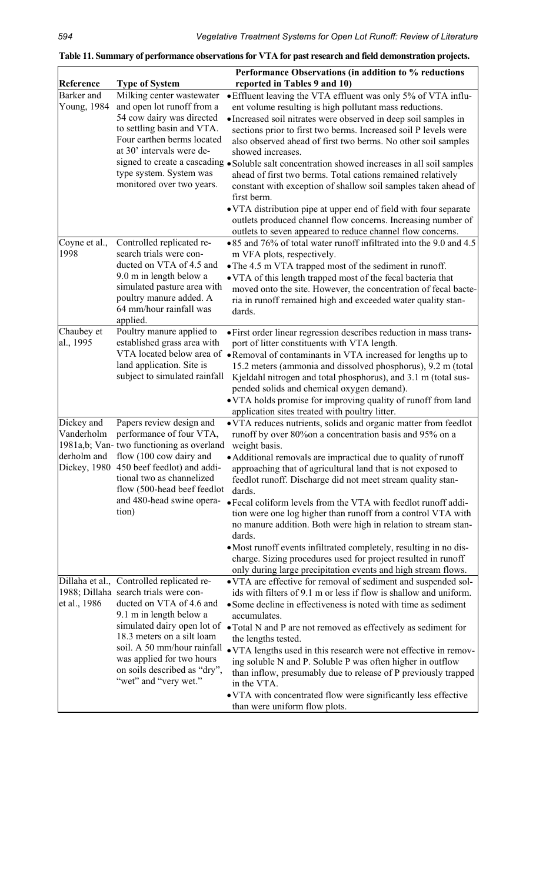|                                         |                                                                                                                                                                                                                                                                                                                             | Performance Observations (in addition to % reductions                                                                                                                                                                                                                                                                                                                                                                                                                                                                                                                                                                                                                                                                                                                        |
|-----------------------------------------|-----------------------------------------------------------------------------------------------------------------------------------------------------------------------------------------------------------------------------------------------------------------------------------------------------------------------------|------------------------------------------------------------------------------------------------------------------------------------------------------------------------------------------------------------------------------------------------------------------------------------------------------------------------------------------------------------------------------------------------------------------------------------------------------------------------------------------------------------------------------------------------------------------------------------------------------------------------------------------------------------------------------------------------------------------------------------------------------------------------------|
| Reference                               | <b>Type of System</b>                                                                                                                                                                                                                                                                                                       | reported in Tables 9 and 10)                                                                                                                                                                                                                                                                                                                                                                                                                                                                                                                                                                                                                                                                                                                                                 |
| Barker and<br>Young, 1984               | Milking center wastewater<br>and open lot runoff from a<br>54 cow dairy was directed<br>to settling basin and VTA.<br>Four earthen berms located<br>at 30' intervals were de-<br>signed to create a cascading<br>type system. System was<br>monitored over two years.                                                       | • Effluent leaving the VTA effluent was only 5% of VTA influ-<br>ent volume resulting is high pollutant mass reductions.<br>• Increased soil nitrates were observed in deep soil samples in<br>sections prior to first two berms. Increased soil P levels were<br>also observed ahead of first two berms. No other soil samples<br>showed increases.<br>· Soluble salt concentration showed increases in all soil samples<br>ahead of first two berms. Total cations remained relatively<br>constant with exception of shallow soil samples taken ahead of<br>first berm.<br>• VTA distribution pipe at upper end of field with four separate<br>outlets produced channel flow concerns. Increasing number of<br>outlets to seven appeared to reduce channel flow concerns.  |
| Coyne et al.,<br>1998                   | Controlled replicated re-<br>search trials were con-<br>ducted on VTA of 4.5 and<br>9.0 m in length below a<br>simulated pasture area with<br>poultry manure added. A<br>64 mm/hour rainfall was<br>applied.                                                                                                                | •85 and 76% of total water runoff infiltrated into the 9.0 and 4.5<br>m VFA plots, respectively.<br>• The 4.5 m VTA trapped most of the sediment in runoff.<br>• VTA of this length trapped most of the fecal bacteria that<br>moved onto the site. However, the concentration of fecal bacte-<br>ria in runoff remained high and exceeded water quality stan-<br>dards.                                                                                                                                                                                                                                                                                                                                                                                                     |
| Chaubey et<br>al., 1995                 | Poultry manure applied to<br>established grass area with<br>VTA located below area of<br>land application. Site is<br>subject to simulated rainfall                                                                                                                                                                         | • First order linear regression describes reduction in mass trans-<br>port of litter constituents with VTA length.<br>• Removal of contaminants in VTA increased for lengths up to<br>15.2 meters (ammonia and dissolved phosphorus), 9.2 m (total<br>Kjeldahl nitrogen and total phosphorus), and 3.1 m (total sus-<br>pended solids and chemical oxygen demand).<br>• VTA holds promise for improving quality of runoff from land<br>application sites treated with poultry litter.                                                                                                                                                                                                                                                                                        |
| Dickey and<br>Vanderholm<br>derholm and | Papers review design and<br>performance of four VTA,<br>1981a,b; Van-two functioning as overland<br>flow (100 cow dairy and<br>Dickey, 1980 450 beef feedlot) and addi-<br>tional two as channelized<br>flow (500-head beef feedlot<br>and 480-head swine opera-<br>tion)                                                   | • VTA reduces nutrients, solids and organic matter from feedlot<br>runoff by over 80% on a concentration basis and 95% on a<br>weight basis.<br>• Additional removals are impractical due to quality of runoff<br>approaching that of agricultural land that is not exposed to<br>feedlot runoff. Discharge did not meet stream quality stan-<br>dards.<br>• Fecal coliform levels from the VTA with feedlot runoff addi-<br>tion were one log higher than runoff from a control VTA with<br>no manure addition. Both were high in relation to stream stan-<br>dards.<br>• Most runoff events infiltrated completely, resulting in no dis-<br>charge. Sizing procedures used for project resulted in runoff<br>only during large precipitation events and high stream flows. |
| et al., 1986                            | Dillaha et al., Controlled replicated re-<br>1988; Dillaha search trials were con-<br>ducted on VTA of 4.6 and<br>9.1 m in length below a<br>simulated dairy open lot of<br>18.3 meters on a silt loam<br>soil. A 50 mm/hour rainfall<br>was applied for two hours<br>on soils described as "dry",<br>"wet" and "very wet." | • VTA are effective for removal of sediment and suspended sol-<br>ids with filters of 9.1 m or less if flow is shallow and uniform.<br>• Some decline in effectiveness is noted with time as sediment<br>accumulates.<br>• Total N and P are not removed as effectively as sediment for<br>the lengths tested.<br>• VTA lengths used in this research were not effective in remov-<br>ing soluble N and P. Soluble P was often higher in outflow<br>than inflow, presumably due to release of P previously trapped<br>in the VTA.<br>• VTA with concentrated flow were significantly less effective<br>than were uniform flow plots.                                                                                                                                         |

**Table 11. Summary of performance observations for VTA for past research and field demonstration projects.**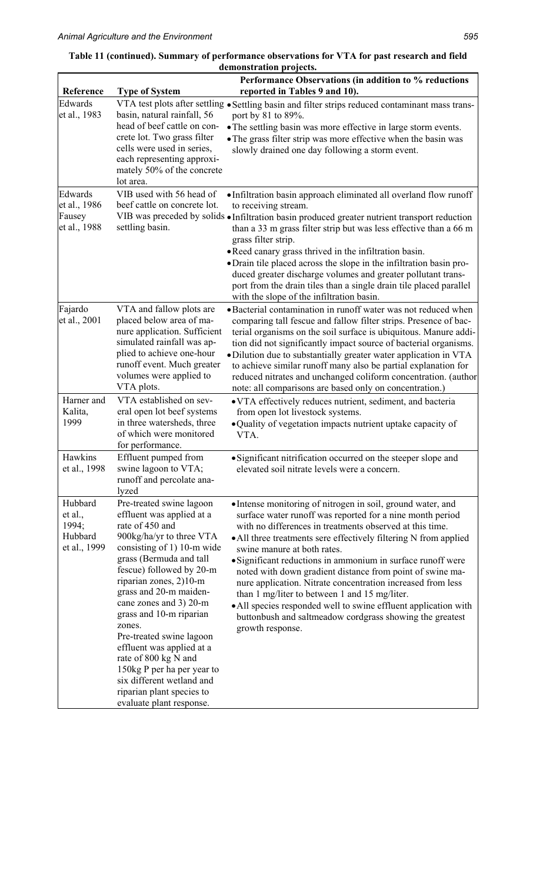| Reference                                              | <b>Type of System</b>                                                                                                                                                                                                                                                                                                                                                                                                                                                                                             | Performance Observations (in addition to % reductions<br>reported in Tables 9 and 10).                                                                                                                                                                                                                                                                                                                                                                                                                                                                                                                                                                                                 |
|--------------------------------------------------------|-------------------------------------------------------------------------------------------------------------------------------------------------------------------------------------------------------------------------------------------------------------------------------------------------------------------------------------------------------------------------------------------------------------------------------------------------------------------------------------------------------------------|----------------------------------------------------------------------------------------------------------------------------------------------------------------------------------------------------------------------------------------------------------------------------------------------------------------------------------------------------------------------------------------------------------------------------------------------------------------------------------------------------------------------------------------------------------------------------------------------------------------------------------------------------------------------------------------|
| Edwards<br>et al., 1983                                | basin, natural rainfall, 56<br>head of beef cattle on con-<br>crete lot. Two grass filter<br>cells were used in series,<br>each representing approxi-<br>mately 50% of the concrete<br>lot area.                                                                                                                                                                                                                                                                                                                  | VTA test plots after settling • Settling basin and filter strips reduced contaminant mass trans-<br>port by 81 to 89%.<br>• The settling basin was more effective in large storm events.<br>• The grass filter strip was more effective when the basin was<br>slowly drained one day following a storm event.                                                                                                                                                                                                                                                                                                                                                                          |
| Edwards<br>et al., 1986<br>Fausey<br>et al., 1988      | VIB used with 56 head of<br>beef cattle on concrete lot.<br>settling basin.                                                                                                                                                                                                                                                                                                                                                                                                                                       | • Infiltration basin approach eliminated all overland flow runoff<br>to receiving stream.<br>VIB was preceded by solids . Infiltration basin produced greater nutrient transport reduction<br>than a 33 m grass filter strip but was less effective than a 66 m<br>grass filter strip.<br>• Reed canary grass thrived in the infiltration basin.<br>• Drain tile placed across the slope in the infiltration basin pro-<br>duced greater discharge volumes and greater pollutant trans-<br>port from the drain tiles than a single drain tile placed parallel<br>with the slope of the infiltration basin.                                                                             |
| Fajardo<br>et al., 2001                                | VTA and fallow plots are<br>placed below area of ma-<br>nure application. Sufficient<br>simulated rainfall was ap-<br>plied to achieve one-hour<br>runoff event. Much greater<br>volumes were applied to<br>VTA plots.                                                                                                                                                                                                                                                                                            | • Bacterial contamination in runoff water was not reduced when<br>comparing tall fescue and fallow filter strips. Presence of bac-<br>terial organisms on the soil surface is ubiquitous. Manure addi-<br>tion did not significantly impact source of bacterial organisms.<br>·Dilution due to substantially greater water application in VTA<br>to achieve similar runoff many also be partial explanation for<br>reduced nitrates and unchanged coliform concentration. (author<br>note: all comparisons are based only on concentration.)                                                                                                                                           |
| Harner and<br>Kalita,<br>1999                          | VTA established on sev-<br>eral open lot beef systems<br>in three watersheds, three<br>of which were monitored<br>for performance.                                                                                                                                                                                                                                                                                                                                                                                | • VTA effectively reduces nutrient, sediment, and bacteria<br>from open lot livestock systems.<br>· Quality of vegetation impacts nutrient uptake capacity of<br>VTA.                                                                                                                                                                                                                                                                                                                                                                                                                                                                                                                  |
| Hawkins<br>et al., 1998                                | Effluent pumped from<br>swine lagoon to VTA;<br>runoff and percolate ana-<br>lyzed                                                                                                                                                                                                                                                                                                                                                                                                                                | • Significant nitrification occurred on the steeper slope and<br>elevated soil nitrate levels were a concern.                                                                                                                                                                                                                                                                                                                                                                                                                                                                                                                                                                          |
| Hubbard<br>et al.,<br>1994;<br>Hubbard<br>et al., 1999 | Pre-treated swine lagoon<br>effluent was applied at a<br>rate of 450 and<br>900kg/ha/yr to three VTA<br>consisting of 1) 10-m wide<br>grass (Bermuda and tall<br>fescue) followed by 20-m<br>riparian zones, 2)10-m<br>grass and 20-m maiden-<br>cane zones and 3) 20-m<br>grass and 10-m riparian<br>zones.<br>Pre-treated swine lagoon<br>effluent was applied at a<br>rate of 800 kg N and<br>150kg P per ha per year to<br>six different wetland and<br>riparian plant species to<br>evaluate plant response. | • Intense monitoring of nitrogen in soil, ground water, and<br>surface water runoff was reported for a nine month period<br>with no differences in treatments observed at this time.<br>• All three treatments sere effectively filtering N from applied<br>swine manure at both rates.<br>• Significant reductions in ammonium in surface runoff were<br>noted with down gradient distance from point of swine ma-<br>nure application. Nitrate concentration increased from less<br>than 1 mg/liter to between 1 and 15 mg/liter.<br>• All species responded well to swine effluent application with<br>buttonbush and saltmeadow cordgrass showing the greatest<br>growth response. |

# **Table 11 (continued). Summary of performance observations for VTA for past research and field demonstration projects.**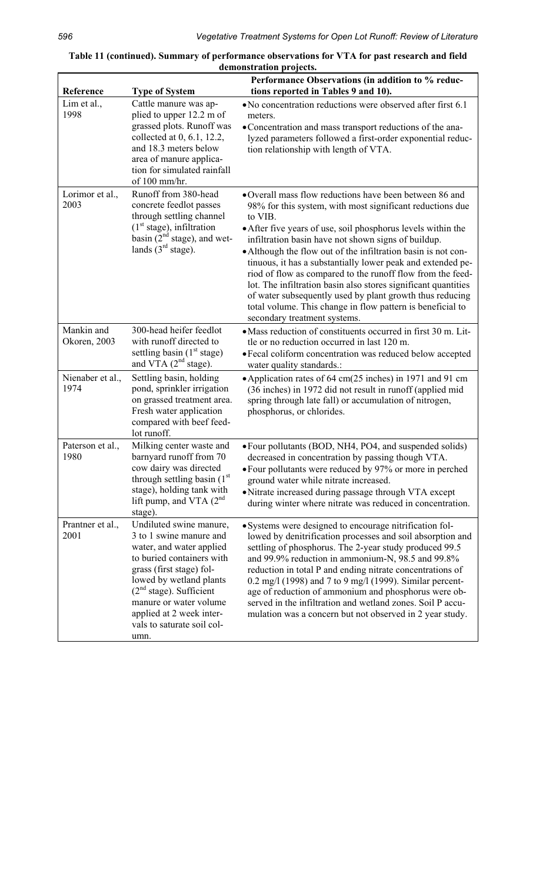| Reference                  | <b>Type of System</b>                                                                                                                                                                                                                                                                        | Performance Observations (in addition to % reduc-<br>tions reported in Tables 9 and 10).                                                                                                                                                                                                                                                                                                                                                                                                                                                                                                                                                                                        |
|----------------------------|----------------------------------------------------------------------------------------------------------------------------------------------------------------------------------------------------------------------------------------------------------------------------------------------|---------------------------------------------------------------------------------------------------------------------------------------------------------------------------------------------------------------------------------------------------------------------------------------------------------------------------------------------------------------------------------------------------------------------------------------------------------------------------------------------------------------------------------------------------------------------------------------------------------------------------------------------------------------------------------|
| Lim et al.,<br>1998        | Cattle manure was ap-<br>plied to upper 12.2 m of<br>grassed plots. Runoff was<br>collected at 0, 6.1, 12.2,<br>and 18.3 meters below<br>area of manure applica-<br>tion for simulated rainfall<br>of 100 mm/hr.                                                                             | • No concentration reductions were observed after first 6.1<br>meters.<br>• Concentration and mass transport reductions of the ana-<br>lyzed parameters followed a first-order exponential reduc-<br>tion relationship with length of VTA.                                                                                                                                                                                                                                                                                                                                                                                                                                      |
| Lorimor et al.,<br>2003    | Runoff from 380-head<br>concrete feedlot passes<br>through settling channel<br>$(1st stage)$ , infiltration<br>basin $(2nd stage)$ , and wet-<br>lands $(3rd stage)$ .                                                                                                                       | •Overall mass flow reductions have been between 86 and<br>98% for this system, with most significant reductions due<br>to VIB.<br>• After five years of use, soil phosphorus levels within the<br>infiltration basin have not shown signs of buildup.<br>• Although the flow out of the infiltration basin is not con-<br>tinuous, it has a substantially lower peak and extended pe-<br>riod of flow as compared to the runoff flow from the feed-<br>lot. The infiltration basin also stores significant quantities<br>of water subsequently used by plant growth thus reducing<br>total volume. This change in flow pattern is beneficial to<br>secondary treatment systems. |
| Mankin and<br>Okoren, 2003 | 300-head heifer feedlot<br>with runoff directed to<br>settling basin $(1st stage)$<br>and VTA $(2^{nd}$ stage).                                                                                                                                                                              | • Mass reduction of constituents occurred in first 30 m. Lit-<br>tle or no reduction occurred in last 120 m.<br>• Fecal coliform concentration was reduced below accepted<br>water quality standards.:                                                                                                                                                                                                                                                                                                                                                                                                                                                                          |
| Nienaber et al.,<br>1974   | Settling basin, holding<br>pond, sprinkler irrigation<br>on grassed treatment area.<br>Fresh water application<br>compared with beef feed-<br>lot runoff.                                                                                                                                    | • Application rates of 64 cm(25 inches) in 1971 and 91 cm<br>(36 inches) in 1972 did not result in runoff (applied mid<br>spring through late fall) or accumulation of nitrogen,<br>phosphorus, or chlorides.                                                                                                                                                                                                                                                                                                                                                                                                                                                                   |
| Paterson et al.,<br>1980   | Milking center waste and<br>barnyard runoff from 70<br>cow dairy was directed<br>through settling basin (1 <sup>st</sup> )<br>stage), holding tank with<br>lift pump, and VTA $(2^{nd}$<br>stage).                                                                                           | • Four pollutants (BOD, NH4, PO4, and suspended solids)<br>decreased in concentration by passing though VTA.<br>• Four pollutants were reduced by 97% or more in perched<br>ground water while nitrate increased.<br>• Nitrate increased during passage through VTA except<br>during winter where nitrate was reduced in concentration.                                                                                                                                                                                                                                                                                                                                         |
| Prantner et al.,<br>2001   | Undiluted swine manure,<br>3 to 1 swine manure and<br>water, and water applied<br>to buried containers with<br>grass (first stage) fol-<br>lowed by wetland plants<br>$(2nd stage)$ . Sufficient<br>manure or water volume<br>applied at 2 week inter-<br>vals to saturate soil col-<br>umn. | · Systems were designed to encourage nitrification fol-<br>lowed by denitrification processes and soil absorption and<br>settling of phosphorus. The 2-year study produced 99.5<br>and 99.9% reduction in ammonium-N, 98.5 and 99.8%<br>reduction in total P and ending nitrate concentrations of<br>0.2 mg/l (1998) and 7 to 9 mg/l (1999). Similar percent-<br>age of reduction of ammonium and phosphorus were ob-<br>served in the infiltration and wetland zones. Soil P accu-<br>mulation was a concern but not observed in 2 year study.                                                                                                                                 |

| Table 11 (continued). Summary of performance observations for VTA for past research and field |
|-----------------------------------------------------------------------------------------------|
| demonstration projects.                                                                       |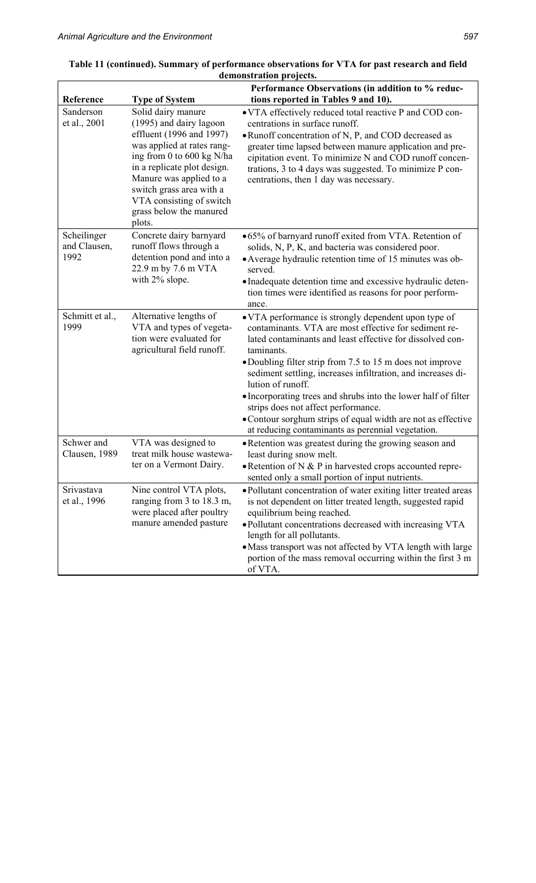|                                     |                                                                                                                                                                                                                                                                                             | demonstration projects.                                                                                                                                                                                                                                                                                                                                                                                                                                                                                                                                                  |
|-------------------------------------|---------------------------------------------------------------------------------------------------------------------------------------------------------------------------------------------------------------------------------------------------------------------------------------------|--------------------------------------------------------------------------------------------------------------------------------------------------------------------------------------------------------------------------------------------------------------------------------------------------------------------------------------------------------------------------------------------------------------------------------------------------------------------------------------------------------------------------------------------------------------------------|
| Reference                           | <b>Type of System</b>                                                                                                                                                                                                                                                                       | Performance Observations (in addition to % reduc-<br>tions reported in Tables 9 and 10).                                                                                                                                                                                                                                                                                                                                                                                                                                                                                 |
| Sanderson<br>et al., 2001           | Solid dairy manure<br>(1995) and dairy lagoon<br>effluent (1996 and 1997)<br>was applied at rates rang-<br>ing from 0 to 600 kg N/ha<br>in a replicate plot design.<br>Manure was applied to a<br>switch grass area with a<br>VTA consisting of switch<br>grass below the manured<br>plots. | • VTA effectively reduced total reactive P and COD con-<br>centrations in surface runoff.<br>• Runoff concentration of N, P, and COD decreased as<br>greater time lapsed between manure application and pre-<br>cipitation event. To minimize N and COD runoff concen-<br>trations, 3 to 4 days was suggested. To minimize P con-<br>centrations, then 1 day was necessary.                                                                                                                                                                                              |
| Scheilinger<br>and Clausen,<br>1992 | Concrete dairy barnyard<br>runoff flows through a<br>detention pond and into a<br>22.9 m by 7.6 m VTA<br>with 2% slope.                                                                                                                                                                     | •65% of barnyard runoff exited from VTA. Retention of<br>solids, N, P, K, and bacteria was considered poor.<br>• Average hydraulic retention time of 15 minutes was ob-<br>served.<br>• Inadequate detention time and excessive hydraulic deten-<br>tion times were identified as reasons for poor perform-<br>ance.                                                                                                                                                                                                                                                     |
| Schmitt et al.,<br>1999             | Alternative lengths of<br>VTA and types of vegeta-<br>tion were evaluated for<br>agricultural field runoff.                                                                                                                                                                                 | • VTA performance is strongly dependent upon type of<br>contaminants. VTA are most effective for sediment re-<br>lated contaminants and least effective for dissolved con-<br>taminants.<br>• Doubling filter strip from 7.5 to 15 m does not improve<br>sediment settling, increases infiltration, and increases di-<br>lution of runoff.<br>• Incorporating trees and shrubs into the lower half of filter<br>strips does not affect performance.<br>• Contour sorghum strips of equal width are not as effective<br>at reducing contaminants as perennial vegetation. |
| Schwer and<br>Clausen, 1989         | VTA was designed to<br>treat milk house wastewa-<br>ter on a Vermont Dairy.                                                                                                                                                                                                                 | · Retention was greatest during the growing season and<br>least during snow melt.<br>$\bullet$ Retention of N & P in harvested crops accounted repre-<br>sented only a small portion of input nutrients.                                                                                                                                                                                                                                                                                                                                                                 |
| Srivastava<br>et al., 1996          | Nine control VTA plots,<br>ranging from 3 to 18.3 m,<br>were placed after poultry<br>manure amended pasture                                                                                                                                                                                 | • Pollutant concentration of water exiting litter treated areas<br>is not dependent on litter treated length, suggested rapid<br>equilibrium being reached.<br>• Pollutant concentrations decreased with increasing VTA<br>length for all pollutants.<br>• Mass transport was not affected by VTA length with large<br>portion of the mass removal occurring within the first 3 m<br>of VTA.                                                                                                                                                                             |

| Table 11 (continued). Summary of performance observations for VTA for past research and field |  |
|-----------------------------------------------------------------------------------------------|--|
| demonstration projects.                                                                       |  |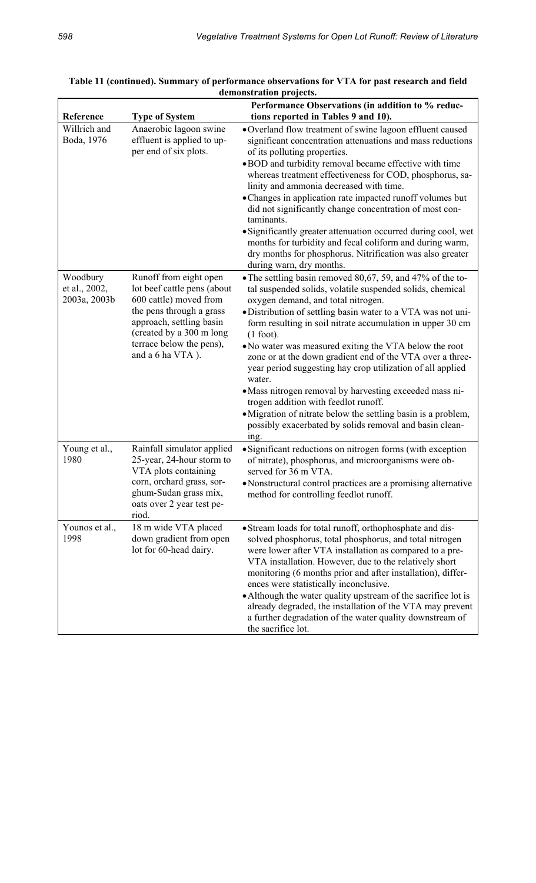|                                           |                                                                                                                                                                                                                     | Performance Observations (in addition to % reduc-                                                                                                                                                                                                                                                                                                                                                                                                                                                                                                                                                                                                                                                                                                                            |
|-------------------------------------------|---------------------------------------------------------------------------------------------------------------------------------------------------------------------------------------------------------------------|------------------------------------------------------------------------------------------------------------------------------------------------------------------------------------------------------------------------------------------------------------------------------------------------------------------------------------------------------------------------------------------------------------------------------------------------------------------------------------------------------------------------------------------------------------------------------------------------------------------------------------------------------------------------------------------------------------------------------------------------------------------------------|
| Reference<br>Willrich and<br>Boda, 1976   | <b>Type of System</b><br>Anaerobic lagoon swine<br>effluent is applied to up-<br>per end of six plots.                                                                                                              | tions reported in Tables 9 and 10).<br>•Overland flow treatment of swine lagoon effluent caused<br>significant concentration attenuations and mass reductions<br>of its polluting properties.<br>• BOD and turbidity removal became effective with time<br>whereas treatment effectiveness for COD, phosphorus, sa-<br>linity and ammonia decreased with time.<br>• Changes in application rate impacted runoff volumes but<br>did not significantly change concentration of most con-<br>taminants.<br>• Significantly greater attenuation occurred during cool, wet<br>months for turbidity and fecal coliform and during warm,<br>dry months for phosphorus. Nitrification was also greater                                                                               |
| Woodbury<br>et al., 2002,<br>2003a, 2003b | Runoff from eight open<br>lot beef cattle pens (about<br>600 cattle) moved from<br>the pens through a grass<br>approach, settling basin<br>(created by a 300 m long<br>terrace below the pens),<br>and a 6 ha VTA). | during warn, dry months.<br>• The settling basin removed 80,67, 59, and 47% of the to-<br>tal suspended solids, volatile suspended solids, chemical<br>oxygen demand, and total nitrogen.<br>• Distribution of settling basin water to a VTA was not uni-<br>form resulting in soil nitrate accumulation in upper 30 cm<br>$(1$ foot).<br>• No water was measured exiting the VTA below the root<br>zone or at the down gradient end of the VTA over a three-<br>year period suggesting hay crop utilization of all applied<br>water.<br>• Mass nitrogen removal by harvesting exceeded mass ni-<br>trogen addition with feedlot runoff.<br>• Migration of nitrate below the settling basin is a problem,<br>possibly exacerbated by solids removal and basin clean-<br>ing. |
| Young et al.,<br>1980                     | Rainfall simulator applied<br>25-year, 24-hour storm to<br>VTA plots containing<br>corn, orchard grass, sor-<br>ghum-Sudan grass mix,<br>oats over 2 year test pe-<br>riod.                                         | • Significant reductions on nitrogen forms (with exception<br>of nitrate), phosphorus, and microorganisms were ob-<br>served for 36 m VTA.<br>• Nonstructural control practices are a promising alternative<br>method for controlling feedlot runoff.                                                                                                                                                                                                                                                                                                                                                                                                                                                                                                                        |
| Younos et al.,<br>1998                    | 18 m wide VTA placed<br>down gradient from open<br>lot for 60-head dairy.                                                                                                                                           | • Stream loads for total runoff, orthophosphate and dis-<br>solved phosphorus, total phosphorus, and total nitrogen<br>were lower after VTA installation as compared to a pre-<br>VTA installation. However, due to the relatively short<br>monitoring (6 months prior and after installation), differ-<br>ences were statistically inconclusive.<br>• Although the water quality upstream of the sacrifice lot is<br>already degraded, the installation of the VTA may prevent<br>a further degradation of the water quality downstream of<br>the sacrifice lot.                                                                                                                                                                                                            |

| Table 11 (continued). Summary of performance observations for VTA for past research and field |
|-----------------------------------------------------------------------------------------------|
| demonstration projects.                                                                       |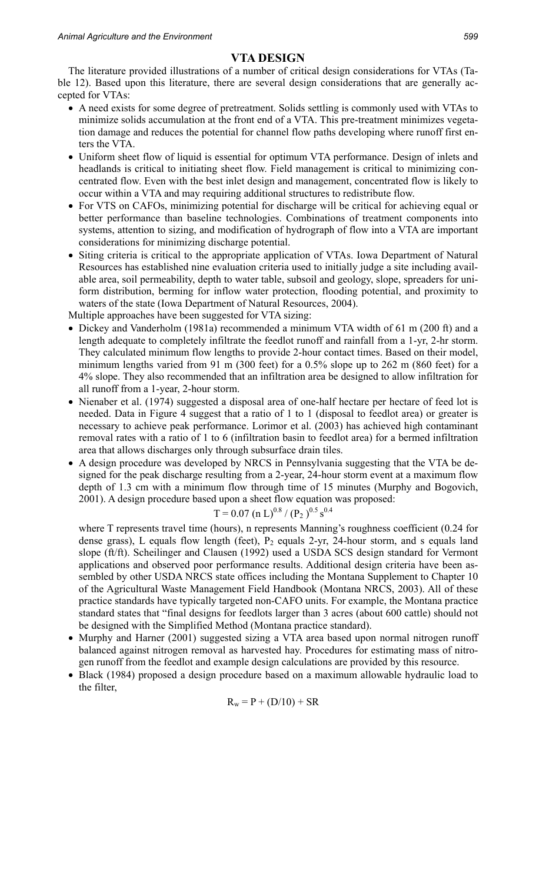# **VTA DESIGN**

The literature provided illustrations of a number of critical design considerations for VTAs (Table 12). Based upon this literature, there are several design considerations that are generally accepted for VTAs:

- A need exists for some degree of pretreatment. Solids settling is commonly used with VTAs to minimize solids accumulation at the front end of a VTA. This pre-treatment minimizes vegetation damage and reduces the potential for channel flow paths developing where runoff first enters the VTA.
- Uniform sheet flow of liquid is essential for optimum VTA performance. Design of inlets and headlands is critical to initiating sheet flow. Field management is critical to minimizing concentrated flow. Even with the best inlet design and management, concentrated flow is likely to occur within a VTA and may requiring additional structures to redistribute flow.
- For VTS on CAFOs, minimizing potential for discharge will be critical for achieving equal or better performance than baseline technologies. Combinations of treatment components into systems, attention to sizing, and modification of hydrograph of flow into a VTA are important considerations for minimizing discharge potential.
- Siting criteria is critical to the appropriate application of VTAs. Iowa Department of Natural Resources has established nine evaluation criteria used to initially judge a site including available area, soil permeability, depth to water table, subsoil and geology, slope, spreaders for uniform distribution, berming for inflow water protection, flooding potential, and proximity to waters of the state (Iowa Department of Natural Resources, 2004).

Multiple approaches have been suggested for VTA sizing:

- Dickey and Vanderholm (1981a) recommended a minimum VTA width of 61 m (200 ft) and a length adequate to completely infiltrate the feedlot runoff and rainfall from a 1-yr, 2-hr storm. They calculated minimum flow lengths to provide 2-hour contact times. Based on their model, minimum lengths varied from 91 m (300 feet) for a 0.5% slope up to 262 m (860 feet) for a 4% slope. They also recommended that an infiltration area be designed to allow infiltration for all runoff from a 1-year, 2-hour storm.
- Nienaber et al. (1974) suggested a disposal area of one-half hectare per hectare of feed lot is needed. Data in Figure 4 suggest that a ratio of 1 to 1 (disposal to feedlot area) or greater is necessary to achieve peak performance. Lorimor et al. (2003) has achieved high contaminant removal rates with a ratio of 1 to 6 (infiltration basin to feedlot area) for a bermed infiltration area that allows discharges only through subsurface drain tiles.
- A design procedure was developed by NRCS in Pennsylvania suggesting that the VTA be designed for the peak discharge resulting from a 2-year, 24-hour storm event at a maximum flow depth of 1.3 cm with a minimum flow through time of 15 minutes (Murphy and Bogovich, 2001). A design procedure based upon a sheet flow equation was proposed:

$$
T = 0.07
$$
 (n L)<sup>0.8</sup> / (P<sub>2</sub>)<sup>0.5</sup> s<sup>0.4</sup>

where T represents travel time (hours), n represents Manning's roughness coefficient (0.24 for dense grass), L equals flow length (feet),  $P_2$  equals 2-yr, 24-hour storm, and s equals land slope (ft/ft). Scheilinger and Clausen (1992) used a USDA SCS design standard for Vermont applications and observed poor performance results. Additional design criteria have been assembled by other USDA NRCS state offices including the Montana Supplement to Chapter 10 of the Agricultural Waste Management Field Handbook (Montana NRCS, 2003). All of these practice standards have typically targeted non-CAFO units. For example, the Montana practice standard states that "final designs for feedlots larger than 3 acres (about 600 cattle) should not be designed with the Simplified Method (Montana practice standard).

- Murphy and Harner (2001) suggested sizing a VTA area based upon normal nitrogen runoff balanced against nitrogen removal as harvested hay. Procedures for estimating mass of nitrogen runoff from the feedlot and example design calculations are provided by this resource.
- Black (1984) proposed a design procedure based on a maximum allowable hydraulic load to the filter,

$$
R_w = P + (D/10) + SR
$$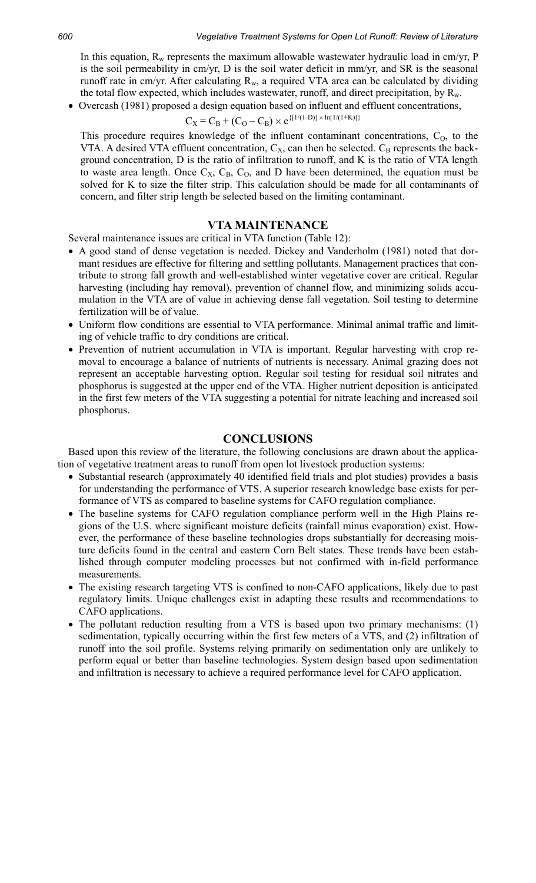In this equation,  $R_w$  represents the maximum allowable wastewater hydraulic load in cm/yr, P is the soil permeability in cm/yr, D is the soil water deficit in mm/yr, and SR is the seasonal runoff rate in cm/yr. After calculating  $R_w$ , a required VTA area can be calculated by dividing the total flow expected, which includes wastewater, runoff, and direct precipitation, by  $R_w$ .

• Overcash (1981) proposed a design equation based on influent and effluent concentrations,

$$
C_X = C_B + (C_O - C_B) \times e^{\{[1/(1-D)] \times \ln[1/(1+K)]\}}
$$

This procedure requires knowledge of the influent contaminant concentrations,  $C<sub>0</sub>$ , to the VTA. A desired VTA effluent concentration,  $C_X$ , can then be selected.  $C_B$  represents the background concentration, D is the ratio of infiltration to runoff, and K is the ratio of VTA length to waste area length. Once  $C_X$ ,  $C_B$ ,  $C_O$ , and D have been determined, the equation must be solved for K to size the filter strip. This calculation should be made for all contaminants of concern, and filter strip length be selected based on the limiting contaminant.

# **VTA MAINTENANCE**

Several maintenance issues are critical in VTA function (Table 12):

- A good stand of dense vegetation is needed. Dickey and Vanderholm (1981) noted that dormant residues are effective for filtering and settling pollutants. Management practices that contribute to strong fall growth and well-established winter vegetative cover are critical. Regular harvesting (including hay removal), prevention of channel flow, and minimizing solids accumulation in the VTA are of value in achieving dense fall vegetation. Soil testing to determine fertilization will be of value.
- Uniform flow conditions are essential to VTA performance. Minimal animal traffic and limiting of vehicle traffic to dry conditions are critical.
- Prevention of nutrient accumulation in VTA is important. Regular harvesting with crop removal to encourage a balance of nutrients of nutrients is necessary. Animal grazing does not represent an acceptable harvesting option. Regular soil testing for residual soil nitrates and phosphorus is suggested at the upper end of the VTA. Higher nutrient deposition is anticipated in the first few meters of the VTA suggesting a potential for nitrate leaching and increased soil phosphorus.

#### **CONCLUSIONS**

Based upon this review of the literature, the following conclusions are drawn about the application of vegetative treatment areas to runoff from open lot livestock production systems:

- Substantial research (approximately 40 identified field trials and plot studies) provides a basis for understanding the performance of VTS. A superior research knowledge base exists for performance of VTS as compared to baseline systems for CAFO regulation compliance.
- The baseline systems for CAFO regulation compliance perform well in the High Plains regions of the U.S. where significant moisture deficits (rainfall minus evaporation) exist. However, the performance of these baseline technologies drops substantially for decreasing moisture deficits found in the central and eastern Corn Belt states. These trends have been established through computer modeling processes but not confirmed with in-field performance measurements.
- The existing research targeting VTS is confined to non-CAFO applications, likely due to past regulatory limits. Unique challenges exist in adapting these results and recommendations to CAFO applications.
- The pollutant reduction resulting from a VTS is based upon two primary mechanisms: (1) sedimentation, typically occurring within the first few meters of a VTS, and (2) infiltration of runoff into the soil profile. Systems relying primarily on sedimentation only are unlikely to perform equal or better than baseline technologies. System design based upon sedimentation and infiltration is necessary to achieve a required performance level for CAFO application.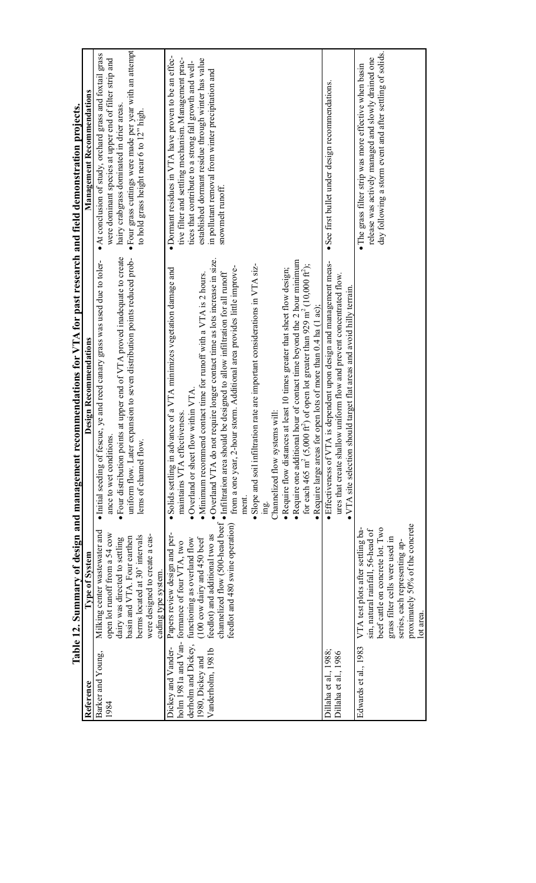|                                                                                    | Table 12. Summary of design and management ree                                                                                                                                                                                         | commendations for VTA for past research and field demonstration projects.                                                                                                                                                                                                                                                                                                                                                                                                                                                                                                                                                                                                                                                                                                                                                                                                                                                                                                                             |                                                                                                                                                                                                                                                                                                            |
|------------------------------------------------------------------------------------|----------------------------------------------------------------------------------------------------------------------------------------------------------------------------------------------------------------------------------------|-------------------------------------------------------------------------------------------------------------------------------------------------------------------------------------------------------------------------------------------------------------------------------------------------------------------------------------------------------------------------------------------------------------------------------------------------------------------------------------------------------------------------------------------------------------------------------------------------------------------------------------------------------------------------------------------------------------------------------------------------------------------------------------------------------------------------------------------------------------------------------------------------------------------------------------------------------------------------------------------------------|------------------------------------------------------------------------------------------------------------------------------------------------------------------------------------------------------------------------------------------------------------------------------------------------------------|
| Reference                                                                          | Type of System                                                                                                                                                                                                                         | Design Recommendations                                                                                                                                                                                                                                                                                                                                                                                                                                                                                                                                                                                                                                                                                                                                                                                                                                                                                                                                                                                | Management Recommendations                                                                                                                                                                                                                                                                                 |
| Barker and Young,<br>1984                                                          | Milking center wastewater and<br>open lot runoff from a 54 cow<br>were designed to create a cas-<br>berms located at 30' intervals<br>basin and VTA. Four earthen<br>dairy was directed to settling<br>cading type system              | • Four distribution points at upper end of VTA proved inadequate to create<br>uniform flow. Later expansion to seven distribution points reduced prob-<br>Initial seeding of fescue, ye and reed canary grass was used due to toler-<br>ance to wet condition<br>lems of channel flow                                                                                                                                                                                                                                                                                                                                                                                                                                                                                                                                                                                                                                                                                                                 | • Four grass cuttings were made per year with an attempt<br>• At conclusion of study, orchard grass and foxtail grass<br>were dominant species at upper end of filter strip and<br>hairy crabgrass dominated in drier areas.<br>to hold grass height near 6 to 12" high.                                   |
| derholm and Dickey,<br>Dickey and Vander-<br>Vanderholm, 1981b<br>1980, Dickey and | feedlot and 480 swine operation)<br>Papers review design and per-<br>feedlot) and additional two as<br>$(100 \text{ cow dairy and } 450 \text{ beef})$<br>functioning as overland flow<br>holm 1981a and Van-formance of four VTA, two | • Overland VTA do not require longer contact time as lots increase in size.<br>· Require one additional hour of contact time beyond the 2 hour minimum<br>· Slope and soil infiltration rate are important considerations in VTA siz-<br>for each 465 m <sup>2</sup> (5,000 ft <sup>2</sup> ) of open lot greater than 929 m <sup>2</sup> (10,000 ft <sup>2</sup> );<br>from a one year, 2-hour storm. Additional area provides little improve-<br>Solids settling in advance of a VTA minimizes vegetation damage and<br>• Require flow distances at least 10 times greater that sheet flow design;<br>channelized flow (500-head beef . Infiltration area should be designed to allow infiltration for all runoff<br>• Minimum recommend contact time for runoff with a VTA is $2$ hours.<br>• Require large areas for open lots of more than $0.4$ ha $(1 \text{ ac})$ ;<br>• Overland or sheet flow within VTA<br>Channelized flow systems will:<br>maintains VTA effectiveness.<br>ment.<br>ing. | • Dormant residues in VTA have proven to be an effec-<br>established dormant residue through winter has value<br>tive filter and settling mechanism. Management prac-<br>tices that contribute to a strong fall growth and well-<br>in pollutant removal from winter precipitation and<br>snowmelt runoff. |
| Dillaha et al., 1988;<br>Dillaha et al., 1986                                      |                                                                                                                                                                                                                                        | • Effectiveness of VTA is dependent upon design and management meas-<br>ures that create shallow uniform flow and prevent concentrated flow.<br>• VTA site selection should target flat areas and avoid hilly terrain.                                                                                                                                                                                                                                                                                                                                                                                                                                                                                                                                                                                                                                                                                                                                                                                | · See first bullet under design recommendations.                                                                                                                                                                                                                                                           |
| Edwards et al., 1983                                                               | proximately 50% of the concrete<br>beef cattle on concrete lot. Two<br>VTA test plots after settling ba-<br>sin, natural rainfall, 56-head of<br>grass filter cells were used in<br>series, each representing ap-<br>lot area          |                                                                                                                                                                                                                                                                                                                                                                                                                                                                                                                                                                                                                                                                                                                                                                                                                                                                                                                                                                                                       | day following a storm event and after settling of solids.<br>release was actively managed and slowly drained one<br>• The grass filter strip was more effective when basin                                                                                                                                 |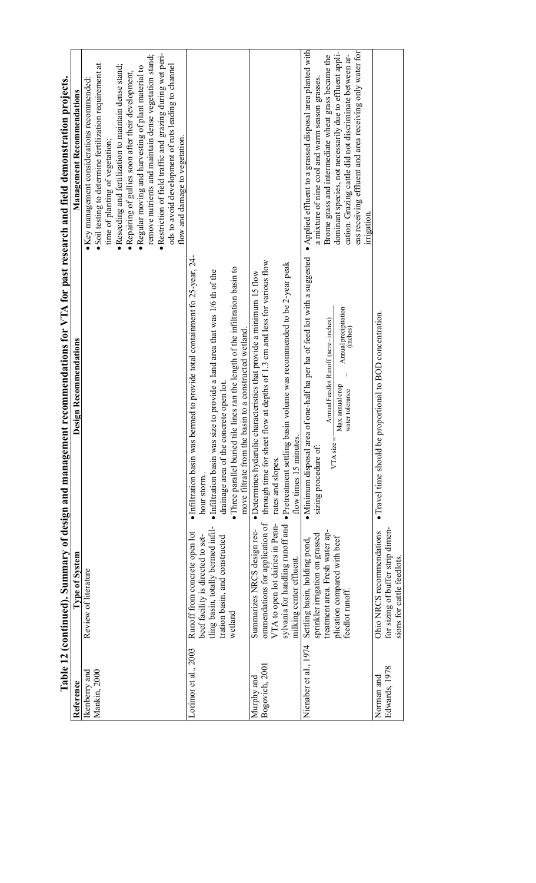|                               | Table 12 (continued). Summary of design and managem                                                                                                   | ent recommendations for VTA for past research and field demonstration projects.                                                                                                                                                                                                                                                                                  |                                                                                                                                                                                                                                                                                                                                                                                                                                                                                                                                        |
|-------------------------------|-------------------------------------------------------------------------------------------------------------------------------------------------------|------------------------------------------------------------------------------------------------------------------------------------------------------------------------------------------------------------------------------------------------------------------------------------------------------------------------------------------------------------------|----------------------------------------------------------------------------------------------------------------------------------------------------------------------------------------------------------------------------------------------------------------------------------------------------------------------------------------------------------------------------------------------------------------------------------------------------------------------------------------------------------------------------------------|
| Reference                     | <b>Type of System</b>                                                                                                                                 | Design Recommendations                                                                                                                                                                                                                                                                                                                                           | Management Recommendations                                                                                                                                                                                                                                                                                                                                                                                                                                                                                                             |
| Mankin, 2000<br>Ikenberry and | Review of literature                                                                                                                                  |                                                                                                                                                                                                                                                                                                                                                                  | · Restriction of field traffic and grazing during wet peri-<br>remove nutrients and maintain dense vegetation stand;<br>· Soil testing to determine fertilization requirement at<br>ods to avoid development of ruts leading to channel<br>· Reseeding and fertilization to maintain dense stand;<br>· Regular moving and harvesting of plant material to<br>· Repairing of gullies soon after their development,<br>· Key management considerations recommended:<br>flow and damage to vegetation.<br>time of planting of vegetation; |
| Lorimor et al., 2003          | tling basin, totally bermed infil-<br>Runoff from concrete open lot<br>beef facility is directed to set-<br>tration basin, and constructed<br>wetland | • Infiltration basin was bermed to provide total containment fo 25-year, 24-<br>• Three parallel buried tile lines ran the length of the infiltration basin to<br>· Infiltration basin was size to provide a land area that was 1/6 th of the<br>move filtrate from the basin to a constructed wetland.<br>drainage area of the concrete open lot<br>hour storm. |                                                                                                                                                                                                                                                                                                                                                                                                                                                                                                                                        |
| Bogovich, 2001<br>Murphy and  | ommendations for application of<br>VTA to open lot dairies in Penn-<br>Summarizes NRCS design rec-<br>milking center effluent.                        | through time for sheet flow at depths of 1.3 cm and less for various flow<br>sylvania for handling runoff and . Pretreatment settling basin volume was recommended to be 2-year peak<br>· Determines hydarulic characteristics that provide a minimum 15 flow<br>flow times 15 minutes.<br>rates and slopes.                                                     |                                                                                                                                                                                                                                                                                                                                                                                                                                                                                                                                        |
| Nienaber et al., 1974         | treatment area. Fresh water ap-<br>sprinkler irrigation on grassed<br>plication compared with beef<br>Settling basin, holding pond<br>feedlot runoff  | · Minimum disposal area of one-half ha per ha of feed lot with a suggested<br>Annual precipitation<br>Amual Feedlot Runoff (acre-inches)<br>(inches)<br>Max. annual crop<br>water tolerance<br>VTA size<br>sizing procedure of:                                                                                                                                  | • Applied effluent to a grassed disposal area planted with<br>eas receiving effluent and area receiving only water for<br>dominant species, not necessarily due to effluent appli-<br>cation. Grazing cattle did not discriminate between ar-<br>Brome grass and intermediate wheat grass became the<br>a mixture of nine cool and warm season grasses.<br>irrigation.                                                                                                                                                                 |
| Edwards, 1978<br>Norman and   | for sizing of buffer strip dimen-<br>Ohio NRCS recommendations<br>sions for cattle feedlots.                                                          | · Travel time should be proportional to BOD concentration.                                                                                                                                                                                                                                                                                                       |                                                                                                                                                                                                                                                                                                                                                                                                                                                                                                                                        |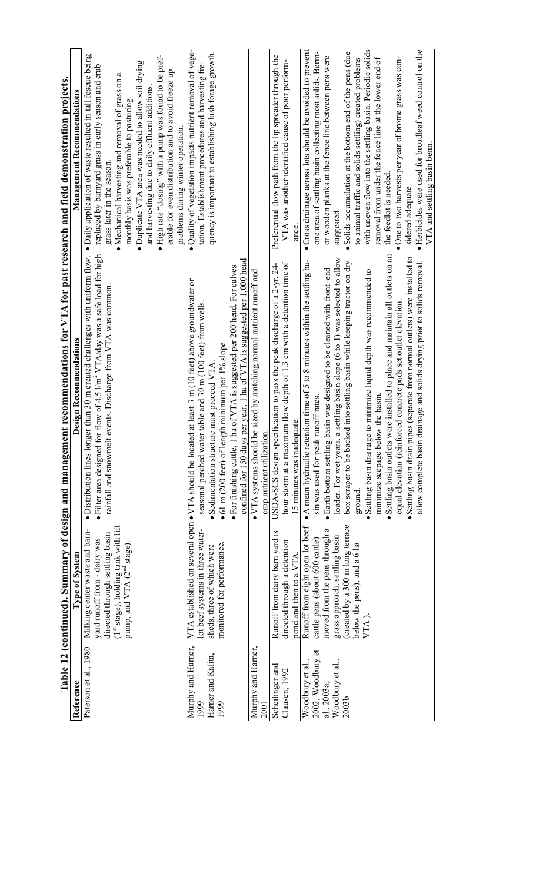|                                                                                               |                                                                                                                                                                                                                 | Table 12 (continued). Summary of design and management recommendations for VTA for past research and field demonstration projects.                                                                                                                                                                                                                                                                                                                                                                                                                                                                                                                                                                                                                                                                         |                                                                                                                                                                                                                                                                                                                                                                                                                                                                                                                                                                                                                                          |
|-----------------------------------------------------------------------------------------------|-----------------------------------------------------------------------------------------------------------------------------------------------------------------------------------------------------------------|------------------------------------------------------------------------------------------------------------------------------------------------------------------------------------------------------------------------------------------------------------------------------------------------------------------------------------------------------------------------------------------------------------------------------------------------------------------------------------------------------------------------------------------------------------------------------------------------------------------------------------------------------------------------------------------------------------------------------------------------------------------------------------------------------------|------------------------------------------------------------------------------------------------------------------------------------------------------------------------------------------------------------------------------------------------------------------------------------------------------------------------------------------------------------------------------------------------------------------------------------------------------------------------------------------------------------------------------------------------------------------------------------------------------------------------------------------|
| Reference                                                                                     | Type of System                                                                                                                                                                                                  | Design Recommendations                                                                                                                                                                                                                                                                                                                                                                                                                                                                                                                                                                                                                                                                                                                                                                                     | Management Recommendations                                                                                                                                                                                                                                                                                                                                                                                                                                                                                                                                                                                                               |
| Paterson et al., 1980                                                                         | (1st stage), holding tank with lift<br>Milking center waste and barn-<br>directed through settling basin<br>yard runoff from - dairy was<br>pump, and VTA (2 <sup>nd</sup> stage)                               | • Filter area designed for flow of 4.5 $\text{Im}^2$ VTA/day was a safe load for high<br>• Distribution lines longer than 30 m created challenges with uniform flow.<br>events. Discharge from VTA was common.<br>rainfall and snowmelt                                                                                                                                                                                                                                                                                                                                                                                                                                                                                                                                                                    | · Daily application of waste resulted in tall fescue being<br>• High rate "dosing" with a pump was found to be pref-<br>· Duplicate VTA area was needed to allow soil drying<br>replaced by barnyard grass in early season and crab<br>erable for even distribution and to avoid freeze up<br>a<br>Mechanical harvesting and removal of grass on<br>and harvesting due to daily effluent additions<br>monthly basis was preferable to pasturing<br>problems during winter operation.<br>grass later in the season.                                                                                                                       |
| Murphy and Harner,<br>Harner and Kalita,<br>1999<br>1999                                      | lot beef systems in three water-<br>monitored for performance.<br>sheds, three of which were                                                                                                                    | confined for 150 days per year, 1 ha of VTA is suggested per 1,000 head<br>ha of VTA is suggested per 200 head. For calves<br>VTA established on several open . VTA should be located at least 3 m (10 feet) above groundwater or<br>seasonal perched water table and 30 m (100 feet) from wells.<br>$\bullet$ 61 m (200 feet) of length minimum per 1% slope.<br>Sedimentation structure must preceed VTA<br>· For finishing cattle, 1                                                                                                                                                                                                                                                                                                                                                                    | · Quality of vegetation impacts nutrient removal of vege-<br>quency is important to establishing lush forage growth.<br>tation. Establishment procedures and harvesting fre-                                                                                                                                                                                                                                                                                                                                                                                                                                                             |
| Murphy and Harner,<br>2001                                                                    |                                                                                                                                                                                                                 | be sized by matching normal nutrient runoff and<br>crop nutrient utilization.<br>$\bullet$ VTA systems should                                                                                                                                                                                                                                                                                                                                                                                                                                                                                                                                                                                                                                                                                              |                                                                                                                                                                                                                                                                                                                                                                                                                                                                                                                                                                                                                                          |
| Scheilinger and<br>Clausen, 1992                                                              | Runoff from dairy barn yard is<br>directed through a detention<br>pond and then to a VTA                                                                                                                        | hour storm at a maximum flow depth of 1.3 cm with a detention time of<br>USDA-SCS design specification to pass the peak discharge of a 2-yr, 24-<br>15 minutes was inadequate.                                                                                                                                                                                                                                                                                                                                                                                                                                                                                                                                                                                                                             | Preferential flow path from the lip spreader through the<br>VTA was another identified cause of poor perform-<br>ance.                                                                                                                                                                                                                                                                                                                                                                                                                                                                                                                   |
| 2002; Woodbury et<br>Woodbury et al.,<br>Woodbury et al.,<br>al., 2003a;<br>2003 <sub>b</sub> | Runoff from eight open lot beef<br>(created by a 300 m long terrace<br>moved from the pens through a<br>grass approach, settling basin<br>cattle pens (about 600 cattle)<br>below the pens), and a 6 ha<br>VTA) | Settling basin outlets were installed to place and maintain all outlets on an<br>· Settling basin drain pipes (separate from normal outlets) were installed to<br>a settling basin slope (6 to 1) was selected to allow<br>• A mean hydraulic retention time of 5 to 8 minutes within the settling ba-<br>box scraper to be backed into settling basin while keeping tractor on dry<br>drainage and solids drying prior to solids removal.<br>basin was designed to be cleaned with front-end<br>Settling basin drainage to minimize liquid depth was recommended to<br>equal elevation (reinforced concrete pads set outlet elevation.<br>minimize seepage below the basin<br>sin was used for peak runoff rates.<br>loader. For wet years,<br>· Earth bottom settling<br>allow complete basin<br>ground. | with uneven flow into the settling basin. Periodic solids<br>• Herbicides were used for broadleaf weed control on the<br>• Cross drainage across lots should be avoided to prevent<br>one area of settling basin collecting most solids. Berms<br>Solids accumulation at the bottom end of the pens (due<br>or wooden planks at the fence line between pens were<br>removal from under the fence line at the lower end of<br>One to two harvests per year of brome grass was con-<br>to animal traffic and solids settling) created problems<br>VTA and settling basin berm.<br>the feedlot is needed.<br>sidered adequate.<br>suggested |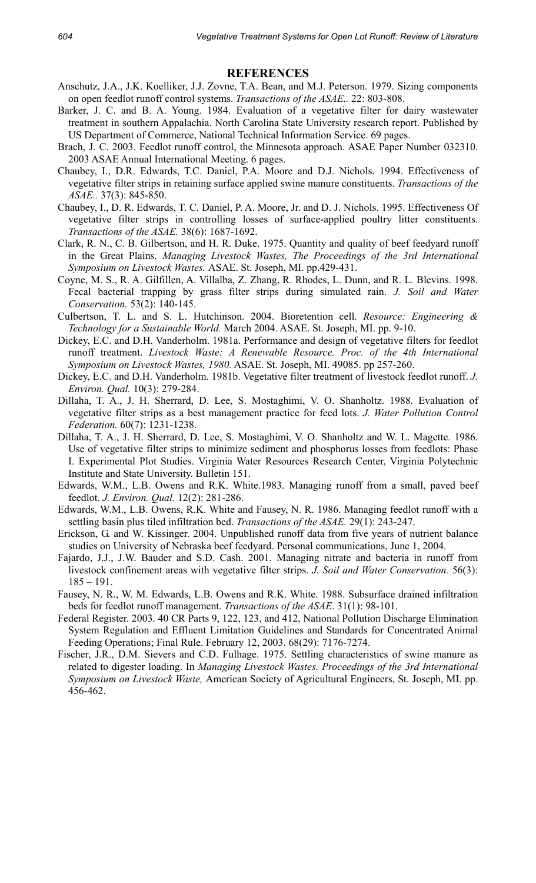### **REFERENCES**

- Anschutz, J.A., J.K. Koelliker, J.J. Zovne, T.A. Bean, and M.J. Peterson. 1979. Sizing components on open feedlot runoff control systems. *Transactions of the ASAE..* 22: 803-808.
- Barker, J. C. and B. A. Young. 1984. Evaluation of a vegetative filter for dairy wastewater treatment in southern Appalachia. North Carolina State University research report. Published by US Department of Commerce, National Technical Information Service. 69 pages.
- Brach, J. C. 2003. Feedlot runoff control, the Minnesota approach. ASAE Paper Number 032310. 2003 ASAE Annual International Meeting. 6 pages.
- Chaubey, I., D.R. Edwards, T.C. Daniel, P.A. Moore and D.J. Nichols. 1994. Effectiveness of vegetative filter strips in retaining surface applied swine manure constituents. *Transactions of the ASAE..* 37(3): 845-850.
- Chaubey, I., D. R. Edwards, T. C. Daniel, P. A. Moore, Jr. and D. J. Nichols. 1995. Effectiveness Of vegetative filter strips in controlling losses of surface-applied poultry litter constituents. *Transactions of the ASAE.* 38(6): 1687-1692.
- Clark, R. N., C. B. Gilbertson, and H. R. Duke. 1975. Quantity and quality of beef feedyard runoff in the Great Plains. *Managing Livestock Wastes, The Proceedings of the 3rd International Symposium on Livestock Wastes.* ASAE. St. Joseph, MI. pp.429-431.
- Coyne, M. S., R. A. Gilfillen, A. Villalba, Z. Zhang, R. Rhodes, L. Dunn, and R. L. Blevins. 1998. Fecal bacterial trapping by grass filter strips during simulated rain. *J. Soil and Water Conservation.* 53(2): 140-145.
- Culbertson, T. L. and S. L. Hutchinson. 2004. Bioretention cell. *Resource: Engineering & Technology for a Sustainable World.* March 2004. ASAE. St. Joseph, MI. pp. 9-10.
- Dickey, E.C. and D.H. Vanderholm. 1981a. Performance and design of vegetative filters for feedlot runoff treatment. *Livestock Waste: A Renewable Resource. Proc. of the 4th International Symposium on Livestock Wastes, 1980.* ASAE. St. Joseph, MI. 49085. pp 257-260.
- Dickey, E.C. and D.H. Vanderholm. 1981b. Vegetative filter treatment of livestock feedlot runoff. *J. Environ. Qual.* 10(3): 279-284.
- Dillaha, T. A., J. H. Sherrard, D. Lee, S. Mostaghimi, V. O. Shanholtz. 1988. Evaluation of vegetative filter strips as a best management practice for feed lots. *J. Water Pollution Control Federation.* 60(7): 1231-1238.
- Dillaha, T. A., J. H. Sherrard, D. Lee, S. Mostaghimi, V. O. Shanholtz and W. L. Magette. 1986. Use of vegetative filter strips to minimize sediment and phosphorus losses from feedlots: Phase I. Experimental Plot Studies. Virginia Water Resources Research Center, Virginia Polytechnic Institute and State University. Bulletin 151.
- Edwards, W.M., L.B. Owens and R.K. White.1983. Managing runoff from a small, paved beef feedlot. *J. Environ. Qual.* 12(2): 281-286.
- Edwards, W.M., L.B. Owens, R.K. White and Fausey, N. R. 1986. Managing feedlot runoff with a settling basin plus tiled infiltration bed. *Transactions of the ASAE.* 29(1): 243-247.
- Erickson, G. and W. Kissinger. 2004. Unpublished runoff data from five years of nutrient balance studies on University of Nebraska beef feedyard. Personal communications, June 1, 2004.
- Fajardo, J.J., J.W. Bauder and S.D. Cash. 2001. Managing nitrate and bacteria in runoff from livestock confinement areas with vegetative filter strips. *J. Soil and Water Conservation.* 56(3):  $185 - 191$ .
- Fausey, N. R., W. M. Edwards, L.B. Owens and R.K. White. 1988. Subsurface drained infiltration beds for feedlot runoff management. *Transactions of the ASAE*. 31(1): 98-101.
- Federal Register. 2003. 40 CR Parts 9, 122, 123, and 412, National Pollution Discharge Elimination System Regulation and Effluent Limitation Guidelines and Standards for Concentrated Animal Feeding Operations; Final Rule. February 12, 2003. 68(29): 7176-7274.
- Fischer, J.R., D.M. Sievers and C.D. Fulhage. 1975. Settling characteristics of swine manure as related to digester loading. In *Managing Livestock Wastes. Proceedings of the 3rd International Symposium on Livestock Waste,* American Society of Agricultural Engineers, St. Joseph, MI. pp. 456-462.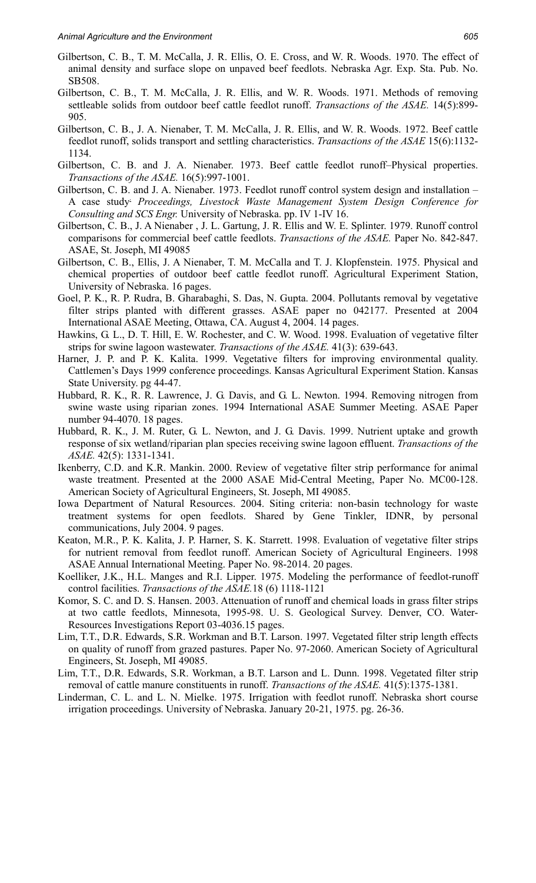- Gilbertson, C. B., T. M. McCalla, J. R. Ellis, O. E. Cross, and W. R. Woods. 1970. The effect of animal density and surface slope on unpaved beef feedlots. Nebraska Agr. Exp. Sta. Pub. No. SB508.
- Gilbertson, C. B., T. M. McCalla, J. R. Ellis, and W. R. Woods. 1971. Methods of removing settleable solids from outdoor beef cattle feedlot runoff. *Transactions of the ASAE.* 14(5):899- 905.
- Gilbertson, C. B., J. A. Nienaber, T. M. McCalla, J. R. Ellis, and W. R. Woods. 1972. Beef cattle feedlot runoff, solids transport and settling characteristics. *Transactions of the ASAE* 15(6):1132- 1134.
- Gilbertson, C. B. and J. A. Nienaber. 1973. Beef cattle feedlot runoff–Physical properties. *Transactions of the ASAE.* 16(5):997-1001.
- Gilbertson, C. B. and J. A. Nienaber. 1973. Feedlot runoff control system design and installation A case study. *Proceedings, Livestock Waste Management System Design Conference for Consulting and SCS Engr.* University of Nebraska. pp. IV 1-IV 16.
- Gilbertson, C. B., J. A Nienaber , J. L. Gartung, J. R. Ellis and W. E. Splinter. 1979. Runoff control comparisons for commercial beef cattle feedlots. *Transactions of the ASAE.* Paper No. 842-847. ASAE, St. Joseph, MI 49085
- Gilbertson, C. B., Ellis, J. A Nienaber, T. M. McCalla and T. J. Klopfenstein. 1975. Physical and chemical properties of outdoor beef cattle feedlot runoff. Agricultural Experiment Station, University of Nebraska. 16 pages.
- Goel, P. K., R. P. Rudra, B. Gharabaghi, S. Das, N. Gupta. 2004. Pollutants removal by vegetative filter strips planted with different grasses. ASAE paper no 042177. Presented at 2004 International ASAE Meeting, Ottawa, CA. August 4, 2004. 14 pages.
- Hawkins, G. L., D. T. Hill, E. W. Rochester, and C. W. Wood. 1998. Evaluation of vegetative filter strips for swine lagoon wastewater. *Transactions of the ASAE.* 41(3): 639-643.
- Harner, J. P. and P. K. Kalita. 1999. Vegetative filters for improving environmental quality. Cattlemen's Days 1999 conference proceedings. Kansas Agricultural Experiment Station. Kansas State University. pg 44-47.
- Hubbard, R. K., R. R. Lawrence, J. G. Davis, and G. L. Newton. 1994. Removing nitrogen from swine waste using riparian zones. 1994 International ASAE Summer Meeting. ASAE Paper number 94-4070. 18 pages.
- Hubbard, R. K., J. M. Ruter, G. L. Newton, and J. G. Davis. 1999. Nutrient uptake and growth response of six wetland/riparian plan species receiving swine lagoon effluent. *Transactions of the ASAE.* 42(5): 1331-1341.
- Ikenberry, C.D. and K.R. Mankin. 2000. Review of vegetative filter strip performance for animal waste treatment. Presented at the 2000 ASAE Mid-Central Meeting, Paper No. MC00-128. American Society of Agricultural Engineers, St. Joseph, MI 49085.
- Iowa Department of Natural Resources. 2004. Siting criteria: non-basin technology for waste treatment systems for open feedlots. Shared by Gene Tinkler, IDNR, by personal communications, July 2004. 9 pages.
- Keaton, M.R., P. K. Kalita, J. P. Harner, S. K. Starrett. 1998. Evaluation of vegetative filter strips for nutrient removal from feedlot runoff. American Society of Agricultural Engineers. 1998 ASAE Annual International Meeting. Paper No. 98-2014. 20 pages.
- Koelliker, J.K., H.L. Manges and R.I. Lipper. 1975. Modeling the performance of feedlot-runoff control facilities. *Transactions of the ASAE.*18 (6) 1118-1121
- Komor, S. C. and D. S. Hansen. 2003. Attenuation of runoff and chemical loads in grass filter strips at two cattle feedlots, Minnesota, 1995-98. U. S. Geological Survey. Denver, CO. Water-Resources Investigations Report 03-4036.15 pages.
- Lim, T.T., D.R. Edwards, S.R. Workman and B.T. Larson. 1997. Vegetated filter strip length effects on quality of runoff from grazed pastures. Paper No. 97-2060. American Society of Agricultural Engineers, St. Joseph, MI 49085.
- Lim, T.T., D.R. Edwards, S.R. Workman, a B.T. Larson and L. Dunn. 1998. Vegetated filter strip removal of cattle manure constituents in runoff. *Transactions of the ASAE.* 41(5):1375-1381.
- Linderman, C. L. and L. N. Mielke. 1975. Irrigation with feedlot runoff. Nebraska short course irrigation proceedings. University of Nebraska. January 20-21, 1975. pg. 26-36.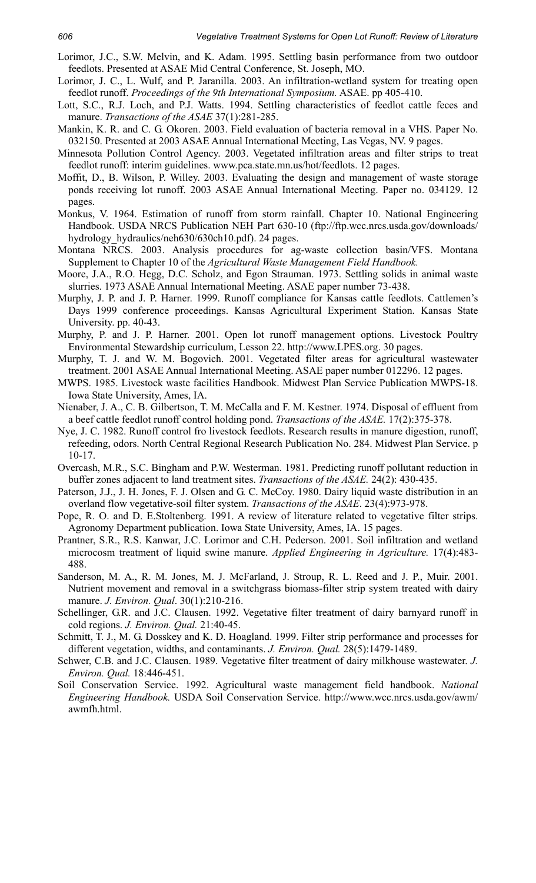- Lorimor, J.C., S.W. Melvin, and K. Adam. 1995. Settling basin performance from two outdoor feedlots. Presented at ASAE Mid Central Conference, St. Joseph, MO.
- Lorimor, J. C., L. Wulf, and P. Jaranilla. 2003. An infiltration-wetland system for treating open feedlot runoff. *Proceedings of the 9th International Symposium.* ASAE. pp 405-410.
- Lott, S.C., R.J. Loch, and P.J. Watts. 1994. Settling characteristics of feedlot cattle feces and manure. *Transactions of the ASAE* 37(1):281-285.
- Mankin, K. R. and C. G. Okoren. 2003. Field evaluation of bacteria removal in a VHS. Paper No. 032150. Presented at 2003 ASAE Annual International Meeting, Las Vegas, NV. 9 pages.
- Minnesota Pollution Control Agency. 2003. Vegetated infiltration areas and filter strips to treat feedlot runoff: interim guidelines. www.pca.state.mn.us/hot/feedlots. 12 pages.
- Moffit, D., B. Wilson, P. Willey. 2003. Evaluating the design and management of waste storage ponds receiving lot runoff. 2003 ASAE Annual International Meeting. Paper no. 034129. 12 pages.
- Monkus, V. 1964. Estimation of runoff from storm rainfall. Chapter 10. National Engineering Handbook. USDA NRCS Publication NEH Part 630-10 (ftp://ftp.wcc.nrcs.usda.gov/downloads/ hydrology\_hydraulics/neh630/630ch10.pdf). 24 pages.
- Montana NRCS. 2003. Analysis procedures for ag-waste collection basin/VFS. Montana Supplement to Chapter 10 of the *Agricultural Waste Management Field Handbook.*
- Moore, J.A., R.O. Hegg, D.C. Scholz, and Egon Strauman. 1973. Settling solids in animal waste slurries. 1973 ASAE Annual International Meeting. ASAE paper number 73-438.
- Murphy, J. P. and J. P. Harner. 1999. Runoff compliance for Kansas cattle feedlots. Cattlemen's Days 1999 conference proceedings. Kansas Agricultural Experiment Station. Kansas State University. pp. 40-43.
- Murphy, P. and J. P. Harner. 2001. Open lot runoff management options. Livestock Poultry Environmental Stewardship curriculum, Lesson 22. http://www.LPES.org. 30 pages.
- Murphy, T. J. and W. M. Bogovich. 2001. Vegetated filter areas for agricultural wastewater treatment. 2001 ASAE Annual International Meeting. ASAE paper number 012296. 12 pages.
- MWPS. 1985. Livestock waste facilities Handbook. Midwest Plan Service Publication MWPS-18. Iowa State University, Ames, IA.
- Nienaber, J. A., C. B. Gilbertson, T. M. McCalla and F. M. Kestner. 1974. Disposal of effluent from a beef cattle feedlot runoff control holding pond. *Transactions of the ASAE.* 17(2):375-378.
- Nye, J. C. 1982. Runoff control fro livestock feedlots. Research results in manure digestion, runoff, refeeding, odors. North Central Regional Research Publication No. 284. Midwest Plan Service. p 10-17.
- Overcash, M.R., S.C. Bingham and P.W. Westerman. 1981. Predicting runoff pollutant reduction in buffer zones adjacent to land treatment sites. *Transactions of the ASAE.* 24(2): 430-435.
- Paterson, J.J., J. H. Jones, F. J. Olsen and G. C. McCoy. 1980. Dairy liquid waste distribution in an overland flow vegetative-soil filter system. *Transactions of the ASAE*. 23(4):973-978.
- Pope, R. O. and D. E.Stoltenberg. 1991. A review of literature related to vegetative filter strips. Agronomy Department publication. Iowa State University, Ames, IA. 15 pages.
- Prantner, S.R., R.S. Kanwar, J.C. Lorimor and C.H. Pederson. 2001. Soil infiltration and wetland microcosm treatment of liquid swine manure. *Applied Engineering in Agriculture.* 17(4):483- 488.
- Sanderson, M. A., R. M. Jones, M. J. McFarland, J. Stroup, R. L. Reed and J. P., Muir. 2001. Nutrient movement and removal in a switchgrass biomass-filter strip system treated with dairy manure. *J. Environ. Qual*. 30(1):210-216.
- Schellinger, G.R. and J.C. Clausen. 1992. Vegetative filter treatment of dairy barnyard runoff in cold regions. *J. Environ. Qual.* 21:40-45.
- Schmitt, T. J., M. G. Dosskey and K. D. Hoagland. 1999. Filter strip performance and processes for different vegetation, widths, and contaminants. *J. Environ. Qual.* 28(5):1479-1489.
- Schwer, C.B. and J.C. Clausen. 1989. Vegetative filter treatment of dairy milkhouse wastewater. *J. Environ. Qual.* 18:446-451.
- Soil Conservation Service. 1992. Agricultural waste management field handbook. *National Engineering Handbook.* USDA Soil Conservation Service. http://www.wcc.nrcs.usda.gov/awm/ awmfh.html.